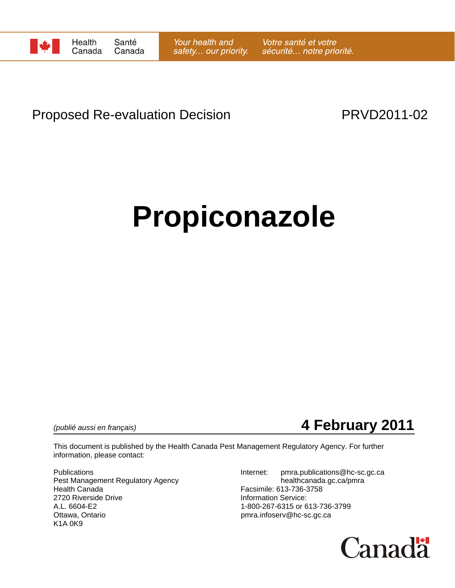

# Proposed Re-evaluation Decision **PRVD2011-02**

# **Propiconazole**

*(publié aussi en français)* **4 February 2011**

This document is published by the Health Canada Pest Management Regulatory Agency. For further information, please contact:

Pest Management Regulatory Agency healthcanada.gc.ca/pmra Health Canada Facsimile: 613-736-3758 2720 Riverside Drive **Information Service:**<br>A.L. 6604-E2 **Information Service:** 1-800-267-6315 or 6 A.L. 6604-E2 1-800-267-6315 or 613-736-3799<br>Ottawa, Ontario 11-800-267-6315 or 613-736-3799 K1A 0K9

Publications **Internet:** pmra.publications@hc-sc.gc.ca pmra.infoserv@hc-sc.gc.ca

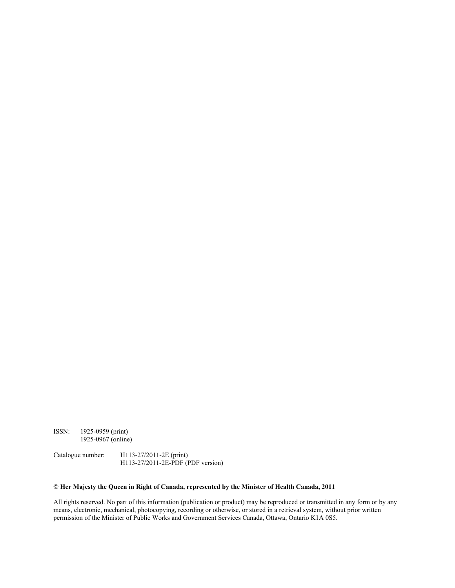ISSN: 1925-0959 (print) 1925-0967 (online)

Catalogue number: H113-27/2011-2E (print) H113-27/2011-2E-PDF (PDF version)

#### **© Her Majesty the Queen in Right of Canada, represented by the Minister of Health Canada, 2011**

All rights reserved. No part of this information (publication or product) may be reproduced or transmitted in any form or by any means, electronic, mechanical, photocopying, recording or otherwise, or stored in a retrieval system, without prior written permission of the Minister of Public Works and Government Services Canada, Ottawa, Ontario K1A 0S5.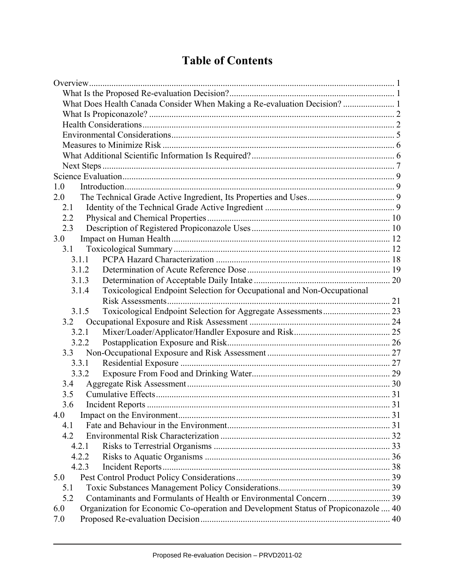# **Table of Contents**

| What Does Health Canada Consider When Making a Re-evaluation Decision? 1                  |  |
|-------------------------------------------------------------------------------------------|--|
|                                                                                           |  |
|                                                                                           |  |
|                                                                                           |  |
|                                                                                           |  |
|                                                                                           |  |
|                                                                                           |  |
|                                                                                           |  |
| 1.0                                                                                       |  |
| 2.0                                                                                       |  |
| 2.1                                                                                       |  |
| 2.2                                                                                       |  |
| 2.3                                                                                       |  |
| 3.0                                                                                       |  |
| 3.1                                                                                       |  |
| 3.1.1                                                                                     |  |
| 3.1.2                                                                                     |  |
| 3.1.3                                                                                     |  |
| Toxicological Endpoint Selection for Occupational and Non-Occupational<br>3.1.4           |  |
|                                                                                           |  |
| 3.1.5                                                                                     |  |
| 3.2                                                                                       |  |
| 3.2.1                                                                                     |  |
| 3.2.2                                                                                     |  |
| 3.3                                                                                       |  |
| 3.3.1                                                                                     |  |
| 3.3.2                                                                                     |  |
| 3.4                                                                                       |  |
| 3.5                                                                                       |  |
| 3.6                                                                                       |  |
| 4.0                                                                                       |  |
| 4.1                                                                                       |  |
| 4.2                                                                                       |  |
| 4.2.1                                                                                     |  |
| 4.2.2                                                                                     |  |
| 4.2.3                                                                                     |  |
| 5.0                                                                                       |  |
| 5.1                                                                                       |  |
| 5.2                                                                                       |  |
| Organization for Economic Co-operation and Development Status of Propiconazole  40<br>6.0 |  |
| 7.0                                                                                       |  |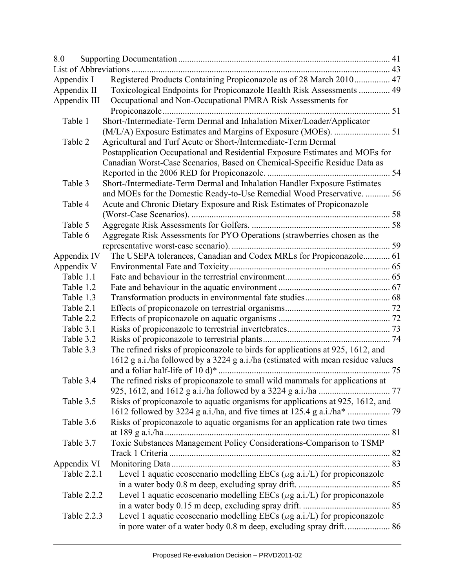| 8.0          |                                                                                 |  |
|--------------|---------------------------------------------------------------------------------|--|
|              |                                                                                 |  |
| Appendix I   | Registered Products Containing Propiconazole as of 28 March 2010 47             |  |
| Appendix II  | Toxicological Endpoints for Propiconazole Health Risk Assessments  49           |  |
| Appendix III | Occupational and Non-Occupational PMRA Risk Assessments for                     |  |
|              |                                                                                 |  |
| Table 1      | Short-/Intermediate-Term Dermal and Inhalation Mixer/Loader/Applicator          |  |
|              |                                                                                 |  |
| Table 2      | Agricultural and Turf Acute or Short-/Intermediate-Term Dermal                  |  |
|              | Postapplication Occupational and Residential Exposure Estimates and MOEs for    |  |
|              | Canadian Worst-Case Scenarios, Based on Chemical-Specific Residue Data as       |  |
|              |                                                                                 |  |
| Table 3      | Short-/Intermediate-Term Dermal and Inhalation Handler Exposure Estimates       |  |
|              | and MOEs for the Domestic Ready-to-Use Remedial Wood Preservative.  56          |  |
| Table 4      | Acute and Chronic Dietary Exposure and Risk Estimates of Propiconazole          |  |
|              |                                                                                 |  |
| Table 5      |                                                                                 |  |
| Table 6      | Aggregate Risk Assessments for PYO Operations (strawberries chosen as the       |  |
|              |                                                                                 |  |
| Appendix IV  | The USEPA tolerances, Canadian and Codex MRLs for Propiconazole 61              |  |
| Appendix V   |                                                                                 |  |
| Table 1.1    |                                                                                 |  |
| Table 1.2    |                                                                                 |  |
| Table 1.3    |                                                                                 |  |
| Table 2.1    |                                                                                 |  |
| Table 2.2    |                                                                                 |  |
| Table 3.1    |                                                                                 |  |
| Table 3.2    |                                                                                 |  |
| Table 3.3    | The refined risks of propiconazole to birds for applications at 925, 1612, and  |  |
|              | 1612 g a.i./ha followed by a 3224 g a.i./ha (estimated with mean residue values |  |
|              |                                                                                 |  |
| Table 3.4    | The refined risks of propiconazole to small wild mammals for applications at    |  |
|              |                                                                                 |  |
| Table 3.5    | Risks of propiconazole to aquatic organisms for applications at 925, 1612, and  |  |
| Table 3.6    |                                                                                 |  |
|              | Risks of propiconazole to aquatic organisms for an application rate two times   |  |
| Table 3.7    | Toxic Substances Management Policy Considerations-Comparison to TSMP            |  |
|              |                                                                                 |  |
| Appendix VI  |                                                                                 |  |
| Table 2.2.1  | Level 1 aquatic ecoscenario modelling EECs ( $\mu$ g a.i./L) for propiconazole  |  |
|              |                                                                                 |  |
| Table 2.2.2  | Level 1 aquatic ecoscenario modelling EECs ( $\mu$ g a.i./L) for propiconazole  |  |
|              |                                                                                 |  |
| Table 2.2.3  | Level 1 aquatic ecoscenario modelling EECs ( $\mu$ g a.i./L) for propiconazole  |  |
|              |                                                                                 |  |
|              |                                                                                 |  |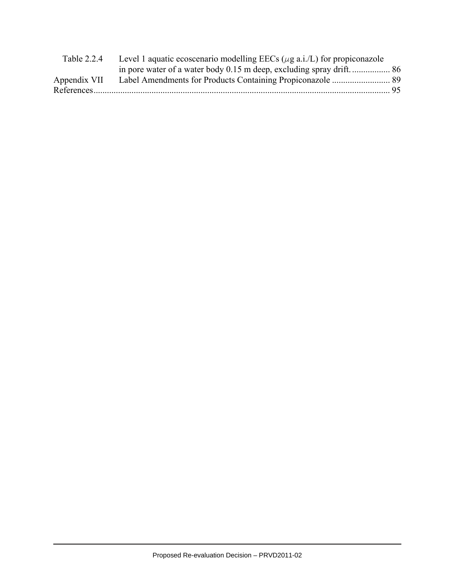| Table 2.2.4  | Level 1 aquatic ecoscenario modelling EECs ( $\mu$ g a.i./L) for propiconazole |  |
|--------------|--------------------------------------------------------------------------------|--|
|              |                                                                                |  |
| Appendix VII |                                                                                |  |
|              |                                                                                |  |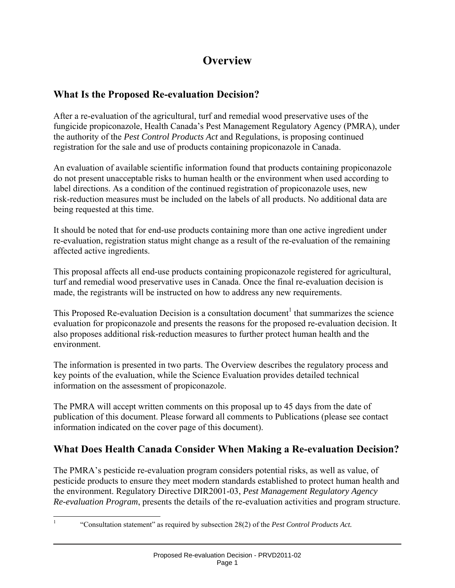# **Overview**

## **What Is the Proposed Re-evaluation Decision?**

After a re-evaluation of the agricultural, turf and remedial wood preservative uses of the fungicide propiconazole, Health Canada's Pest Management Regulatory Agency (PMRA), under the authority of the *Pest Control Products Act* and Regulations, is proposing continued registration for the sale and use of products containing propiconazole in Canada.

An evaluation of available scientific information found that products containing propiconazole do not present unacceptable risks to human health or the environment when used according to label directions. As a condition of the continued registration of propiconazole uses, new risk-reduction measures must be included on the labels of all products. No additional data are being requested at this time.

It should be noted that for end-use products containing more than one active ingredient under re-evaluation, registration status might change as a result of the re-evaluation of the remaining affected active ingredients.

This proposal affects all end-use products containing propiconazole registered for agricultural, turf and remedial wood preservative uses in Canada. Once the final re-evaluation decision is made, the registrants will be instructed on how to address any new requirements.

This Proposed Re-evaluation Decision is a consultation document<sup>1</sup> that summarizes the science evaluation for propiconazole and presents the reasons for the proposed re-evaluation decision. It also proposes additional risk-reduction measures to further protect human health and the environment.

The information is presented in two parts. The Overview describes the regulatory process and key points of the evaluation, while the Science Evaluation provides detailed technical information on the assessment of propiconazole.

The PMRA will accept written comments on this proposal up to 45 days from the date of publication of this document. Please forward all comments to Publications (please see contact information indicated on the cover page of this document).

# **What Does Health Canada Consider When Making a Re-evaluation Decision?**

The PMRA's pesticide re-evaluation program considers potential risks, as well as value, of pesticide products to ensure they meet modern standards established to protect human health and the environment. Regulatory Directive DIR2001-03, *Pest Management Regulatory Agency Re-evaluation Program*, presents the details of the re-evaluation activities and program structure.

 $\overline{a}$ 1

 <sup>&</sup>quot;Consultation statement" as required by subsection 28(2) of the *Pest Control Products Act.*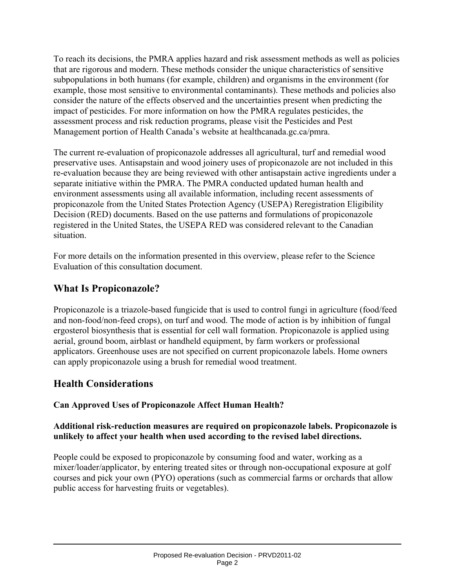To reach its decisions, the PMRA applies hazard and risk assessment methods as well as policies that are rigorous and modern. These methods consider the unique characteristics of sensitive subpopulations in both humans (for example, children) and organisms in the environment (for example, those most sensitive to environmental contaminants). These methods and policies also consider the nature of the effects observed and the uncertainties present when predicting the impact of pesticides. For more information on how the PMRA regulates pesticides, the assessment process and risk reduction programs, please visit the Pesticides and Pest Management portion of Health Canada's website at healthcanada.gc.ca/pmra.

The current re-evaluation of propiconazole addresses all agricultural, turf and remedial wood preservative uses. Antisapstain and wood joinery uses of propiconazole are not included in this re-evaluation because they are being reviewed with other antisapstain active ingredients under a separate initiative within the PMRA. The PMRA conducted updated human health and environment assessments using all available information, including recent assessments of propiconazole from the United States Protection Agency (USEPA) Reregistration Eligibility Decision (RED) documents. Based on the use patterns and formulations of propiconazole registered in the United States, the USEPA RED was considered relevant to the Canadian situation.

For more details on the information presented in this overview, please refer to the Science Evaluation of this consultation document.

#### **What Is Propiconazole?**

Propiconazole is a triazole-based fungicide that is used to control fungi in agriculture (food/feed and non-food/non-feed crops), on turf and wood. The mode of action is by inhibition of fungal ergosterol biosynthesis that is essential for cell wall formation. Propiconazole is applied using aerial, ground boom, airblast or handheld equipment, by farm workers or professional applicators. Greenhouse uses are not specified on current propiconazole labels. Home owners can apply propiconazole using a brush for remedial wood treatment.

#### **Health Considerations**

#### **Can Approved Uses of Propiconazole Affect Human Health?**

#### **Additional risk-reduction measures are required on propiconazole labels. Propiconazole is unlikely to affect your health when used according to the revised label directions.**

People could be exposed to propiconazole by consuming food and water, working as a mixer/loader/applicator, by entering treated sites or through non-occupational exposure at golf courses and pick your own (PYO) operations (such as commercial farms or orchards that allow public access for harvesting fruits or vegetables).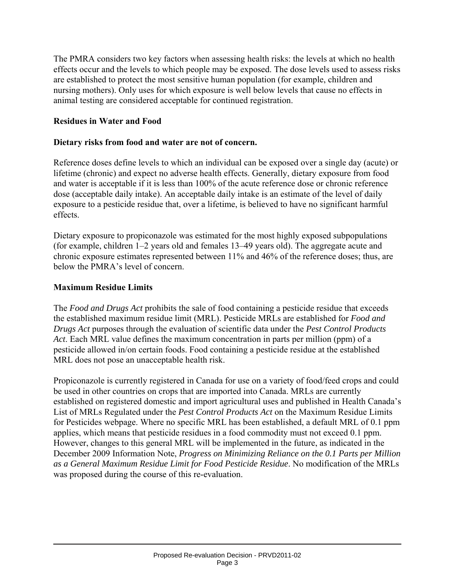The PMRA considers two key factors when assessing health risks: the levels at which no health effects occur and the levels to which people may be exposed. The dose levels used to assess risks are established to protect the most sensitive human population (for example, children and nursing mothers). Only uses for which exposure is well below levels that cause no effects in animal testing are considered acceptable for continued registration.

#### **Residues in Water and Food**

#### **Dietary risks from food and water are not of concern.**

Reference doses define levels to which an individual can be exposed over a single day (acute) or lifetime (chronic) and expect no adverse health effects. Generally, dietary exposure from food and water is acceptable if it is less than 100% of the acute reference dose or chronic reference dose (acceptable daily intake). An acceptable daily intake is an estimate of the level of daily exposure to a pesticide residue that, over a lifetime, is believed to have no significant harmful effects.

Dietary exposure to propiconazole was estimated for the most highly exposed subpopulations (for example, children 1–2 years old and females 13–49 years old). The aggregate acute and chronic exposure estimates represented between 11% and 46% of the reference doses; thus, are below the PMRA's level of concern.

#### **Maximum Residue Limits**

The *Food and Drugs Act* prohibits the sale of food containing a pesticide residue that exceeds the established maximum residue limit (MRL). Pesticide MRLs are established for *Food and Drugs Act* purposes through the evaluation of scientific data under the *Pest Control Products Act*. Each MRL value defines the maximum concentration in parts per million (ppm) of a pesticide allowed in/on certain foods. Food containing a pesticide residue at the established MRL does not pose an unacceptable health risk.

Propiconazole is currently registered in Canada for use on a variety of food/feed crops and could be used in other countries on crops that are imported into Canada. MRLs are currently established on registered domestic and import agricultural uses and published in Health Canada's List of MRLs Regulated under the *Pest Control Products Act* on the Maximum Residue Limits for Pesticides webpage. Where no specific MRL has been established, a default MRL of 0.1 ppm applies, which means that pesticide residues in a food commodity must not exceed 0.1 ppm. However, changes to this general MRL will be implemented in the future, as indicated in the December 2009 Information Note, *Progress on Minimizing Reliance on the 0.1 Parts per Million as a General Maximum Residue Limit for Food Pesticide Residue*. No modification of the MRLs was proposed during the course of this re-evaluation.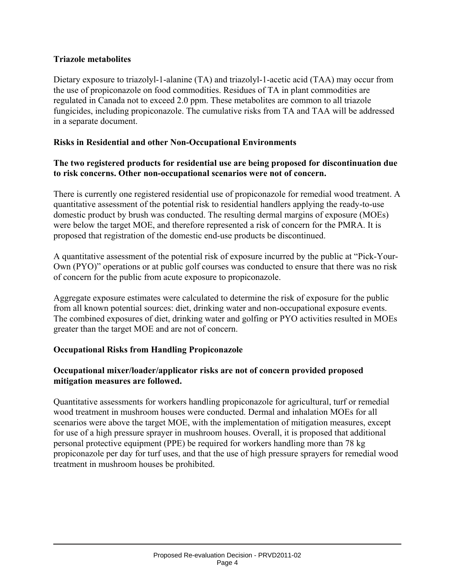#### **Triazole metabolites**

Dietary exposure to triazolyl-1-alanine (TA) and triazolyl-1-acetic acid (TAA) may occur from the use of propiconazole on food commodities. Residues of TA in plant commodities are regulated in Canada not to exceed 2.0 ppm. These metabolites are common to all triazole fungicides, including propiconazole. The cumulative risks from TA and TAA will be addressed in a separate document.

#### **Risks in Residential and other Non-Occupational Environments**

#### **The two registered products for residential use are being proposed for discontinuation due to risk concerns. Other non-occupational scenarios were not of concern.**

There is currently one registered residential use of propiconazole for remedial wood treatment. A quantitative assessment of the potential risk to residential handlers applying the ready-to-use domestic product by brush was conducted. The resulting dermal margins of exposure (MOEs) were below the target MOE, and therefore represented a risk of concern for the PMRA. It is proposed that registration of the domestic end-use products be discontinued.

A quantitative assessment of the potential risk of exposure incurred by the public at "Pick-Your-Own (PYO)" operations or at public golf courses was conducted to ensure that there was no risk of concern for the public from acute exposure to propiconazole.

Aggregate exposure estimates were calculated to determine the risk of exposure for the public from all known potential sources: diet, drinking water and non-occupational exposure events. The combined exposures of diet, drinking water and golfing or PYO activities resulted in MOEs greater than the target MOE and are not of concern.

#### **Occupational Risks from Handling Propiconazole**

#### **Occupational mixer/loader/applicator risks are not of concern provided proposed mitigation measures are followed.**

Quantitative assessments for workers handling propiconazole for agricultural, turf or remedial wood treatment in mushroom houses were conducted. Dermal and inhalation MOEs for all scenarios were above the target MOE, with the implementation of mitigation measures, except for use of a high pressure sprayer in mushroom houses. Overall, it is proposed that additional personal protective equipment (PPE) be required for workers handling more than 78 kg propiconazole per day for turf uses, and that the use of high pressure sprayers for remedial wood treatment in mushroom houses be prohibited.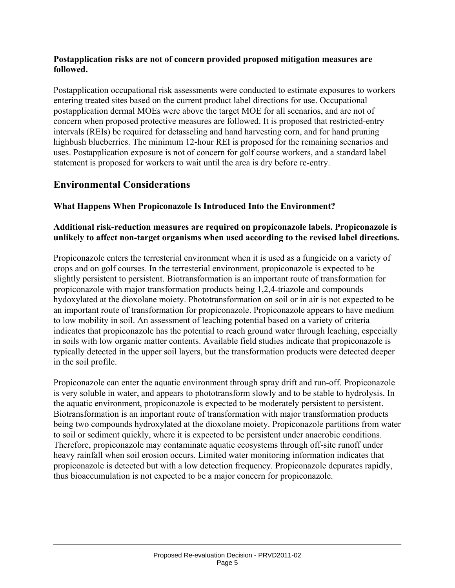#### **Postapplication risks are not of concern provided proposed mitigation measures are followed.**

Postapplication occupational risk assessments were conducted to estimate exposures to workers entering treated sites based on the current product label directions for use. Occupational postapplication dermal MOEs were above the target MOE for all scenarios, and are not of concern when proposed protective measures are followed. It is proposed that restricted-entry intervals (REIs) be required for detasseling and hand harvesting corn, and for hand pruning highbush blueberries. The minimum 12-hour REI is proposed for the remaining scenarios and uses. Postapplication exposure is not of concern for golf course workers, and a standard label statement is proposed for workers to wait until the area is dry before re-entry.

#### **Environmental Considerations**

#### **What Happens When Propiconazole Is Introduced Into the Environment?**

#### **Additional risk-reduction measures are required on propiconazole labels. Propiconazole is unlikely to affect non-target organisms when used according to the revised label directions.**

Propiconazole enters the terresterial environment when it is used as a fungicide on a variety of crops and on golf courses. In the terresterial environment, propiconazole is expected to be slightly persistent to persistent. Biotransformation is an important route of transformation for propiconazole with major transformation products being 1,2,4-triazole and compounds hydoxylated at the dioxolane moiety. Phototransformation on soil or in air is not expected to be an important route of transformation for propiconazole. Propiconazole appears to have medium to low mobility in soil. An assessment of leaching potential based on a variety of criteria indicates that propiconazole has the potential to reach ground water through leaching, especially in soils with low organic matter contents. Available field studies indicate that propiconazole is typically detected in the upper soil layers, but the transformation products were detected deeper in the soil profile.

Propiconazole can enter the aquatic environment through spray drift and run-off. Propiconazole is very soluble in water, and appears to phototransform slowly and to be stable to hydrolysis. In the aquatic environment, propiconazole is expected to be moderately persistent to persistent. Biotransformation is an important route of transformation with major transformation products being two compounds hydroxylated at the dioxolane moiety. Propiconazole partitions from water to soil or sediment quickly, where it is expected to be persistent under anaerobic conditions. Therefore, propiconazole may contaminate aquatic ecosystems through off-site runoff under heavy rainfall when soil erosion occurs. Limited water monitoring information indicates that propiconazole is detected but with a low detection frequency. Propiconazole depurates rapidly, thus bioaccumulation is not expected to be a major concern for propiconazole.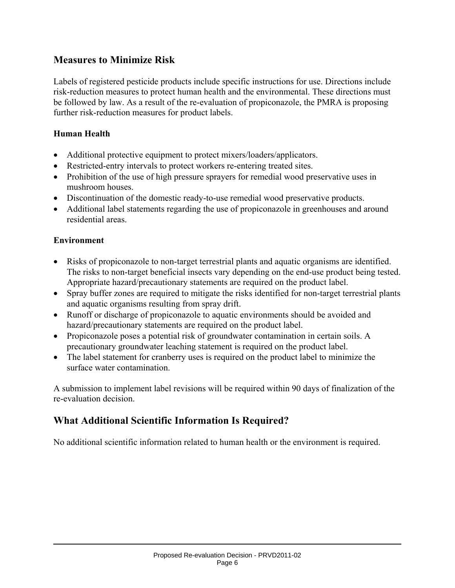#### **Measures to Minimize Risk**

Labels of registered pesticide products include specific instructions for use. Directions include risk-reduction measures to protect human health and the environmental. These directions must be followed by law. As a result of the re-evaluation of propiconazole, the PMRA is proposing further risk-reduction measures for product labels.

#### **Human Health**

- Additional protective equipment to protect mixers/loaders/applicators.
- Restricted-entry intervals to protect workers re-entering treated sites.
- Prohibition of the use of high pressure sprayers for remedial wood preservative uses in mushroom houses.
- Discontinuation of the domestic ready-to-use remedial wood preservative products.
- Additional label statements regarding the use of propiconazole in greenhouses and around residential areas.

#### **Environment**

- Risks of propiconazole to non-target terrestrial plants and aquatic organisms are identified. The risks to non-target beneficial insects vary depending on the end-use product being tested. Appropriate hazard/precautionary statements are required on the product label.
- Spray buffer zones are required to mitigate the risks identified for non-target terrestrial plants and aquatic organisms resulting from spray drift.
- Runoff or discharge of propiconazole to aquatic environments should be avoided and hazard/precautionary statements are required on the product label.
- Propiconazole poses a potential risk of groundwater contamination in certain soils. A precautionary groundwater leaching statement is required on the product label.
- The label statement for cranberry uses is required on the product label to minimize the surface water contamination.

A submission to implement label revisions will be required within 90 days of finalization of the re-evaluation decision.

#### **What Additional Scientific Information Is Required?**

No additional scientific information related to human health or the environment is required.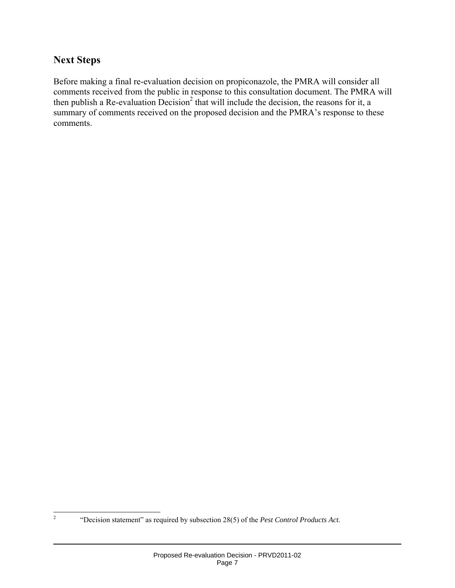#### **Next Steps**

Before making a final re-evaluation decision on propiconazole, the PMRA will consider all comments received from the public in response to this consultation document. The PMRA will then publish a Re-evaluation Decision<sup>2</sup> that will include the decision, the reasons for it, a summary of comments received on the proposed decision and the PMRA's response to these comments.

 $\frac{1}{2}$ 

 <sup>&</sup>quot;Decision statement" as required by subsection 28(5) of the *Pest Control Products Act*.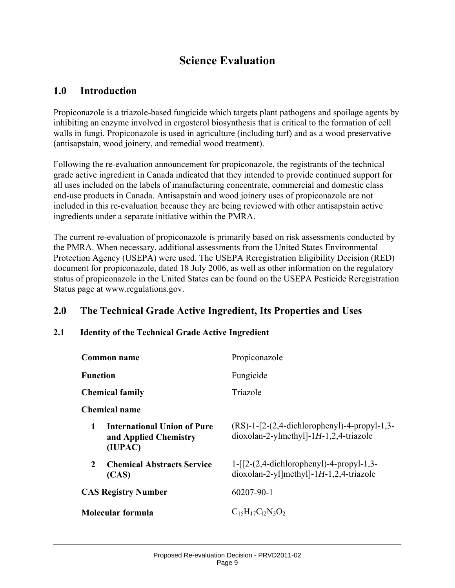# **Science Evaluation**

#### **1.0 Introduction**

Propiconazole is a triazole-based fungicide which targets plant pathogens and spoilage agents by inhibiting an enzyme involved in ergosterol biosynthesis that is critical to the formation of cell walls in fungi. Propiconazole is used in agriculture (including turf) and as a wood preservative (antisapstain, wood joinery, and remedial wood treatment).

Following the re-evaluation announcement for propiconazole, the registrants of the technical grade active ingredient in Canada indicated that they intended to provide continued support for all uses included on the labels of manufacturing concentrate, commercial and domestic class end-use products in Canada. Antisapstain and wood joinery uses of propiconazole are not included in this re-evaluation because they are being reviewed with other antisapstain active ingredients under a separate initiative within the PMRA.

The current re-evaluation of propiconazole is primarily based on risk assessments conducted by the PMRA. When necessary, additional assessments from the United States Environmental Protection Agency (USEPA) were used. The USEPA Reregistration Eligibility Decision (RED) document for propiconazole, dated 18 July 2006, as well as other information on the regulatory status of propiconazole in the United States can be found on the USEPA Pesticide Reregistration Status page at www.regulations.gov.

#### **2.0 The Technical Grade Active Ingredient, Its Properties and Uses**

#### **2.1 Identity of the Technical Grade Active Ingredient**

| Common name                                                                 | Propiconazole                                                                             |
|-----------------------------------------------------------------------------|-------------------------------------------------------------------------------------------|
| <b>Function</b>                                                             | Fungicide                                                                                 |
| <b>Chemical family</b>                                                      | Triazole                                                                                  |
| Chemical name                                                               |                                                                                           |
| <b>International Union of Pure</b><br>1<br>and Applied Chemistry<br>(IUPAC) | $(RS)-1-[2-(2,4-dichloropheny)]-4-propyl-1,3-$<br>$dioxolan-2-ylmethyl-1H-1,2,4-triazole$ |
| $\mathcal{L}$<br><b>Chemical Abstracts Service</b><br>(CAS)                 | $1-[2-(2,4-dichloropheny)]-4-propyl-1,3-$<br>$dioxolan-2-y1$ ]methyl]-1H-1,2,4-triazole   |
| <b>CAS Registry Number</b>                                                  | 60207-90-1                                                                                |
| Molecular formula                                                           | $C_1$ <sub>5</sub> $H_1$ <sub>7</sub> $C_1$ <sub>2</sub> $N_3O_2$                         |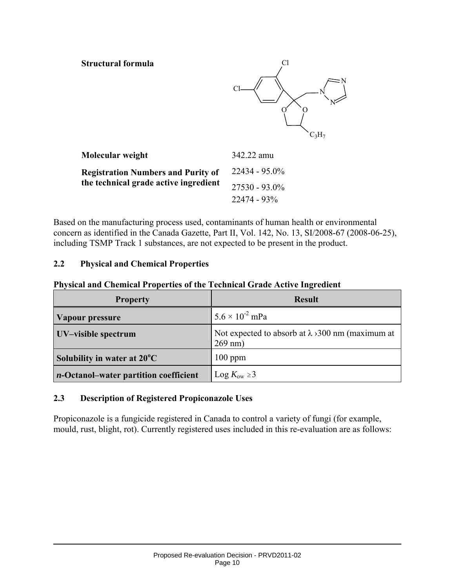#### **Structural formula** Cl



| Molecular weight                                                                   | 342.22 amu       |
|------------------------------------------------------------------------------------|------------------|
| <b>Registration Numbers and Purity of</b><br>the technical grade active ingredient | $22434 - 95.0\%$ |
|                                                                                    | $27530 - 93.0\%$ |
|                                                                                    | 22474 - 93%      |

Based on the manufacturing process used, contaminants of human health or environmental concern as identified in the Canada Gazette, Part II, Vol. 142, No. 13, SI/2008-67 (2008-06-25), including TSMP Track 1 substances, are not expected to be present in the product.

#### **2.2 Physical and Chemical Properties**

#### **Physical and Chemical Properties of the Technical Grade Active Ingredient**

| <b>Property</b>                               | <b>Result</b>                                                         |
|-----------------------------------------------|-----------------------------------------------------------------------|
| Vapour pressure                               | $5.6 \times 10^{-2}$ mPa                                              |
| UV-visible spectrum                           | Not expected to absorb at $\lambda$ > 300 nm (maximum at<br>$269$ nm) |
| Solubility in water at 20°C                   | $100$ ppm                                                             |
| <i>n</i> -Octanol-water partition coefficient | Log $K_{\text{ow}} \geq 3$                                            |

#### **2.3 Description of Registered Propiconazole Uses**

Propiconazole is a fungicide registered in Canada to control a variety of fungi (for example, mould, rust, blight, rot). Currently registered uses included in this re-evaluation are as follows: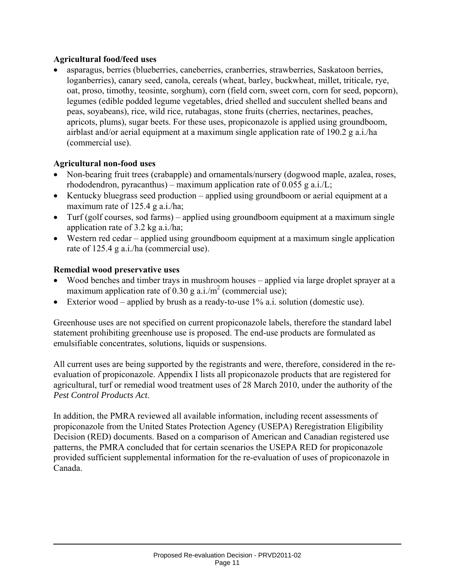#### **Agricultural food/feed uses**

• asparagus, berries (blueberries, caneberries, cranberries, strawberries, Saskatoon berries, loganberries), canary seed, canola, cereals (wheat, barley, buckwheat, millet, triticale, rye, oat, proso, timothy, teosinte, sorghum), corn (field corn, sweet corn, corn for seed, popcorn), legumes (edible podded legume vegetables, dried shelled and succulent shelled beans and peas, soyabeans), rice, wild rice, rutabagas, stone fruits (cherries, nectarines, peaches, apricots, plums), sugar beets. For these uses, propiconazole is applied using groundboom, airblast and/or aerial equipment at a maximum single application rate of 190.2 g a.i./ha (commercial use).

#### **Agricultural non-food uses**

- Non-bearing fruit trees (crabapple) and ornamentals/nursery (dogwood maple, azalea, roses, rhododendron, pyracanthus) – maximum application rate of 0.055 g a.i./L;
- Kentucky bluegrass seed production applied using groundboom or aerial equipment at a maximum rate of 125.4 g a.i./ha;
- Turf (golf courses, sod farms) applied using groundboom equipment at a maximum single application rate of 3.2 kg a.i./ha;
- Western red cedar applied using groundboom equipment at a maximum single application rate of 125.4 g a.i./ha (commercial use).

#### **Remedial wood preservative uses**

- Wood benches and timber trays in mushroom houses applied via large droplet sprayer at a maximum application rate of 0.30 g a.i./ $m^2$  (commercial use);
- Exterior wood applied by brush as a ready-to-use 1% a.i. solution (domestic use).

Greenhouse uses are not specified on current propiconazole labels, therefore the standard label statement prohibiting greenhouse use is proposed. The end-use products are formulated as emulsifiable concentrates, solutions, liquids or suspensions.

All current uses are being supported by the registrants and were, therefore, considered in the reevaluation of propiconazole. Appendix I lists all propiconazole products that are registered for agricultural, turf or remedial wood treatment uses of 28 March 2010, under the authority of the *Pest Control Products Act*.

In addition, the PMRA reviewed all available information, including recent assessments of propiconazole from the United States Protection Agency (USEPA) Reregistration Eligibility Decision (RED) documents. Based on a comparison of American and Canadian registered use patterns, the PMRA concluded that for certain scenarios the USEPA RED for propiconazole provided sufficient supplemental information for the re-evaluation of uses of propiconazole in Canada.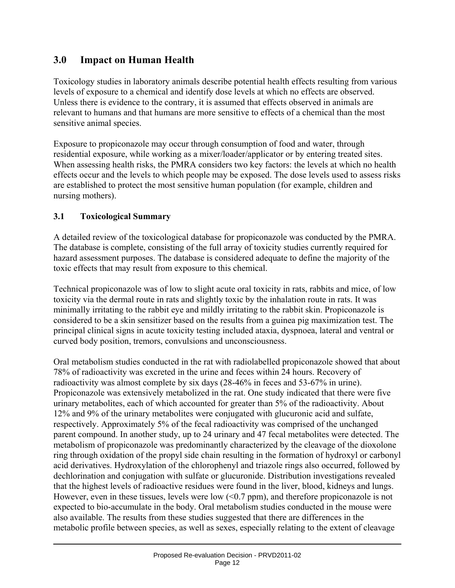### **3.0 Impact on Human Health**

Toxicology studies in laboratory animals describe potential health effects resulting from various levels of exposure to a chemical and identify dose levels at which no effects are observed. Unless there is evidence to the contrary, it is assumed that effects observed in animals are relevant to humans and that humans are more sensitive to effects of a chemical than the most sensitive animal species.

Exposure to propiconazole may occur through consumption of food and water, through residential exposure, while working as a mixer/loader/applicator or by entering treated sites. When assessing health risks, the PMRA considers two key factors: the levels at which no health effects occur and the levels to which people may be exposed. The dose levels used to assess risks are established to protect the most sensitive human population (for example, children and nursing mothers).

#### **3.1 Toxicological Summary**

A detailed review of the toxicological database for propiconazole was conducted by the PMRA. The database is complete, consisting of the full array of toxicity studies currently required for hazard assessment purposes. The database is considered adequate to define the majority of the toxic effects that may result from exposure to this chemical.

Technical propiconazole was of low to slight acute oral toxicity in rats, rabbits and mice, of low toxicity via the dermal route in rats and slightly toxic by the inhalation route in rats. It was minimally irritating to the rabbit eye and mildly irritating to the rabbit skin. Propiconazole is considered to be a skin sensitizer based on the results from a guinea pig maximization test. The principal clinical signs in acute toxicity testing included ataxia, dyspnoea, lateral and ventral or curved body position, tremors, convulsions and unconsciousness.

Oral metabolism studies conducted in the rat with radiolabelled propiconazole showed that about 78% of radioactivity was excreted in the urine and feces within 24 hours. Recovery of radioactivity was almost complete by six days (28-46% in feces and 53-67% in urine). Propiconazole was extensively metabolized in the rat. One study indicated that there were five urinary metabolites, each of which accounted for greater than 5% of the radioactivity. About 12% and 9% of the urinary metabolites were conjugated with glucuronic acid and sulfate, respectively. Approximately 5% of the fecal radioactivity was comprised of the unchanged parent compound. In another study, up to 24 urinary and 47 fecal metabolites were detected. The metabolism of propiconazole was predominantly characterized by the cleavage of the dioxolone ring through oxidation of the propyl side chain resulting in the formation of hydroxyl or carbonyl acid derivatives. Hydroxylation of the chlorophenyl and triazole rings also occurred, followed by dechlorination and conjugation with sulfate or glucuronide. Distribution investigations revealed that the highest levels of radioactive residues were found in the liver, blood, kidneys and lungs. However, even in these tissues, levels were low  $( $0.7$  ppm), and therefore propiconazole is not$ expected to bio-accumulate in the body. Oral metabolism studies conducted in the mouse were also available. The results from these studies suggested that there are differences in the metabolic profile between species, as well as sexes, especially relating to the extent of cleavage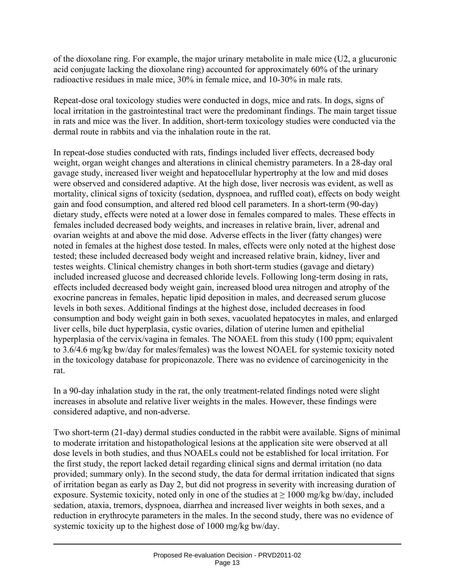of the dioxolane ring. For example, the major urinary metabolite in male mice (U2, a glucuronic acid conjugate lacking the dioxolane ring) accounted for approximately 60% of the urinary radioactive residues in male mice, 30% in female mice, and 10-30% in male rats.

Repeat-dose oral toxicology studies were conducted in dogs, mice and rats. In dogs, signs of local irritation in the gastrointestinal tract were the predominant findings. The main target tissue in rats and mice was the liver. In addition, short-term toxicology studies were conducted via the dermal route in rabbits and via the inhalation route in the rat.

In repeat-dose studies conducted with rats, findings included liver effects, decreased body weight, organ weight changes and alterations in clinical chemistry parameters. In a 28-day oral gavage study, increased liver weight and hepatocellular hypertrophy at the low and mid doses were observed and considered adaptive. At the high dose, liver necrosis was evident, as well as mortality, clinical signs of toxicity (sedation, dyspnoea, and ruffled coat), effects on body weight gain and food consumption, and altered red blood cell parameters. In a short-term (90-day) dietary study, effects were noted at a lower dose in females compared to males. These effects in females included decreased body weights, and increases in relative brain, liver, adrenal and ovarian weights at and above the mid dose. Adverse effects in the liver (fatty changes) were noted in females at the highest dose tested. In males, effects were only noted at the highest dose tested; these included decreased body weight and increased relative brain, kidney, liver and testes weights. Clinical chemistry changes in both short-term studies (gavage and dietary) included increased glucose and decreased chloride levels. Following long-term dosing in rats, effects included decreased body weight gain, increased blood urea nitrogen and atrophy of the exocrine pancreas in females, hepatic lipid deposition in males, and decreased serum glucose levels in both sexes. Additional findings at the highest dose, included decreases in food consumption and body weight gain in both sexes, vacuolated hepatocytes in males, and enlarged liver cells, bile duct hyperplasia, cystic ovaries, dilation of uterine lumen and epithelial hyperplasia of the cervix/vagina in females. The NOAEL from this study (100 ppm; equivalent to 3.6/4.6 mg/kg bw/day for males/females) was the lowest NOAEL for systemic toxicity noted in the toxicology database for propiconazole. There was no evidence of carcinogenicity in the rat.

In a 90-day inhalation study in the rat, the only treatment-related findings noted were slight increases in absolute and relative liver weights in the males. However, these findings were considered adaptive, and non-adverse.

Two short-term (21-day) dermal studies conducted in the rabbit were available. Signs of minimal to moderate irritation and histopathological lesions at the application site were observed at all dose levels in both studies, and thus NOAELs could not be established for local irritation. For the first study, the report lacked detail regarding clinical signs and dermal irritation (no data provided; summary only). In the second study, the data for dermal irritation indicated that signs of irritation began as early as Day 2, but did not progress in severity with increasing duration of exposure. Systemic toxicity, noted only in one of the studies at  $\geq 1000$  mg/kg bw/day, included sedation, ataxia, tremors, dyspnoea, diarrhea and increased liver weights in both sexes, and a reduction in erythrocyte parameters in the males. In the second study, there was no evidence of systemic toxicity up to the highest dose of 1000 mg/kg bw/day.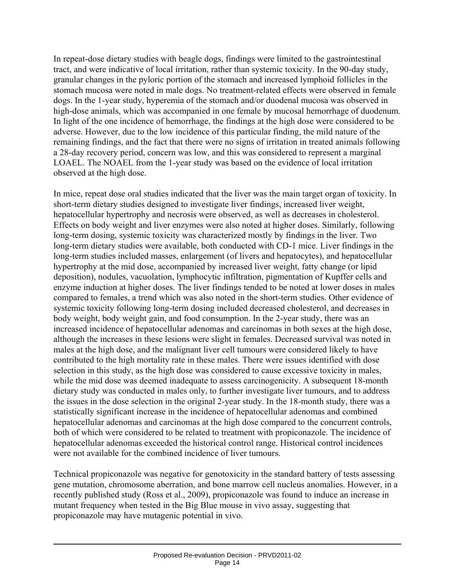In repeat-dose dietary studies with beagle dogs, findings were limited to the gastrointestinal tract, and were indicative of local irritation, rather than systemic toxicity. In the 90-day study, granular changes in the pyloric portion of the stomach and increased lymphoid follicles in the stomach mucosa were noted in male dogs. No treatment-related effects were observed in female dogs. In the 1-year study, hyperemia of the stomach and/or duodenal mucosa was observed in high-dose animals, which was accompanied in one female by mucosal hemorrhage of duodenum. In light of the one incidence of hemorrhage, the findings at the high dose were considered to be adverse. However, due to the low incidence of this particular finding, the mild nature of the remaining findings, and the fact that there were no signs of irritation in treated animals following a 28-day recovery period, concern was low, and this was considered to represent a marginal LOAEL. The NOAEL from the 1-year study was based on the evidence of local irritation observed at the high dose.

In mice, repeat dose oral studies indicated that the liver was the main target organ of toxicity. In short-term dietary studies designed to investigate liver findings, increased liver weight, hepatocellular hypertrophy and necrosis were observed, as well as decreases in cholesterol. Effects on body weight and liver enzymes were also noted at higher doses. Similarly, following long-term dosing, systemic toxicity was characterized mostly by findings in the liver. Two long-term dietary studies were available, both conducted with CD-1 mice. Liver findings in the long-term studies included masses, enlargement (of livers and hepatocytes), and hepatocellular hypertrophy at the mid dose, accompanied by increased liver weight, fatty change (or lipid deposition), nodules, vacuolation, lymphocytic infiltration, pigmentation of Kupffer cells and enzyme induction at higher doses. The liver findings tended to be noted at lower doses in males compared to females, a trend which was also noted in the short-term studies. Other evidence of systemic toxicity following long-term dosing included decreased cholesterol, and decreases in body weight, body weight gain, and food consumption. In the 2-year study, there was an increased incidence of hepatocellular adenomas and carcinomas in both sexes at the high dose, although the increases in these lesions were slight in females. Decreased survival was noted in males at the high dose, and the malignant liver cell tumours were considered likely to have contributed to the high mortality rate in these males. There were issues identified with dose selection in this study, as the high dose was considered to cause excessive toxicity in males, while the mid dose was deemed inadequate to assess carcinogenicity. A subsequent 18-month dietary study was conducted in males only, to further investigate liver tumours, and to address the issues in the dose selection in the original 2-year study. In the 18-month study, there was a statistically significant increase in the incidence of hepatocellular adenomas and combined hepatocellular adenomas and carcinomas at the high dose compared to the concurrent controls, both of which were considered to be related to treatment with propiconazole. The incidence of hepatocellular adenomas exceeded the historical control range. Historical control incidences were not available for the combined incidence of liver tumours.

Technical propiconazole was negative for genotoxicity in the standard battery of tests assessing gene mutation, chromosome aberration, and bone marrow cell nucleus anomalies. However, in a recently published study (Ross et al., 2009), propiconazole was found to induce an increase in mutant frequency when tested in the Big Blue mouse in vivo assay, suggesting that propiconazole may have mutagenic potential in vivo.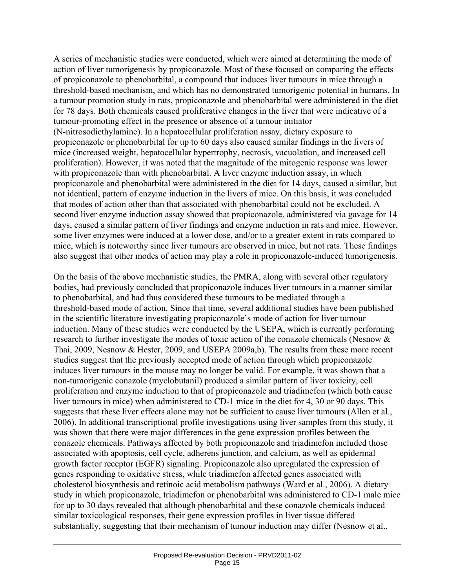A series of mechanistic studies were conducted, which were aimed at determining the mode of action of liver tumorigenesis by propiconazole. Most of these focused on comparing the effects of propiconazole to phenobarbital, a compound that induces liver tumours in mice through a threshold-based mechanism, and which has no demonstrated tumorigenic potential in humans. In a tumour promotion study in rats, propiconazole and phenobarbital were administered in the diet for 78 days. Both chemicals caused proliferative changes in the liver that were indicative of a tumour-promoting effect in the presence or absence of a tumour initiator (N-nitrosodiethylamine). In a hepatocellular proliferation assay, dietary exposure to propiconazole or phenobarbital for up to 60 days also caused similar findings in the livers of mice (increased weight, hepatocellular hypertrophy, necrosis, vacuolation, and increased cell proliferation). However, it was noted that the magnitude of the mitogenic response was lower with propiconazole than with phenobarbital. A liver enzyme induction assay, in which propiconazole and phenobarbital were administered in the diet for 14 days, caused a similar, but not identical, pattern of enzyme induction in the livers of mice. On this basis, it was concluded that modes of action other than that associated with phenobarbital could not be excluded. A second liver enzyme induction assay showed that propiconazole, administered via gavage for 14 days, caused a similar pattern of liver findings and enzyme induction in rats and mice. However, some liver enzymes were induced at a lower dose, and/or to a greater extent in rats compared to mice, which is noteworthy since liver tumours are observed in mice, but not rats. These findings also suggest that other modes of action may play a role in propiconazole-induced tumorigenesis.

On the basis of the above mechanistic studies, the PMRA, along with several other regulatory bodies, had previously concluded that propiconazole induces liver tumours in a manner similar to phenobarbital, and had thus considered these tumours to be mediated through a threshold-based mode of action. Since that time, several additional studies have been published in the scientific literature investigating propiconazole's mode of action for liver tumour induction. Many of these studies were conducted by the USEPA, which is currently performing research to further investigate the modes of toxic action of the conazole chemicals (Nesnow & Thai, 2009, Nesnow & Hester, 2009, and USEPA 2009a,b). The results from these more recent studies suggest that the previously accepted mode of action through which propiconazole induces liver tumours in the mouse may no longer be valid. For example, it was shown that a non-tumorigenic conazole (myclobutanil) produced a similar pattern of liver toxicity, cell proliferation and enzyme induction to that of propiconazole and triadimefon (which both cause liver tumours in mice) when administered to CD-1 mice in the diet for 4, 30 or 90 days. This suggests that these liver effects alone may not be sufficient to cause liver tumours (Allen et al., 2006). In additional transcriptional profile investigations using liver samples from this study, it was shown that there were major differences in the gene expression profiles between the conazole chemicals. Pathways affected by both propiconazole and triadimefon included those associated with apoptosis, cell cycle, adherens junction, and calcium, as well as epidermal growth factor receptor (EGFR) signaling. Propiconazole also upregulated the expression of genes responding to oxidative stress, while triadimefon affected genes associated with cholesterol biosynthesis and retinoic acid metabolism pathways (Ward et al., 2006). A dietary study in which propiconazole, triadimefon or phenobarbital was administered to CD-1 male mice for up to 30 days revealed that although phenobarbital and these conazole chemicals induced similar toxicological responses, their gene expression profiles in liver tissue differed substantially, suggesting that their mechanism of tumour induction may differ (Nesnow et al.,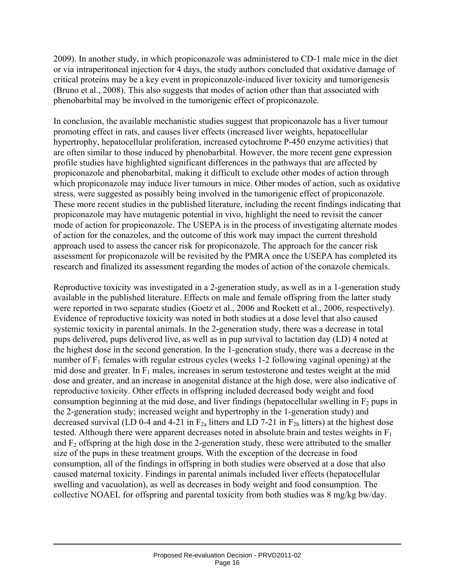2009). In another study, in which propiconazole was administered to CD-1 male mice in the diet or via intraperitoneal injection for 4 days, the study authors concluded that oxidative damage of critical proteins may be a key event in propiconazole-induced liver toxicity and tumorigenesis (Bruno et al., 2008). This also suggests that modes of action other than that associated with phenobarbital may be involved in the tumorigenic effect of propiconazole.

In conclusion, the available mechanistic studies suggest that propiconazole has a liver tumour promoting effect in rats, and causes liver effects (increased liver weights, hepatocellular hypertrophy, hepatocellular proliferation, increased cytochrome P-450 enzyme activities) that are often similar to those induced by phenobarbital. However, the more recent gene expression profile studies have highlighted significant differences in the pathways that are affected by propiconazole and phenobarbital, making it difficult to exclude other modes of action through which propiconazole may induce liver tumours in mice. Other modes of action, such as oxidative stress, were suggested as possibly being involved in the tumorigenic effect of propiconazole. These more recent studies in the published literature, including the recent findings indicating that propiconazole may have mutagenic potential in vivo, highlight the need to revisit the cancer mode of action for propiconazole. The USEPA is in the process of investigating alternate modes of action for the conazoles, and the outcome of this work may impact the current threshold approach used to assess the cancer risk for propiconazole. The approach for the cancer risk assessment for propiconazole will be revisited by the PMRA once the USEPA has completed its research and finalized its assessment regarding the modes of action of the conazole chemicals.

Reproductive toxicity was investigated in a 2-generation study, as well as in a 1-generation study available in the published literature. Effects on male and female offspring from the latter study were reported in two separate studies (Goetz et al., 2006 and Rockett et al., 2006, respectively). Evidence of reproductive toxicity was noted in both studies at a dose level that also caused systemic toxicity in parental animals. In the 2-generation study, there was a decrease in total pups delivered, pups delivered live, as well as in pup survival to lactation day (LD) 4 noted at the highest dose in the second generation. In the 1-generation study, there was a decrease in the number of  $F_1$  females with regular estrous cycles (weeks 1-2 following vaginal opening) at the mid dose and greater. In  $F_1$  males, increases in serum testosterone and testes weight at the mid dose and greater, and an increase in anogenital distance at the high dose, were also indicative of reproductive toxicity. Other effects in offspring included decreased body weight and food consumption beginning at the mid dose, and liver findings (hepatocellular swelling in  $F_2$  pups in the 2-generation study; increased weight and hypertrophy in the 1-generation study) and decreased survival (LD 0-4 and 4-21 in  $F_{2a}$  litters and LD 7-21 in  $F_{2b}$  litters) at the highest dose tested. Although there were apparent decreases noted in absolute brain and testes weights in  $F_1$ and  $F_2$  offspring at the high dose in the 2-generation study, these were attributed to the smaller size of the pups in these treatment groups. With the exception of the decrease in food consumption, all of the findings in offspring in both studies were observed at a dose that also caused maternal toxicity. Findings in parental animals included liver effects (hepatocellular swelling and vacuolation), as well as decreases in body weight and food consumption. The collective NOAEL for offspring and parental toxicity from both studies was 8 mg/kg bw/day.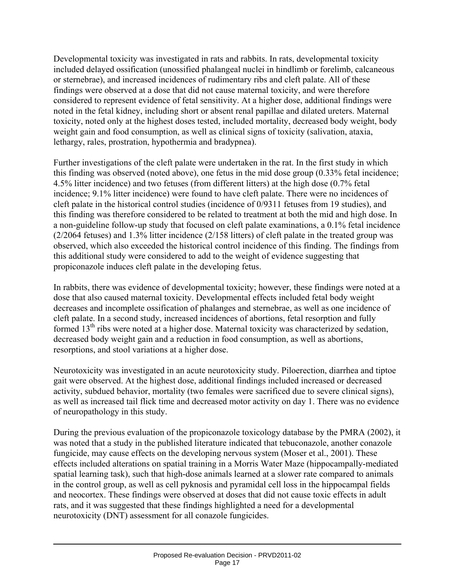Developmental toxicity was investigated in rats and rabbits. In rats, developmental toxicity included delayed ossification (unossified phalangeal nuclei in hindlimb or forelimb, calcaneous or sternebrae), and increased incidences of rudimentary ribs and cleft palate. All of these findings were observed at a dose that did not cause maternal toxicity, and were therefore considered to represent evidence of fetal sensitivity. At a higher dose, additional findings were noted in the fetal kidney, including short or absent renal papillae and dilated ureters. Maternal toxicity, noted only at the highest doses tested, included mortality, decreased body weight, body weight gain and food consumption, as well as clinical signs of toxicity (salivation, ataxia, lethargy, rales, prostration, hypothermia and bradypnea).

Further investigations of the cleft palate were undertaken in the rat. In the first study in which this finding was observed (noted above), one fetus in the mid dose group (0.33% fetal incidence; 4.5% litter incidence) and two fetuses (from different litters) at the high dose (0.7% fetal incidence; 9.1% litter incidence) were found to have cleft palate. There were no incidences of cleft palate in the historical control studies (incidence of 0/9311 fetuses from 19 studies), and this finding was therefore considered to be related to treatment at both the mid and high dose. In a non-guideline follow-up study that focused on cleft palate examinations, a 0.1% fetal incidence (2/2064 fetuses) and 1.3% litter incidence (2/158 litters) of cleft palate in the treated group was observed, which also exceeded the historical control incidence of this finding. The findings from this additional study were considered to add to the weight of evidence suggesting that propiconazole induces cleft palate in the developing fetus.

In rabbits, there was evidence of developmental toxicity; however, these findings were noted at a dose that also caused maternal toxicity. Developmental effects included fetal body weight decreases and incomplete ossification of phalanges and sternebrae, as well as one incidence of cleft palate. In a second study, increased incidences of abortions, fetal resorption and fully formed  $13<sup>th</sup>$  ribs were noted at a higher dose. Maternal toxicity was characterized by sedation, decreased body weight gain and a reduction in food consumption, as well as abortions, resorptions, and stool variations at a higher dose.

Neurotoxicity was investigated in an acute neurotoxicity study. Piloerection, diarrhea and tiptoe gait were observed. At the highest dose, additional findings included increased or decreased activity, subdued behavior, mortality (two females were sacrificed due to severe clinical signs), as well as increased tail flick time and decreased motor activity on day 1. There was no evidence of neuropathology in this study.

During the previous evaluation of the propiconazole toxicology database by the PMRA (2002), it was noted that a study in the published literature indicated that tebuconazole, another conazole fungicide, may cause effects on the developing nervous system (Moser et al., 2001). These effects included alterations on spatial training in a Morris Water Maze (hippocampally-mediated spatial learning task), such that high-dose animals learned at a slower rate compared to animals in the control group, as well as cell pyknosis and pyramidal cell loss in the hippocampal fields and neocortex. These findings were observed at doses that did not cause toxic effects in adult rats, and it was suggested that these findings highlighted a need for a developmental neurotoxicity (DNT) assessment for all conazole fungicides.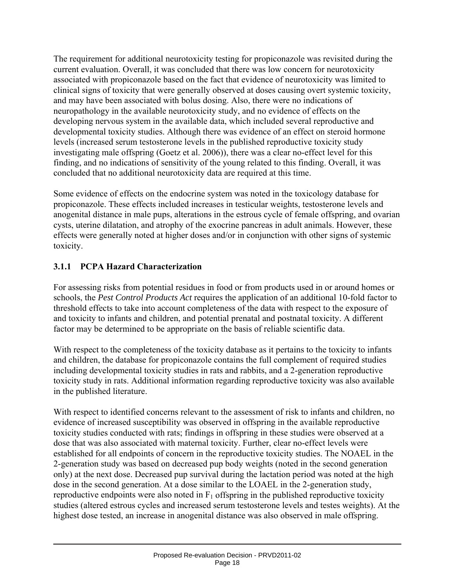The requirement for additional neurotoxicity testing for propiconazole was revisited during the current evaluation. Overall, it was concluded that there was low concern for neurotoxicity associated with propiconazole based on the fact that evidence of neurotoxicity was limited to clinical signs of toxicity that were generally observed at doses causing overt systemic toxicity, and may have been associated with bolus dosing. Also, there were no indications of neuropathology in the available neurotoxicity study, and no evidence of effects on the developing nervous system in the available data, which included several reproductive and developmental toxicity studies. Although there was evidence of an effect on steroid hormone levels (increased serum testosterone levels in the published reproductive toxicity study investigating male offspring (Goetz et al. 2006)), there was a clear no-effect level for this finding, and no indications of sensitivity of the young related to this finding. Overall, it was concluded that no additional neurotoxicity data are required at this time.

Some evidence of effects on the endocrine system was noted in the toxicology database for propiconazole. These effects included increases in testicular weights, testosterone levels and anogenital distance in male pups, alterations in the estrous cycle of female offspring, and ovarian cysts, uterine dilatation, and atrophy of the exocrine pancreas in adult animals. However, these effects were generally noted at higher doses and/or in conjunction with other signs of systemic toxicity.

#### **3.1.1 PCPA Hazard Characterization**

For assessing risks from potential residues in food or from products used in or around homes or schools, the *Pest Control Products Act* requires the application of an additional 10-fold factor to threshold effects to take into account completeness of the data with respect to the exposure of and toxicity to infants and children, and potential prenatal and postnatal toxicity. A different factor may be determined to be appropriate on the basis of reliable scientific data.

With respect to the completeness of the toxicity database as it pertains to the toxicity to infants and children, the database for propiconazole contains the full complement of required studies including developmental toxicity studies in rats and rabbits, and a 2-generation reproductive toxicity study in rats. Additional information regarding reproductive toxicity was also available in the published literature.

With respect to identified concerns relevant to the assessment of risk to infants and children, no evidence of increased susceptibility was observed in offspring in the available reproductive toxicity studies conducted with rats; findings in offspring in these studies were observed at a dose that was also associated with maternal toxicity. Further, clear no-effect levels were established for all endpoints of concern in the reproductive toxicity studies. The NOAEL in the 2-generation study was based on decreased pup body weights (noted in the second generation only) at the next dose. Decreased pup survival during the lactation period was noted at the high dose in the second generation. At a dose similar to the LOAEL in the 2-generation study, reproductive endpoints were also noted in  $F_1$  offspring in the published reproductive toxicity studies (altered estrous cycles and increased serum testosterone levels and testes weights). At the highest dose tested, an increase in anogenital distance was also observed in male offspring.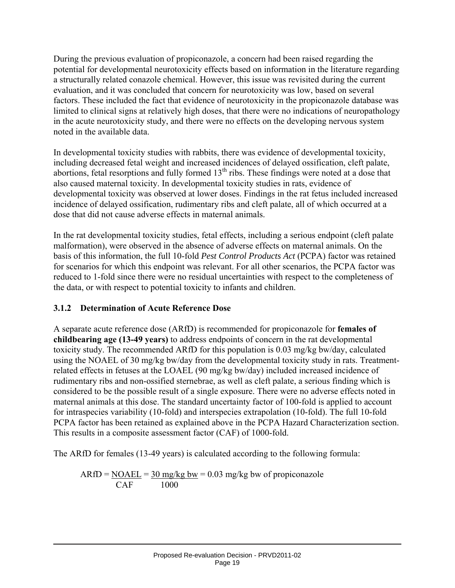During the previous evaluation of propiconazole, a concern had been raised regarding the potential for developmental neurotoxicity effects based on information in the literature regarding a structurally related conazole chemical. However, this issue was revisited during the current evaluation, and it was concluded that concern for neurotoxicity was low, based on several factors. These included the fact that evidence of neurotoxicity in the propiconazole database was limited to clinical signs at relatively high doses, that there were no indications of neuropathology in the acute neurotoxicity study, and there were no effects on the developing nervous system noted in the available data.

In developmental toxicity studies with rabbits, there was evidence of developmental toxicity, including decreased fetal weight and increased incidences of delayed ossification, cleft palate, abortions, fetal resorptions and fully formed  $13<sup>th</sup>$  ribs. These findings were noted at a dose that also caused maternal toxicity. In developmental toxicity studies in rats, evidence of developmental toxicity was observed at lower doses. Findings in the rat fetus included increased incidence of delayed ossification, rudimentary ribs and cleft palate, all of which occurred at a dose that did not cause adverse effects in maternal animals.

In the rat developmental toxicity studies, fetal effects, including a serious endpoint (cleft palate malformation), were observed in the absence of adverse effects on maternal animals. On the basis of this information, the full 10-fold *Pest Control Products Act* (PCPA) factor was retained for scenarios for which this endpoint was relevant. For all other scenarios, the PCPA factor was reduced to 1-fold since there were no residual uncertainties with respect to the completeness of the data, or with respect to potential toxicity to infants and children.

#### **3.1.2 Determination of Acute Reference Dose**

A separate acute reference dose (ARfD) is recommended for propiconazole for **females of childbearing age (13-49 years)** to address endpoints of concern in the rat developmental toxicity study. The recommended ARfD for this population is 0.03 mg/kg bw/day, calculated using the NOAEL of 30 mg/kg bw/day from the developmental toxicity study in rats. Treatmentrelated effects in fetuses at the LOAEL (90 mg/kg bw/day) included increased incidence of rudimentary ribs and non-ossified sternebrae, as well as cleft palate, a serious finding which is considered to be the possible result of a single exposure. There were no adverse effects noted in maternal animals at this dose. The standard uncertainty factor of 100-fold is applied to account for intraspecies variability (10-fold) and interspecies extrapolation (10-fold). The full 10-fold PCPA factor has been retained as explained above in the PCPA Hazard Characterization section. This results in a composite assessment factor (CAF) of 1000-fold.

The ARfD for females (13-49 years) is calculated according to the following formula:

$$
ARfD = \frac{NOAEL}{CAF} = \frac{30 \text{ mg/kg bw}}{1000} = 0.03 \text{ mg/kg bw of propiconazole}
$$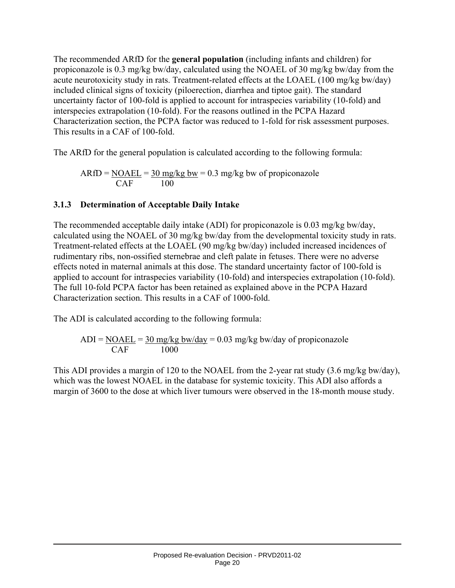The recommended ARfD for the **general population** (including infants and children) for propiconazole is 0.3 mg/kg bw/day, calculated using the NOAEL of 30 mg/kg bw/day from the acute neurotoxicity study in rats. Treatment-related effects at the LOAEL (100 mg/kg bw/day) included clinical signs of toxicity (piloerection, diarrhea and tiptoe gait). The standard uncertainty factor of 100-fold is applied to account for intraspecies variability (10-fold) and interspecies extrapolation (10-fold). For the reasons outlined in the PCPA Hazard Characterization section, the PCPA factor was reduced to 1-fold for risk assessment purposes. This results in a CAF of 100-fold.

The ARfD for the general population is calculated according to the following formula:

$$
ARfD = \frac{NOAEL}{CAF} = \frac{30 \text{ mg/kg bw}}{100} = 0.3 \text{ mg/kg bw of propiconazole}
$$

#### **3.1.3 Determination of Acceptable Daily Intake**

The recommended acceptable daily intake (ADI) for propiconazole is 0.03 mg/kg bw/day, calculated using the NOAEL of 30 mg/kg bw/day from the developmental toxicity study in rats. Treatment-related effects at the LOAEL (90 mg/kg bw/day) included increased incidences of rudimentary ribs, non-ossified sternebrae and cleft palate in fetuses. There were no adverse effects noted in maternal animals at this dose. The standard uncertainty factor of 100-fold is applied to account for intraspecies variability (10-fold) and interspecies extrapolation (10-fold). The full 10-fold PCPA factor has been retained as explained above in the PCPA Hazard Characterization section. This results in a CAF of 1000-fold.

The ADI is calculated according to the following formula:

 $ADI = NOAEL = 30$  mg/kg bw/day = 0.03 mg/kg bw/day of propiconazole CAF 1000

This ADI provides a margin of 120 to the NOAEL from the 2-year rat study (3.6 mg/kg bw/day), which was the lowest NOAEL in the database for systemic toxicity. This ADI also affords a margin of 3600 to the dose at which liver tumours were observed in the 18-month mouse study.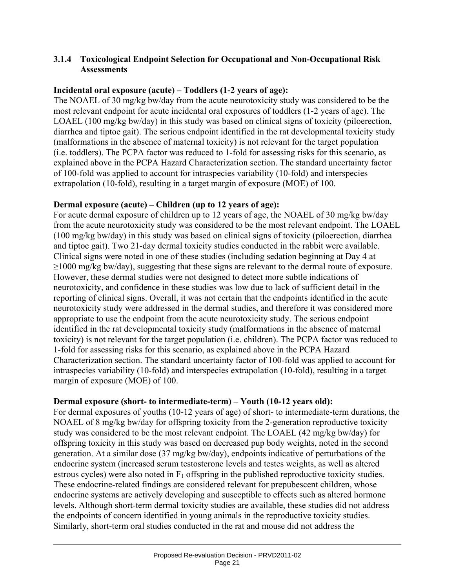#### **3.1.4 Toxicological Endpoint Selection for Occupational and Non-Occupational Risk Assessments**

#### **Incidental oral exposure (acute) – Toddlers (1-2 years of age):**

The NOAEL of 30 mg/kg bw/day from the acute neurotoxicity study was considered to be the most relevant endpoint for acute incidental oral exposures of toddlers (1-2 years of age). The LOAEL (100 mg/kg bw/day) in this study was based on clinical signs of toxicity (piloerection, diarrhea and tiptoe gait). The serious endpoint identified in the rat developmental toxicity study (malformations in the absence of maternal toxicity) is not relevant for the target population (i.e. toddlers). The PCPA factor was reduced to 1-fold for assessing risks for this scenario, as explained above in the PCPA Hazard Characterization section. The standard uncertainty factor of 100-fold was applied to account for intraspecies variability (10-fold) and interspecies extrapolation (10-fold), resulting in a target margin of exposure (MOE) of 100.

#### **Dermal exposure (acute) – Children (up to 12 years of age):**

For acute dermal exposure of children up to 12 years of age, the NOAEL of 30 mg/kg bw/day from the acute neurotoxicity study was considered to be the most relevant endpoint. The LOAEL (100 mg/kg bw/day) in this study was based on clinical signs of toxicity (piloerection, diarrhea and tiptoe gait). Two 21-day dermal toxicity studies conducted in the rabbit were available. Clinical signs were noted in one of these studies (including sedation beginning at Day 4 at ≥1000 mg/kg bw/day), suggesting that these signs are relevant to the dermal route of exposure. However, these dermal studies were not designed to detect more subtle indications of neurotoxicity, and confidence in these studies was low due to lack of sufficient detail in the reporting of clinical signs. Overall, it was not certain that the endpoints identified in the acute neurotoxicity study were addressed in the dermal studies, and therefore it was considered more appropriate to use the endpoint from the acute neurotoxicity study. The serious endpoint identified in the rat developmental toxicity study (malformations in the absence of maternal toxicity) is not relevant for the target population (i.e. children). The PCPA factor was reduced to 1-fold for assessing risks for this scenario, as explained above in the PCPA Hazard Characterization section. The standard uncertainty factor of 100-fold was applied to account for intraspecies variability (10-fold) and interspecies extrapolation (10-fold), resulting in a target margin of exposure (MOE) of 100.

#### **Dermal exposure (short- to intermediate-term) – Youth (10-12 years old):**

For dermal exposures of youths (10-12 years of age) of short- to intermediate-term durations, the NOAEL of 8 mg/kg bw/day for offspring toxicity from the 2-generation reproductive toxicity study was considered to be the most relevant endpoint. The LOAEL (42 mg/kg bw/day) for offspring toxicity in this study was based on decreased pup body weights, noted in the second generation. At a similar dose (37 mg/kg bw/day), endpoints indicative of perturbations of the endocrine system (increased serum testosterone levels and testes weights, as well as altered estrous cycles) were also noted in  $F_1$  offspring in the published reproductive toxicity studies. These endocrine-related findings are considered relevant for prepubescent children, whose endocrine systems are actively developing and susceptible to effects such as altered hormone levels. Although short-term dermal toxicity studies are available, these studies did not address the endpoints of concern identified in young animals in the reproductive toxicity studies. Similarly, short-term oral studies conducted in the rat and mouse did not address the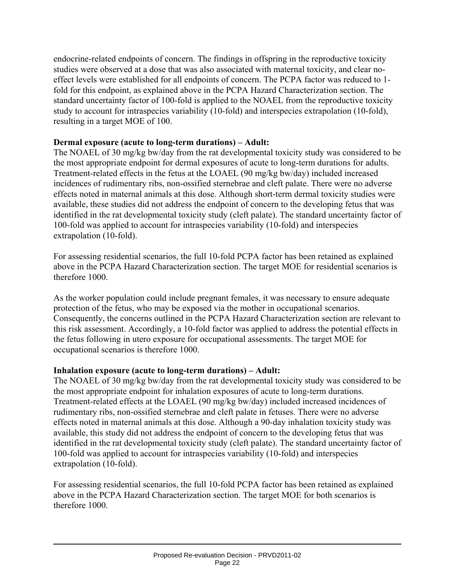endocrine-related endpoints of concern. The findings in offspring in the reproductive toxicity studies were observed at a dose that was also associated with maternal toxicity, and clear noeffect levels were established for all endpoints of concern. The PCPA factor was reduced to 1 fold for this endpoint, as explained above in the PCPA Hazard Characterization section. The standard uncertainty factor of 100-fold is applied to the NOAEL from the reproductive toxicity study to account for intraspecies variability (10-fold) and interspecies extrapolation (10-fold), resulting in a target MOE of 100.

#### **Dermal exposure (acute to long-term durations) – Adult:**

The NOAEL of 30 mg/kg bw/day from the rat developmental toxicity study was considered to be the most appropriate endpoint for dermal exposures of acute to long-term durations for adults. Treatment-related effects in the fetus at the LOAEL (90 mg/kg bw/day) included increased incidences of rudimentary ribs, non-ossified sternebrae and cleft palate. There were no adverse effects noted in maternal animals at this dose. Although short-term dermal toxicity studies were available, these studies did not address the endpoint of concern to the developing fetus that was identified in the rat developmental toxicity study (cleft palate). The standard uncertainty factor of 100-fold was applied to account for intraspecies variability (10-fold) and interspecies extrapolation (10-fold).

For assessing residential scenarios, the full 10-fold PCPA factor has been retained as explained above in the PCPA Hazard Characterization section. The target MOE for residential scenarios is therefore 1000.

As the worker population could include pregnant females, it was necessary to ensure adequate protection of the fetus, who may be exposed via the mother in occupational scenarios. Consequently, the concerns outlined in the PCPA Hazard Characterization section are relevant to this risk assessment. Accordingly, a 10-fold factor was applied to address the potential effects in the fetus following in utero exposure for occupational assessments. The target MOE for occupational scenarios is therefore 1000.

#### **Inhalation exposure (acute to long-term durations) – Adult:**

The NOAEL of 30 mg/kg bw/day from the rat developmental toxicity study was considered to be the most appropriate endpoint for inhalation exposures of acute to long-term durations. Treatment-related effects at the LOAEL (90 mg/kg bw/day) included increased incidences of rudimentary ribs, non-ossified sternebrae and cleft palate in fetuses. There were no adverse effects noted in maternal animals at this dose. Although a 90-day inhalation toxicity study was available, this study did not address the endpoint of concern to the developing fetus that was identified in the rat developmental toxicity study (cleft palate). The standard uncertainty factor of 100-fold was applied to account for intraspecies variability (10-fold) and interspecies extrapolation (10-fold).

For assessing residential scenarios, the full 10-fold PCPA factor has been retained as explained above in the PCPA Hazard Characterization section. The target MOE for both scenarios is therefore 1000.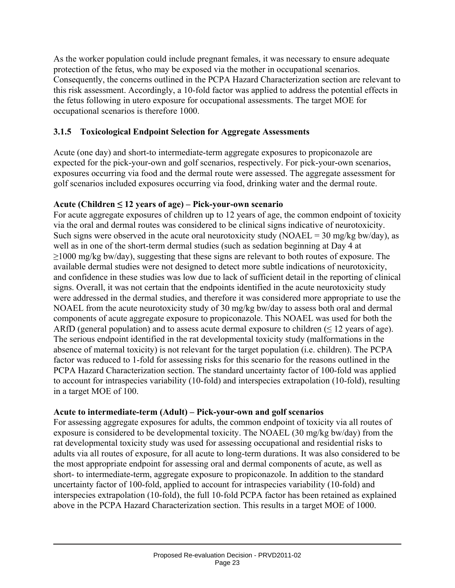As the worker population could include pregnant females, it was necessary to ensure adequate protection of the fetus, who may be exposed via the mother in occupational scenarios. Consequently, the concerns outlined in the PCPA Hazard Characterization section are relevant to this risk assessment. Accordingly, a 10-fold factor was applied to address the potential effects in the fetus following in utero exposure for occupational assessments. The target MOE for occupational scenarios is therefore 1000.

#### **3.1.5 Toxicological Endpoint Selection for Aggregate Assessments**

Acute (one day) and short-to intermediate-term aggregate exposures to propiconazole are expected for the pick-your-own and golf scenarios, respectively. For pick-your-own scenarios, exposures occurring via food and the dermal route were assessed. The aggregate assessment for golf scenarios included exposures occurring via food, drinking water and the dermal route.

#### **Acute (Children ≤ 12 years of age) – Pick-your-own scenario**

For acute aggregate exposures of children up to 12 years of age, the common endpoint of toxicity via the oral and dermal routes was considered to be clinical signs indicative of neurotoxicity. Such signs were observed in the acute oral neurotoxicity study (NOAEL =  $30 \text{ mg/kg}$  bw/day), as well as in one of the short-term dermal studies (such as sedation beginning at Day 4 at ≥1000 mg/kg bw/day), suggesting that these signs are relevant to both routes of exposure. The available dermal studies were not designed to detect more subtle indications of neurotoxicity, and confidence in these studies was low due to lack of sufficient detail in the reporting of clinical signs. Overall, it was not certain that the endpoints identified in the acute neurotoxicity study were addressed in the dermal studies, and therefore it was considered more appropriate to use the NOAEL from the acute neurotoxicity study of 30 mg/kg bw/day to assess both oral and dermal components of acute aggregate exposure to propiconazole. This NOAEL was used for both the ARfD (general population) and to assess acute dermal exposure to children  $( \leq 12 \text{ years of age}).$ The serious endpoint identified in the rat developmental toxicity study (malformations in the absence of maternal toxicity) is not relevant for the target population (i.e. children). The PCPA factor was reduced to 1-fold for assessing risks for this scenario for the reasons outlined in the PCPA Hazard Characterization section. The standard uncertainty factor of 100-fold was applied to account for intraspecies variability (10-fold) and interspecies extrapolation (10-fold), resulting in a target MOE of 100.

#### **Acute to intermediate-term (Adult) – Pick-your-own and golf scenarios**

For assessing aggregate exposures for adults, the common endpoint of toxicity via all routes of exposure is considered to be developmental toxicity. The NOAEL (30 mg/kg bw/day) from the rat developmental toxicity study was used for assessing occupational and residential risks to adults via all routes of exposure, for all acute to long-term durations. It was also considered to be the most appropriate endpoint for assessing oral and dermal components of acute, as well as short- to intermediate-term, aggregate exposure to propiconazole. In addition to the standard uncertainty factor of 100-fold, applied to account for intraspecies variability (10-fold) and interspecies extrapolation (10-fold), the full 10-fold PCPA factor has been retained as explained above in the PCPA Hazard Characterization section. This results in a target MOE of 1000.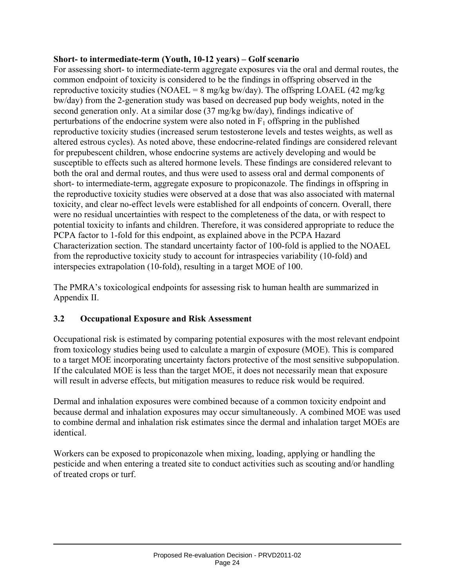#### **Short- to intermediate-term (Youth, 10-12 years) – Golf scenario**

For assessing short- to intermediate-term aggregate exposures via the oral and dermal routes, the common endpoint of toxicity is considered to be the findings in offspring observed in the reproductive toxicity studies (NOAEL =  $8 \text{ mg/kg}$  bw/day). The offspring LOAEL (42 mg/kg) bw/day) from the 2-generation study was based on decreased pup body weights, noted in the second generation only. At a similar dose (37 mg/kg bw/day), findings indicative of perturbations of the endocrine system were also noted in  $F_1$  offspring in the published reproductive toxicity studies (increased serum testosterone levels and testes weights, as well as altered estrous cycles). As noted above, these endocrine-related findings are considered relevant for prepubescent children, whose endocrine systems are actively developing and would be susceptible to effects such as altered hormone levels. These findings are considered relevant to both the oral and dermal routes, and thus were used to assess oral and dermal components of short- to intermediate-term, aggregate exposure to propiconazole. The findings in offspring in the reproductive toxicity studies were observed at a dose that was also associated with maternal toxicity, and clear no-effect levels were established for all endpoints of concern. Overall, there were no residual uncertainties with respect to the completeness of the data, or with respect to potential toxicity to infants and children. Therefore, it was considered appropriate to reduce the PCPA factor to 1-fold for this endpoint, as explained above in the PCPA Hazard Characterization section. The standard uncertainty factor of 100-fold is applied to the NOAEL from the reproductive toxicity study to account for intraspecies variability (10-fold) and interspecies extrapolation (10-fold), resulting in a target MOE of 100.

The PMRA's toxicological endpoints for assessing risk to human health are summarized in Appendix II.

#### **3.2 Occupational Exposure and Risk Assessment**

Occupational risk is estimated by comparing potential exposures with the most relevant endpoint from toxicology studies being used to calculate a margin of exposure (MOE). This is compared to a target MOE incorporating uncertainty factors protective of the most sensitive subpopulation. If the calculated MOE is less than the target MOE, it does not necessarily mean that exposure will result in adverse effects, but mitigation measures to reduce risk would be required.

Dermal and inhalation exposures were combined because of a common toxicity endpoint and because dermal and inhalation exposures may occur simultaneously. A combined MOE was used to combine dermal and inhalation risk estimates since the dermal and inhalation target MOEs are identical.

Workers can be exposed to propiconazole when mixing, loading, applying or handling the pesticide and when entering a treated site to conduct activities such as scouting and/or handling of treated crops or turf.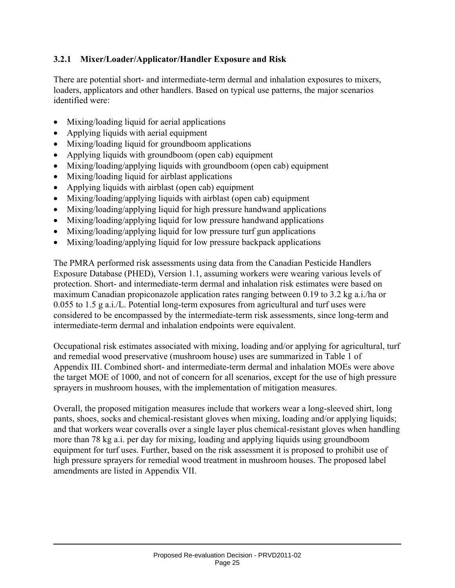#### **3.2.1 Mixer/Loader/Applicator/Handler Exposure and Risk**

There are potential short- and intermediate-term dermal and inhalation exposures to mixers, loaders, applicators and other handlers. Based on typical use patterns, the major scenarios identified were:

- Mixing/loading liquid for aerial applications
- Applying liquids with aerial equipment
- Mixing/loading liquid for groundboom applications
- Applying liquids with groundboom (open cab) equipment
- Mixing/loading/applying liquids with groundboom (open cab) equipment
- Mixing/loading liquid for airblast applications
- Applying liquids with airblast (open cab) equipment
- Mixing/loading/applying liquids with airblast (open cab) equipment
- Mixing/loading/applying liquid for high pressure handwand applications
- Mixing/loading/applying liquid for low pressure handwand applications
- Mixing/loading/applying liquid for low pressure turf gun applications
- Mixing/loading/applying liquid for low pressure backpack applications

The PMRA performed risk assessments using data from the Canadian Pesticide Handlers Exposure Database (PHED), Version 1.1, assuming workers were wearing various levels of protection. Short- and intermediate-term dermal and inhalation risk estimates were based on maximum Canadian propiconazole application rates ranging between 0.19 to 3.2 kg a.i./ha or 0.055 to 1.5 g a.i./L. Potential long-term exposures from agricultural and turf uses were considered to be encompassed by the intermediate-term risk assessments, since long-term and intermediate-term dermal and inhalation endpoints were equivalent.

Occupational risk estimates associated with mixing, loading and/or applying for agricultural, turf and remedial wood preservative (mushroom house) uses are summarized in Table 1 of Appendix III. Combined short- and intermediate-term dermal and inhalation MOEs were above the target MOE of 1000, and not of concern for all scenarios, except for the use of high pressure sprayers in mushroom houses, with the implementation of mitigation measures.

Overall, the proposed mitigation measures include that workers wear a long-sleeved shirt, long pants, shoes, socks and chemical-resistant gloves when mixing, loading and/or applying liquids; and that workers wear coveralls over a single layer plus chemical-resistant gloves when handling more than 78 kg a.i. per day for mixing, loading and applying liquids using groundboom equipment for turf uses. Further, based on the risk assessment it is proposed to prohibit use of high pressure sprayers for remedial wood treatment in mushroom houses. The proposed label amendments are listed in Appendix VII.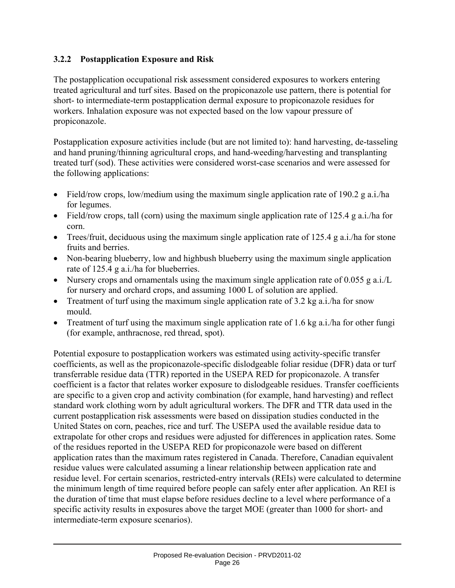#### **3.2.2 Postapplication Exposure and Risk**

The postapplication occupational risk assessment considered exposures to workers entering treated agricultural and turf sites. Based on the propiconazole use pattern, there is potential for short- to intermediate-term postapplication dermal exposure to propiconazole residues for workers. Inhalation exposure was not expected based on the low vapour pressure of propiconazole.

Postapplication exposure activities include (but are not limited to): hand harvesting, de-tasseling and hand pruning/thinning agricultural crops, and hand-weeding/harvesting and transplanting treated turf (sod). These activities were considered worst-case scenarios and were assessed for the following applications:

- Field/row crops, low/medium using the maximum single application rate of 190.2 g a.i./ha for legumes.
- Field/row crops, tall (corn) using the maximum single application rate of 125.4 g a.i./ha for corn.
- Trees/fruit, deciduous using the maximum single application rate of 125.4 g a.i./ha for stone fruits and berries.
- Non-bearing blueberry, low and highbush blueberry using the maximum single application rate of 125.4 g a.i./ha for blueberries.
- Nursery crops and ornamentals using the maximum single application rate of 0.055 g a.i./L for nursery and orchard crops, and assuming 1000 L of solution are applied.
- Treatment of turf using the maximum single application rate of 3.2 kg a.i./ha for snow mould.
- Treatment of turf using the maximum single application rate of 1.6 kg a.i./ha for other fungi (for example, anthracnose, red thread, spot).

Potential exposure to postapplication workers was estimated using activity-specific transfer coefficients, as well as the propiconazole-specific dislodgeable foliar residue (DFR) data or turf transferrable residue data (TTR) reported in the USEPA RED for propiconazole. A transfer coefficient is a factor that relates worker exposure to dislodgeable residues. Transfer coefficients are specific to a given crop and activity combination (for example, hand harvesting) and reflect standard work clothing worn by adult agricultural workers. The DFR and TTR data used in the current postapplication risk assessments were based on dissipation studies conducted in the United States on corn, peaches, rice and turf. The USEPA used the available residue data to extrapolate for other crops and residues were adjusted for differences in application rates. Some of the residues reported in the USEPA RED for propiconazole were based on different application rates than the maximum rates registered in Canada. Therefore, Canadian equivalent residue values were calculated assuming a linear relationship between application rate and residue level. For certain scenarios, restricted-entry intervals (REIs) were calculated to determine the minimum length of time required before people can safely enter after application. An REI is the duration of time that must elapse before residues decline to a level where performance of a specific activity results in exposures above the target MOE (greater than 1000 for short- and intermediate-term exposure scenarios).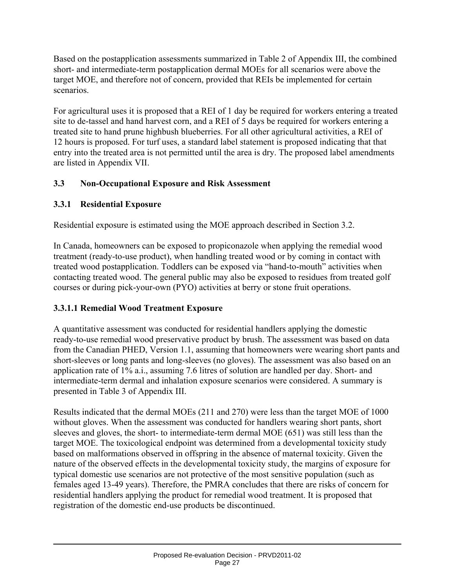Based on the postapplication assessments summarized in Table 2 of Appendix III, the combined short- and intermediate-term postapplication dermal MOEs for all scenarios were above the target MOE, and therefore not of concern, provided that REIs be implemented for certain scenarios.

For agricultural uses it is proposed that a REI of 1 day be required for workers entering a treated site to de-tassel and hand harvest corn, and a REI of 5 days be required for workers entering a treated site to hand prune highbush blueberries. For all other agricultural activities, a REI of 12 hours is proposed. For turf uses, a standard label statement is proposed indicating that that entry into the treated area is not permitted until the area is dry. The proposed label amendments are listed in Appendix VII.

#### **3.3 Non-Occupational Exposure and Risk Assessment**

#### **3.3.1 Residential Exposure**

Residential exposure is estimated using the MOE approach described in Section 3.2.

In Canada, homeowners can be exposed to propiconazole when applying the remedial wood treatment (ready-to-use product), when handling treated wood or by coming in contact with treated wood postapplication. Toddlers can be exposed via "hand-to-mouth" activities when contacting treated wood. The general public may also be exposed to residues from treated golf courses or during pick-your-own (PYO) activities at berry or stone fruit operations.

#### **3.3.1.1 Remedial Wood Treatment Exposure**

A quantitative assessment was conducted for residential handlers applying the domestic ready-to-use remedial wood preservative product by brush. The assessment was based on data from the Canadian PHED, Version 1.1, assuming that homeowners were wearing short pants and short-sleeves or long pants and long-sleeves (no gloves). The assessment was also based on an application rate of 1% a.i., assuming 7.6 litres of solution are handled per day. Short- and intermediate-term dermal and inhalation exposure scenarios were considered. A summary is presented in Table 3 of Appendix III.

Results indicated that the dermal MOEs (211 and 270) were less than the target MOE of 1000 without gloves. When the assessment was conducted for handlers wearing short pants, short sleeves and gloves, the short- to intermediate-term dermal MOE (651) was still less than the target MOE. The toxicological endpoint was determined from a developmental toxicity study based on malformations observed in offspring in the absence of maternal toxicity. Given the nature of the observed effects in the developmental toxicity study, the margins of exposure for typical domestic use scenarios are not protective of the most sensitive population (such as females aged 13-49 years). Therefore, the PMRA concludes that there are risks of concern for residential handlers applying the product for remedial wood treatment. It is proposed that registration of the domestic end-use products be discontinued.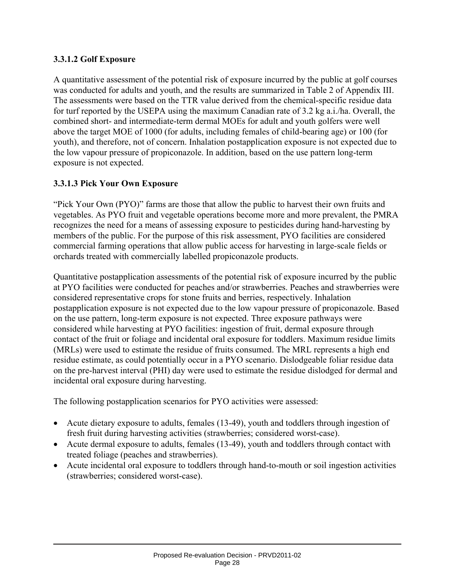#### **3.3.1.2 Golf Exposure**

A quantitative assessment of the potential risk of exposure incurred by the public at golf courses was conducted for adults and youth, and the results are summarized in Table 2 of Appendix III. The assessments were based on the TTR value derived from the chemical-specific residue data for turf reported by the USEPA using the maximum Canadian rate of 3.2 kg a.i./ha. Overall, the combined short- and intermediate-term dermal MOEs for adult and youth golfers were well above the target MOE of 1000 (for adults, including females of child-bearing age) or 100 (for youth), and therefore, not of concern. Inhalation postapplication exposure is not expected due to the low vapour pressure of propiconazole. In addition, based on the use pattern long-term exposure is not expected.

#### **3.3.1.3 Pick Your Own Exposure**

"Pick Your Own (PYO)" farms are those that allow the public to harvest their own fruits and vegetables. As PYO fruit and vegetable operations become more and more prevalent, the PMRA recognizes the need for a means of assessing exposure to pesticides during hand-harvesting by members of the public. For the purpose of this risk assessment, PYO facilities are considered commercial farming operations that allow public access for harvesting in large-scale fields or orchards treated with commercially labelled propiconazole products.

Quantitative postapplication assessments of the potential risk of exposure incurred by the public at PYO facilities were conducted for peaches and/or strawberries. Peaches and strawberries were considered representative crops for stone fruits and berries, respectively. Inhalation postapplication exposure is not expected due to the low vapour pressure of propiconazole. Based on the use pattern, long-term exposure is not expected. Three exposure pathways were considered while harvesting at PYO facilities: ingestion of fruit, dermal exposure through contact of the fruit or foliage and incidental oral exposure for toddlers. Maximum residue limits (MRLs) were used to estimate the residue of fruits consumed. The MRL represents a high end residue estimate, as could potentially occur in a PYO scenario. Dislodgeable foliar residue data on the pre-harvest interval (PHI) day were used to estimate the residue dislodged for dermal and incidental oral exposure during harvesting.

The following postapplication scenarios for PYO activities were assessed:

- Acute dietary exposure to adults, females (13-49), youth and toddlers through ingestion of fresh fruit during harvesting activities (strawberries; considered worst-case).
- Acute dermal exposure to adults, females (13-49), youth and toddlers through contact with treated foliage (peaches and strawberries).
- Acute incidental oral exposure to toddlers through hand-to-mouth or soil ingestion activities (strawberries; considered worst-case).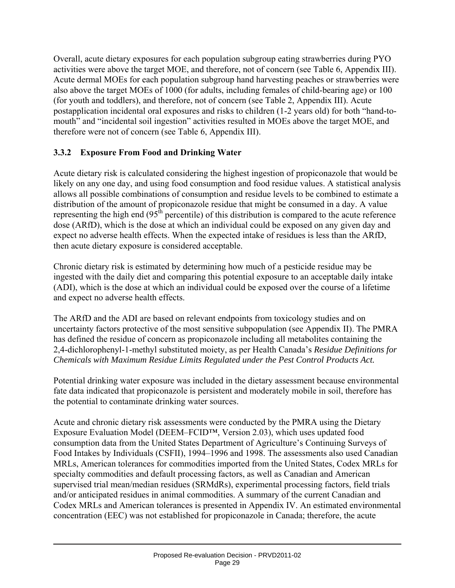Overall, acute dietary exposures for each population subgroup eating strawberries during PYO activities were above the target MOE, and therefore, not of concern (see Table 6, Appendix III). Acute dermal MOEs for each population subgroup hand harvesting peaches or strawberries were also above the target MOEs of 1000 (for adults, including females of child-bearing age) or 100 (for youth and toddlers), and therefore, not of concern (see Table 2, Appendix III). Acute postapplication incidental oral exposures and risks to children (1-2 years old) for both "hand-tomouth" and "incidental soil ingestion" activities resulted in MOEs above the target MOE, and therefore were not of concern (see Table 6, Appendix III).

#### **3.3.2 Exposure From Food and Drinking Water**

Acute dietary risk is calculated considering the highest ingestion of propiconazole that would be likely on any one day, and using food consumption and food residue values. A statistical analysis allows all possible combinations of consumption and residue levels to be combined to estimate a distribution of the amount of propiconazole residue that might be consumed in a day. A value representing the high end  $(95<sup>th</sup>$  percentile) of this distribution is compared to the acute reference dose (ARfD), which is the dose at which an individual could be exposed on any given day and expect no adverse health effects. When the expected intake of residues is less than the ARfD, then acute dietary exposure is considered acceptable.

Chronic dietary risk is estimated by determining how much of a pesticide residue may be ingested with the daily diet and comparing this potential exposure to an acceptable daily intake (ADI), which is the dose at which an individual could be exposed over the course of a lifetime and expect no adverse health effects.

The ARfD and the ADI are based on relevant endpoints from toxicology studies and on uncertainty factors protective of the most sensitive subpopulation (see Appendix II). The PMRA has defined the residue of concern as propiconazole including all metabolites containing the 2,4-dichlorophenyl-1-methyl substituted moiety, as per Health Canada's *Residue Definitions for Chemicals with Maximum Residue Limits Regulated under the Pest Control Products Act.*

Potential drinking water exposure was included in the dietary assessment because environmental fate data indicated that propiconazole is persistent and moderately mobile in soil, therefore has the potential to contaminate drinking water sources.

Acute and chronic dietary risk assessments were conducted by the PMRA using the Dietary Exposure Evaluation Model (DEEM–FCID™, Version 2.03), which uses updated food consumption data from the United States Department of Agriculture's Continuing Surveys of Food Intakes by Individuals (CSFII), 1994–1996 and 1998. The assessments also used Canadian MRLs, American tolerances for commodities imported from the United States, Codex MRLs for specialty commodities and default processing factors, as well as Canadian and American supervised trial mean/median residues (SRMdRs), experimental processing factors, field trials and/or anticipated residues in animal commodities. A summary of the current Canadian and Codex MRLs and American tolerances is presented in Appendix IV. An estimated environmental concentration (EEC) was not established for propiconazole in Canada; therefore, the acute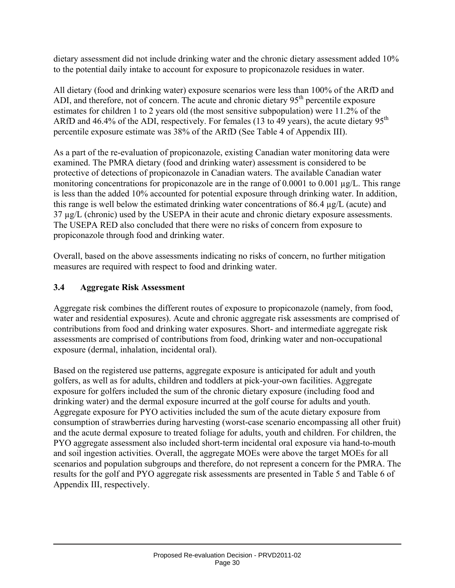dietary assessment did not include drinking water and the chronic dietary assessment added 10% to the potential daily intake to account for exposure to propiconazole residues in water.

All dietary (food and drinking water) exposure scenarios were less than 100% of the ARfD and ADI, and therefore, not of concern. The acute and chronic dietary 95<sup>th</sup> percentile exposure estimates for children 1 to 2 years old (the most sensitive subpopulation) were 11.2% of the ARfD and 46.4% of the ADI, respectively. For females (13 to 49 years), the acute dietary  $95<sup>th</sup>$ percentile exposure estimate was 38% of the ARfD (See Table 4 of Appendix III).

As a part of the re-evaluation of propiconazole, existing Canadian water monitoring data were examined. The PMRA dietary (food and drinking water) assessment is considered to be protective of detections of propiconazole in Canadian waters. The available Canadian water monitoring concentrations for propiconazole are in the range of 0.0001 to 0.001 µg/L. This range is less than the added 10% accounted for potential exposure through drinking water. In addition, this range is well below the estimated drinking water concentrations of 86.4 µg/L (acute) and 37 µg/L (chronic) used by the USEPA in their acute and chronic dietary exposure assessments. The USEPA RED also concluded that there were no risks of concern from exposure to propiconazole through food and drinking water.

Overall, based on the above assessments indicating no risks of concern, no further mitigation measures are required with respect to food and drinking water.

#### **3.4 Aggregate Risk Assessment**

Aggregate risk combines the different routes of exposure to propiconazole (namely, from food, water and residential exposures). Acute and chronic aggregate risk assessments are comprised of contributions from food and drinking water exposures. Short- and intermediate aggregate risk assessments are comprised of contributions from food, drinking water and non-occupational exposure (dermal, inhalation, incidental oral).

Based on the registered use patterns, aggregate exposure is anticipated for adult and youth golfers, as well as for adults, children and toddlers at pick-your-own facilities. Aggregate exposure for golfers included the sum of the chronic dietary exposure (including food and drinking water) and the dermal exposure incurred at the golf course for adults and youth. Aggregate exposure for PYO activities included the sum of the acute dietary exposure from consumption of strawberries during harvesting (worst-case scenario encompassing all other fruit) and the acute dermal exposure to treated foliage for adults, youth and children. For children, the PYO aggregate assessment also included short-term incidental oral exposure via hand-to-mouth and soil ingestion activities. Overall, the aggregate MOEs were above the target MOEs for all scenarios and population subgroups and therefore, do not represent a concern for the PMRA. The results for the golf and PYO aggregate risk assessments are presented in Table 5 and Table 6 of Appendix III, respectively.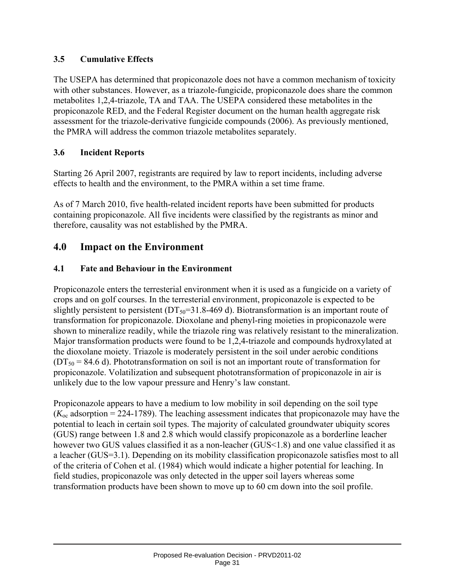#### **3.5 Cumulative Effects**

The USEPA has determined that propiconazole does not have a common mechanism of toxicity with other substances. However, as a triazole-fungicide, propiconazole does share the common metabolites 1,2,4-triazole, TA and TAA. The USEPA considered these metabolites in the propiconazole RED, and the Federal Register document on the human health aggregate risk assessment for the triazole-derivative fungicide compounds (2006). As previously mentioned, the PMRA will address the common triazole metabolites separately.

#### **3.6 Incident Reports**

Starting 26 April 2007, registrants are required by law to report incidents, including adverse effects to health and the environment, to the PMRA within a set time frame.

As of 7 March 2010, five health-related incident reports have been submitted for products containing propiconazole. All five incidents were classified by the registrants as minor and therefore, causality was not established by the PMRA.

#### **4.0 Impact on the Environment**

#### **4.1 Fate and Behaviour in the Environment**

Propiconazole enters the terresterial environment when it is used as a fungicide on a variety of crops and on golf courses. In the terresterial environment, propiconazole is expected to be slightly persistent to persistent ( $DT<sub>50</sub>=31.8-469$  d). Biotransformation is an important route of transformation for propiconazole. Dioxolane and phenyl-ring moieties in propiconazole were shown to mineralize readily, while the triazole ring was relatively resistant to the mineralization. Major transformation products were found to be 1,2,4-triazole and compounds hydroxylated at the dioxolane moiety. Triazole is moderately persistent in the soil under aerobic conditions  $(DT<sub>50</sub> = 84.6 d)$ . Phototransformation on soil is not an important route of transformation for propiconazole. Volatilization and subsequent phototransformation of propiconazole in air is unlikely due to the low vapour pressure and Henry's law constant.

Propiconazole appears to have a medium to low mobility in soil depending on the soil type  $(K_{\text{oc}}$  adsorption = 224-1789). The leaching assessment indicates that propiconazole may have the potential to leach in certain soil types. The majority of calculated groundwater ubiquity scores (GUS) range between 1.8 and 2.8 which would classify propiconazole as a borderline leacher however two GUS values classified it as a non-leacher (GUS<1.8) and one value classified it as a leacher (GUS=3.1). Depending on its mobility classification propiconazole satisfies most to all of the criteria of Cohen et al. (1984) which would indicate a higher potential for leaching. In field studies, propiconazole was only detected in the upper soil layers whereas some transformation products have been shown to move up to 60 cm down into the soil profile.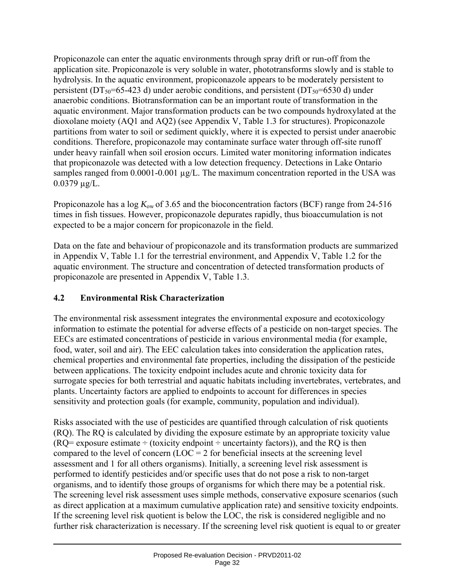Propiconazole can enter the aquatic environments through spray drift or run-off from the application site. Propiconazole is very soluble in water, phototransforms slowly and is stable to hydrolysis. In the aquatic environment, propiconazole appears to be moderately persistent to persistent (DT<sub>50</sub>=65-423 d) under aerobic conditions, and persistent (DT<sub>50</sub>=6530 d) under anaerobic conditions. Biotransformation can be an important route of transformation in the aquatic environment. Major transformation products can be two compounds hydroxylated at the dioxolane moiety (AQ1 and AQ2) (see Appendix V, Table 1.3 for structures). Propiconazole partitions from water to soil or sediment quickly, where it is expected to persist under anaerobic conditions. Therefore, propiconazole may contaminate surface water through off-site runoff under heavy rainfall when soil erosion occurs. Limited water monitoring information indicates that propiconazole was detected with a low detection frequency. Detections in Lake Ontario samples ranged from 0.0001-0.001  $\mu$ g/L. The maximum concentration reported in the USA was 0.0379 µg/L.

Propiconazole has a log  $K_{ow}$  of 3.65 and the bioconcentration factors (BCF) range from 24-516 times in fish tissues. However, propiconazole depurates rapidly, thus bioaccumulation is not expected to be a major concern for propiconazole in the field.

Data on the fate and behaviour of propiconazole and its transformation products are summarized in Appendix V, Table 1.1 for the terrestrial environment, and Appendix V, Table 1.2 for the aquatic environment. The structure and concentration of detected transformation products of propiconazole are presented in Appendix V, Table 1.3.

### **4.2 Environmental Risk Characterization**

The environmental risk assessment integrates the environmental exposure and ecotoxicology information to estimate the potential for adverse effects of a pesticide on non-target species. The EECs are estimated concentrations of pesticide in various environmental media (for example, food, water, soil and air). The EEC calculation takes into consideration the application rates, chemical properties and environmental fate properties, including the dissipation of the pesticide between applications. The toxicity endpoint includes acute and chronic toxicity data for surrogate species for both terrestrial and aquatic habitats including invertebrates, vertebrates, and plants. Uncertainty factors are applied to endpoints to account for differences in species sensitivity and protection goals (for example, community, population and individual).

Risks associated with the use of pesticides are quantified through calculation of risk quotients (RQ). The RQ is calculated by dividing the exposure estimate by an appropriate toxicity value  $(RQ=$  exposure estimate  $\div$  (toxicity endpoint  $\div$  uncertainty factors)), and the RQ is then compared to the level of concern  $(LOC = 2$  for beneficial insects at the screening level assessment and 1 for all others organisms). Initially, a screening level risk assessment is performed to identify pesticides and/or specific uses that do not pose a risk to non-target organisms, and to identify those groups of organisms for which there may be a potential risk. The screening level risk assessment uses simple methods, conservative exposure scenarios (such as direct application at a maximum cumulative application rate) and sensitive toxicity endpoints. If the screening level risk quotient is below the LOC, the risk is considered negligible and no further risk characterization is necessary. If the screening level risk quotient is equal to or greater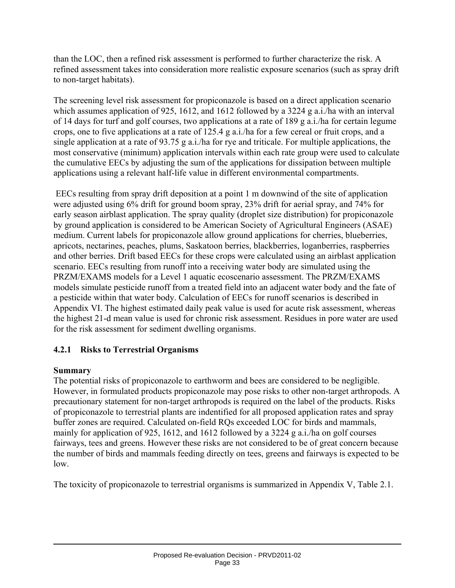than the LOC, then a refined risk assessment is performed to further characterize the risk. A refined assessment takes into consideration more realistic exposure scenarios (such as spray drift to non-target habitats).

The screening level risk assessment for propiconazole is based on a direct application scenario which assumes application of 925, 1612, and 1612 followed by a 3224 g a.i./ha with an interval of 14 days for turf and golf courses, two applications at a rate of 189 g a.i./ha for certain legume crops, one to five applications at a rate of 125.4 g a.i./ha for a few cereal or fruit crops, and a single application at a rate of 93.75 g a.i./ha for rye and triticale. For multiple applications, the most conservative (minimum) application intervals within each rate group were used to calculate the cumulative EECs by adjusting the sum of the applications for dissipation between multiple applications using a relevant half-life value in different environmental compartments.

 EECs resulting from spray drift deposition at a point 1 m downwind of the site of application were adjusted using 6% drift for ground boom spray, 23% drift for aerial spray, and 74% for early season airblast application. The spray quality (droplet size distribution) for propiconazole by ground application is considered to be American Society of Agricultural Engineers (ASAE) medium. Current labels for propiconazole allow ground applications for cherries, blueberries, apricots, nectarines, peaches, plums, Saskatoon berries, blackberries, loganberries, raspberries and other berries. Drift based EECs for these crops were calculated using an airblast application scenario. EECs resulting from runoff into a receiving water body are simulated using the PRZM/EXAMS models for a Level 1 aquatic ecoscenario assessment. The PRZM/EXAMS models simulate pesticide runoff from a treated field into an adjacent water body and the fate of a pesticide within that water body. Calculation of EECs for runoff scenarios is described in Appendix VI. The highest estimated daily peak value is used for acute risk assessment, whereas the highest 21-d mean value is used for chronic risk assessment. Residues in pore water are used for the risk assessment for sediment dwelling organisms.

### **4.2.1 Risks to Terrestrial Organisms**

### **Summary**

The potential risks of propiconazole to earthworm and bees are considered to be negligible. However, in formulated products propiconazole may pose risks to other non-target arthropods. A precautionary statement for non-target arthropods is required on the label of the products. Risks of propiconazole to terrestrial plants are indentified for all proposed application rates and spray buffer zones are required. Calculated on-field RQs exceeded LOC for birds and mammals, mainly for application of 925, 1612, and 1612 followed by a 3224 g a.i./ha on golf courses fairways, tees and greens. However these risks are not considered to be of great concern because the number of birds and mammals feeding directly on tees, greens and fairways is expected to be low.

The toxicity of propiconazole to terrestrial organisms is summarized in Appendix V, Table 2.1.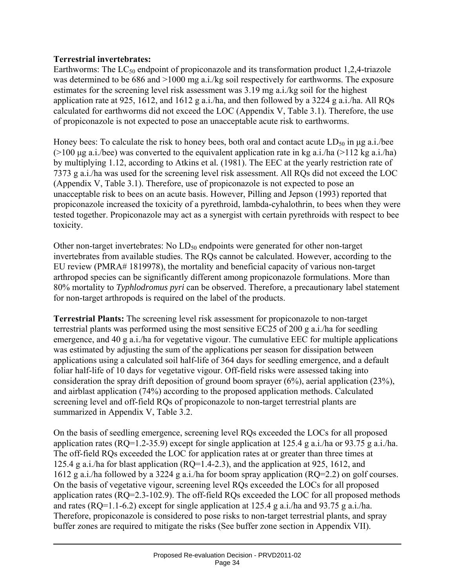### **Terrestrial invertebrates:**

Earthworms: The  $LC_{50}$  endpoint of propiconazole and its transformation product 1,2,4-triazole was determined to be 686 and  $>1000$  mg a.i./kg soil respectively for earthworms. The exposure estimates for the screening level risk assessment was 3.19 mg a.i./kg soil for the highest application rate at 925, 1612, and 1612 g a.i./ha, and then followed by a 3224 g a.i./ha. All RQs calculated for earthworms did not exceed the LOC (Appendix V, Table 3.1). Therefore, the use of propiconazole is not expected to pose an unacceptable acute risk to earthworms.

Honey bees: To calculate the risk to honey bees, both oral and contact acute  $LD_{50}$  in  $\mu$ g a.i./bee ( $>100$  μg a.i./bee) was converted to the equivalent application rate in kg a.i./ha ( $>112$  kg a.i./ha) by multiplying 1.12, according to Atkins et al*.* (1981). The EEC at the yearly restriction rate of 7373 g a.i./ha was used for the screening level risk assessment. All RQs did not exceed the LOC (Appendix V, Table 3.1). Therefore, use of propiconazole is not expected to pose an unacceptable risk to bees on an acute basis. However, Pilling and Jepson (1993) reported that propiconazole increased the toxicity of a pyrethroid, lambda-cyhalothrin, to bees when they were tested together. Propiconazole may act as a synergist with certain pyrethroids with respect to bee toxicity.

Other non-target invertebrates: No  $LD_{50}$  endpoints were generated for other non-target invertebrates from available studies. The RQs cannot be calculated. However, according to the EU review (PMRA# 1819978), the mortality and beneficial capacity of various non-target arthropod species can be significantly different among propiconazole formulations. More than 80% mortality to *Typhlodromus pyri* can be observed. Therefore, a precautionary label statement for non-target arthropods is required on the label of the products.

**Terrestrial Plants:** The screening level risk assessment for propiconazole to non-target terrestrial plants was performed using the most sensitive EC25 of 200 g a.i./ha for seedling emergence, and 40 g a.i./ha for vegetative vigour. The cumulative EEC for multiple applications was estimated by adjusting the sum of the applications per season for dissipation between applications using a calculated soil half-life of 364 days for seedling emergence, and a default foliar half-life of 10 days for vegetative vigour. Off-field risks were assessed taking into consideration the spray drift deposition of ground boom sprayer (6%), aerial application (23%), and airblast application (74%) according to the proposed application methods. Calculated screening level and off-field RQs of propiconazole to non-target terrestrial plants are summarized in Appendix V, Table 3.2.

On the basis of seedling emergence, screening level RQs exceeded the LOCs for all proposed application rates (RQ=1.2-35.9) except for single application at 125.4 g a.i./ha or 93.75 g a.i./ha. The off-field RQs exceeded the LOC for application rates at or greater than three times at 125.4 g a.i./ha for blast application (RQ=1.4-2.3), and the application at 925, 1612, and 1612 g a.i./ha followed by a 3224 g a.i./ha for boom spray application (RQ=2.2) on golf courses. On the basis of vegetative vigour, screening level RQs exceeded the LOCs for all proposed application rates (RQ=2.3-102.9). The off-field RQs exceeded the LOC for all proposed methods and rates (RQ=1.1-6.2) except for single application at 125.4 g a.i./ha and 93.75 g a.i./ha. Therefore, propiconazole is considered to pose risks to non-target terrestrial plants, and spray buffer zones are required to mitigate the risks (See buffer zone section in Appendix VII).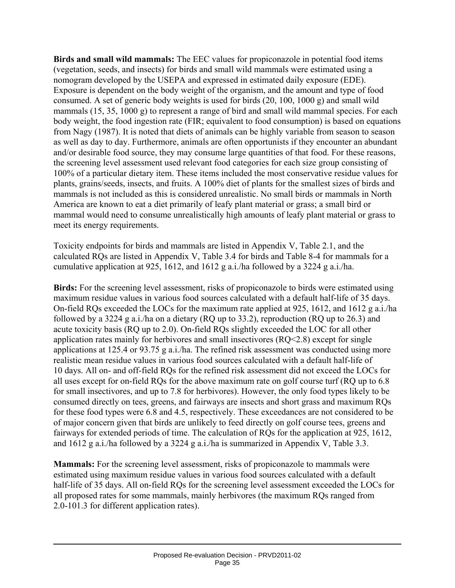**Birds and small wild mammals:** The EEC values for propiconazole in potential food items (vegetation, seeds, and insects) for birds and small wild mammals were estimated using a nomogram developed by the USEPA and expressed in estimated daily exposure (EDE). Exposure is dependent on the body weight of the organism, and the amount and type of food consumed. A set of generic body weights is used for birds (20, 100, 1000 g) and small wild mammals (15, 35, 1000 g) to represent a range of bird and small wild mammal species. For each body weight, the food ingestion rate (FIR; equivalent to food consumption) is based on equations from Nagy (1987). It is noted that diets of animals can be highly variable from season to season as well as day to day. Furthermore, animals are often opportunists if they encounter an abundant and/or desirable food source, they may consume large quantities of that food. For these reasons, the screening level assessment used relevant food categories for each size group consisting of 100% of a particular dietary item. These items included the most conservative residue values for plants, grains/seeds, insects, and fruits. A 100% diet of plants for the smallest sizes of birds and mammals is not included as this is considered unrealistic. No small birds or mammals in North America are known to eat a diet primarily of leafy plant material or grass; a small bird or mammal would need to consume unrealistically high amounts of leafy plant material or grass to meet its energy requirements.

Toxicity endpoints for birds and mammals are listed in Appendix V, Table 2.1, and the calculated RQs are listed in Appendix V, Table 3.4 for birds and Table 8-4 for mammals for a cumulative application at 925, 1612, and 1612 g a.i./ha followed by a 3224 g a.i./ha.

**Birds:** For the screening level assessment, risks of propiconazole to birds were estimated using maximum residue values in various food sources calculated with a default half-life of 35 days. On-field RQs exceeded the LOCs for the maximum rate applied at 925, 1612, and 1612 g a.i./ha followed by a 3224 g a.i./ha on a dietary (RQ up to 33.2), reproduction (RQ up to 26.3) and acute toxicity basis (RQ up to 2.0). On-field RQs slightly exceeded the LOC for all other application rates mainly for herbivores and small insectivores (RQ<2.8) except for single applications at 125.4 or 93.75 g a.i./ha. The refined risk assessment was conducted using more realistic mean residue values in various food sources calculated with a default half-life of 10 days. All on- and off-field RQs for the refined risk assessment did not exceed the LOCs for all uses except for on-field RQs for the above maximum rate on golf course turf (RQ up to 6.8 for small insectivores, and up to 7.8 for herbivores). However, the only food types likely to be consumed directly on tees, greens, and fairways are insects and short grass and maximum RQs for these food types were 6.8 and 4.5, respectively. These exceedances are not considered to be of major concern given that birds are unlikely to feed directly on golf course tees, greens and fairways for extended periods of time. The calculation of RQs for the application at 925, 1612, and 1612 g a.i./ha followed by a 3224 g a.i./ha is summarized in Appendix V, Table 3.3.

**Mammals:** For the screening level assessment, risks of propiconazole to mammals were estimated using maximum residue values in various food sources calculated with a default half-life of 35 days. All on-field RQs for the screening level assessment exceeded the LOCs for all proposed rates for some mammals, mainly herbivores (the maximum RQs ranged from 2.0-101.3 for different application rates).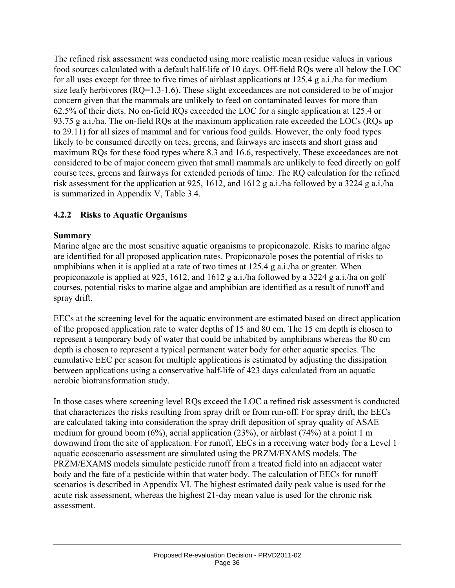The refined risk assessment was conducted using more realistic mean residue values in various food sources calculated with a default half-life of 10 days. Off-field RQs were all below the LOC for all uses except for three to five times of airblast applications at 125.4 g a.i./ha for medium size leafy herbivores (RQ=1.3-1.6). These slight exceedances are not considered to be of major concern given that the mammals are unlikely to feed on contaminated leaves for more than 62.5% of their diets. No on-field RQs exceeded the LOC for a single application at 125.4 or 93.75 g a.i./ha. The on-field RQs at the maximum application rate exceeded the LOCs (RQs up to 29.11) for all sizes of mammal and for various food guilds. However, the only food types likely to be consumed directly on tees, greens, and fairways are insects and short grass and maximum RQs for these food types where 8.3 and 16.6, respectively. These exceedances are not considered to be of major concern given that small mammals are unlikely to feed directly on golf course tees, greens and fairways for extended periods of time. The RQ calculation for the refined risk assessment for the application at 925, 1612, and 1612 g a.i./ha followed by a 3224 g a.i./ha is summarized in Appendix V, Table 3.4.

## **4.2.2 Risks to Aquatic Organisms**

### **Summary**

Marine algae are the most sensitive aquatic organisms to propiconazole. Risks to marine algae are identified for all proposed application rates. Propiconazole poses the potential of risks to amphibians when it is applied at a rate of two times at 125.4 g a.i./ha or greater. When propiconazole is applied at 925, 1612, and 1612 g a.i./ha followed by a 3224 g a.i./ha on golf courses, potential risks to marine algae and amphibian are identified as a result of runoff and spray drift.

EECs at the screening level for the aquatic environment are estimated based on direct application of the proposed application rate to water depths of 15 and 80 cm. The 15 cm depth is chosen to represent a temporary body of water that could be inhabited by amphibians whereas the 80 cm depth is chosen to represent a typical permanent water body for other aquatic species. The cumulative EEC per season for multiple applications is estimated by adjusting the dissipation between applications using a conservative half-life of 423 days calculated from an aquatic aerobic biotransformation study.

In those cases where screening level RQs exceed the LOC a refined risk assessment is conducted that characterizes the risks resulting from spray drift or from run-off. For spray drift, the EECs are calculated taking into consideration the spray drift deposition of spray quality of ASAE medium for ground boom (6%), aerial application (23%), or airblast (74%) at a point 1 m downwind from the site of application. For runoff, EECs in a receiving water body for a Level 1 aquatic ecoscenario assessment are simulated using the PRZM/EXAMS models. The PRZM/EXAMS models simulate pesticide runoff from a treated field into an adjacent water body and the fate of a pesticide within that water body. The calculation of EECs for runoff scenarios is described in Appendix VI. The highest estimated daily peak value is used for the acute risk assessment, whereas the highest 21-day mean value is used for the chronic risk assessment.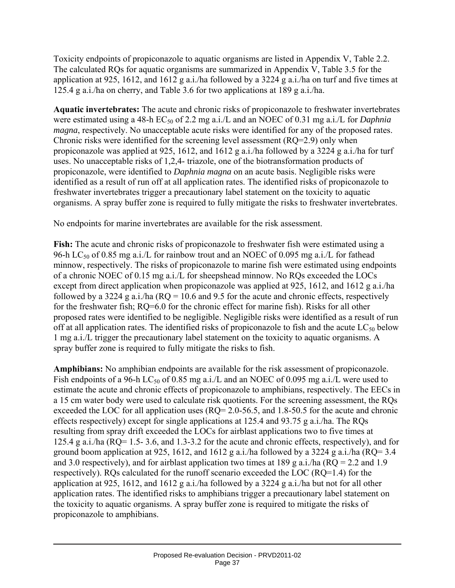Toxicity endpoints of propiconazole to aquatic organisms are listed in Appendix V, Table 2.2. The calculated RQs for aquatic organisms are summarized in Appendix V, Table 3.5 for the application at 925, 1612, and 1612 g a.i./ha followed by a 3224 g a.i./ha on turf and five times at 125.4 g a.i./ha on cherry, and Table 3.6 for two applications at 189 g a.i./ha.

**Aquatic invertebrates:** The acute and chronic risks of propiconazole to freshwater invertebrates were estimated using a 48-h EC<sub>50</sub> of 2.2 mg a.i./L and an NOEC of 0.31 mg a.i./L for *Daphnia magna*, respectively. No unacceptable acute risks were identified for any of the proposed rates. Chronic risks were identified for the screening level assessment (RQ=2.9) only when propiconazole was applied at 925, 1612, and 1612 g a.i./ha followed by a 3224 g a.i./ha for turf uses. No unacceptable risks of 1,2,4- triazole, one of the biotransformation products of propiconazole, were identified to *Daphnia magna* on an acute basis. Negligible risks were identified as a result of run off at all application rates. The identified risks of propiconazole to freshwater invertebrates trigger a precautionary label statement on the toxicity to aquatic organisms. A spray buffer zone is required to fully mitigate the risks to freshwater invertebrates.

No endpoints for marine invertebrates are available for the risk assessment.

Fish: The acute and chronic risks of propiconazole to freshwater fish were estimated using a 96-h LC<sub>50</sub> of 0.85 mg a.i./L for rainbow trout and an NOEC of 0.095 mg a.i./L for fathead minnow, respectively. The risks of propiconazole to marine fish were estimated using endpoints of a chronic NOEC of 0.15 mg a.i./L for sheepshead minnow. No RQs exceeded the LOCs except from direct application when propiconazole was applied at 925, 1612, and 1612 g a.i./ha followed by a 3224 g a.i./ha ( $RQ = 10.6$  and 9.5 for the acute and chronic effects, respectively for the freshwater fish; RQ=6.0 for the chronic effect for marine fish). Risks for all other proposed rates were identified to be negligible. Negligible risks were identified as a result of run off at all application rates. The identified risks of propiconazole to fish and the acute  $LC_{50}$  below 1 mg a.i./L trigger the precautionary label statement on the toxicity to aquatic organisms. A spray buffer zone is required to fully mitigate the risks to fish.

**Amphibians:** No amphibian endpoints are available for the risk assessment of propiconazole. Fish endpoints of a 96-h LC<sub>50</sub> of 0.85 mg a.i./L and an NOEC of 0.095 mg a.i./L were used to estimate the acute and chronic effects of propiconazole to amphibians, respectively. The EECs in a 15 cm water body were used to calculate risk quotients. For the screening assessment, the RQs exceeded the LOC for all application uses (RQ= 2.0-56.5, and 1.8-50.5 for the acute and chronic effects respectively) except for single applications at 125.4 and 93.75 g a.i./ha. The RQs resulting from spray drift exceeded the LOCs for airblast applications two to five times at 125.4 g a.i./ha (RQ= 1.5- 3.6, and 1.3-3.2 for the acute and chronic effects, respectively), and for ground boom application at 925, 1612, and 1612 g a.i./ha followed by a 3224 g a.i./ha (RQ=  $3.4$ ) and 3.0 respectively), and for airblast application two times at 189 g a.i./ha (RQ = 2.2 and 1.9 respectively). RQs calculated for the runoff scenario exceeded the LOC (RQ=1.4) for the application at 925, 1612, and 1612 g a.i./ha followed by a 3224 g a.i./ha but not for all other application rates. The identified risks to amphibians trigger a precautionary label statement on the toxicity to aquatic organisms. A spray buffer zone is required to mitigate the risks of propiconazole to amphibians.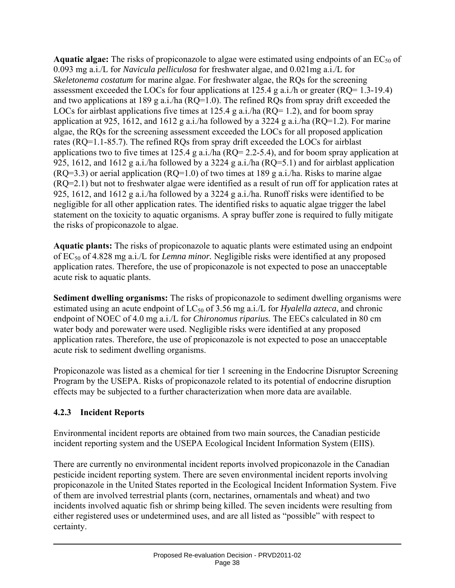Aquatic algae: The risks of propiconazole to algae were estimated using endpoints of an EC<sub>50</sub> of 0.093 mg a.i./L for *Navicula pelliculosa* for freshwater algae, and 0.021mg a.i./L for *Skeletonema costatum* for marine algae. For freshwater algae, the RQs for the screening assessment exceeded the LOCs for four applications at 125.4 g a.i./h or greater (RQ= 1.3-19.4) and two applications at 189 g a.i./ha (RQ=1.0). The refined RQs from spray drift exceeded the LOCs for airblast applications five times at 125.4 g a.i./ha ( $RQ=1.2$ ), and for boom spray application at 925, 1612, and 1612 g a.i./ha followed by a 3224 g a.i./ha (RQ=1.2). For marine algae, the RQs for the screening assessment exceeded the LOCs for all proposed application rates (RQ=1.1-85.7). The refined RQs from spray drift exceeded the LOCs for airblast applications two to five times at  $125.4$  g a.i./ha (RQ= 2.2-5.4), and for boom spray application at 925, 1612, and 1612 g a.i./ha followed by a 3224 g a.i./ha (RQ=5.1) and for airblast application  $(RO=3.3)$  or aerial application  $(RO=1.0)$  of two times at 189 g a.i./ha. Risks to marine algae (RQ=2.1) but not to freshwater algae were identified as a result of run off for application rates at 925, 1612, and 1612 g a.i./ha followed by a 3224 g a.i./ha. Runoff risks were identified to be negligible for all other application rates. The identified risks to aquatic algae trigger the label statement on the toxicity to aquatic organisms. A spray buffer zone is required to fully mitigate the risks of propiconazole to algae.

**Aquatic plants:** The risks of propiconazole to aquatic plants were estimated using an endpoint of EC50 of 4.828 mg a.i./L for *Lemna minor.* Negligible risks were identified at any proposed application rates. Therefore, the use of propiconazole is not expected to pose an unacceptable acute risk to aquatic plants.

**Sediment dwelling organisms:** The risks of propiconazole to sediment dwelling organisms were estimated using an acute endpoint of  $LC_{50}$  of 3.56 mg a.i./L for *Hyalella azteca*, and chronic endpoint of NOEC of 4.0 mg a.i./L for *Chironomus riparius.* The EECs calculated in 80 cm water body and porewater were used. Negligible risks were identified at any proposed application rates. Therefore, the use of propiconazole is not expected to pose an unacceptable acute risk to sediment dwelling organisms.

Propiconazole was listed as a chemical for tier 1 screening in the Endocrine Disruptor Screening Program by the USEPA. Risks of propiconazole related to its potential of endocrine disruption effects may be subjected to a further characterization when more data are available.

### **4.2.3 Incident Reports**

Environmental incident reports are obtained from two main sources, the Canadian pesticide incident reporting system and the USEPA Ecological Incident Information System (EIIS).

There are currently no environmental incident reports involved propiconazole in the Canadian pesticide incident reporting system. There are seven environmental incident reports involving propiconazole in the United States reported in the Ecological Incident Information System. Five of them are involved terrestrial plants (corn, nectarines, ornamentals and wheat) and two incidents involved aquatic fish or shrimp being killed. The seven incidents were resulting from either registered uses or undetermined uses, and are all listed as "possible" with respect to certainty.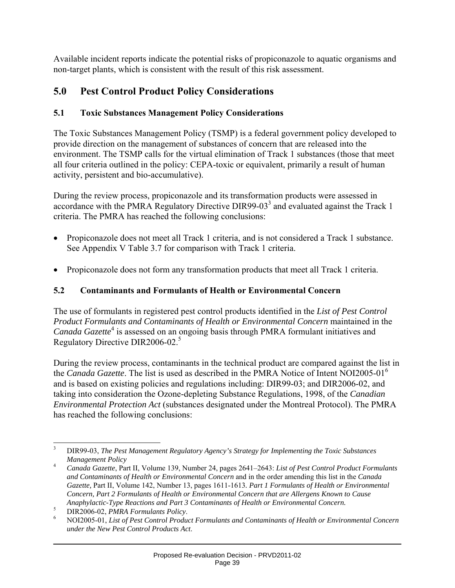Available incident reports indicate the potential risks of propiconazole to aquatic organisms and non-target plants, which is consistent with the result of this risk assessment.

# **5.0 Pest Control Product Policy Considerations**

## **5.1 Toxic Substances Management Policy Considerations**

The Toxic Substances Management Policy (TSMP) is a federal government policy developed to provide direction on the management of substances of concern that are released into the environment. The TSMP calls for the virtual elimination of Track 1 substances (those that meet all four criteria outlined in the policy: CEPA-toxic or equivalent, primarily a result of human activity, persistent and bio-accumulative).

During the review process, propiconazole and its transformation products were assessed in accordance with the PMRA Regulatory Directive DIR99-03 $^3$  and evaluated against the Track 1 criteria. The PMRA has reached the following conclusions:

- Propiconazole does not meet all Track 1 criteria, and is not considered a Track 1 substance. See Appendix V Table 3.7 for comparison with Track 1 criteria.
- Propiconazole does not form any transformation products that meet all Track 1 criteria.

## **5.2 Contaminants and Formulants of Health or Environmental Concern**

The use of formulants in registered pest control products identified in the *List of Pest Control Product Formulants and Contaminants of Health or Environmental Concern* maintained in the Canada Gazette<sup>4</sup> is assessed on an ongoing basis through PMRA formulant initiatives and Regulatory Directive DIR2006-02.<sup>5</sup>

During the review process, contaminants in the technical product are compared against the list in the *Canada Gazette*. The list is used as described in the PMRA Notice of Intent NOI2005-01<sup>6</sup> and is based on existing policies and regulations including: DIR99-03; and DIR2006-02, and taking into consideration the Ozone-depleting Substance Regulations, 1998, of the *Canadian Environmental Protection Act* (substances designated under the Montreal Protocol). The PMRA has reached the following conclusions:

<sup>&</sup>lt;sup>2</sup><br>3 DIR99-03, *The Pest Management Regulatory Agency's Strategy for Implementing the Toxic Substances Management Policy*

<sup>4</sup> *Canada Gazette*, Part II, Volume 139, Number 24, pages 2641–2643: *List of Pest Control Product Formulants and Contaminants of Health or Environmental Concern* and in the order amending this list in the *Canada Gazette,* Part II, Volume 142, Number 13, pages 1611-1613*. Part 1 Formulants of Health or Environmental Concern, Part 2 Formulants of Health or Environmental Concern that are Allergens Known to Cause Anaphylactic-Type Reactions and Part 3 Contaminants of Health or Environmental Concern.*

<sup>5</sup> <sup>5</sup> DIR2006-02, *PMRA Formulants Policy*.

NOI2005-01, *List of Pest Control Product Formulants and Contaminants of Health or Environmental Concern under the New Pest Control Products Act*.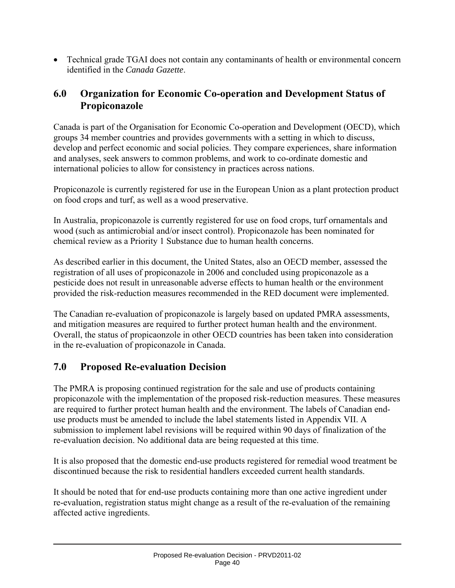• Technical grade TGAI does not contain any contaminants of health or environmental concern identified in the *Canada Gazette*.

## **6.0 Organization for Economic Co-operation and Development Status of Propiconazole**

Canada is part of the Organisation for Economic Co-operation and Development (OECD), which groups 34 member countries and provides governments with a setting in which to discuss, develop and perfect economic and social policies. They compare experiences, share information and analyses, seek answers to common problems, and work to co-ordinate domestic and international policies to allow for consistency in practices across nations.

Propiconazole is currently registered for use in the European Union as a plant protection product on food crops and turf, as well as a wood preservative.

In Australia, propiconazole is currently registered for use on food crops, turf ornamentals and wood (such as antimicrobial and/or insect control). Propiconazole has been nominated for chemical review as a Priority 1 Substance due to human health concerns.

As described earlier in this document, the United States, also an OECD member, assessed the registration of all uses of propiconazole in 2006 and concluded using propiconazole as a pesticide does not result in unreasonable adverse effects to human health or the environment provided the risk-reduction measures recommended in the RED document were implemented.

The Canadian re-evaluation of propiconazole is largely based on updated PMRA assessments, and mitigation measures are required to further protect human health and the environment. Overall, the status of propicaonzole in other OECD countries has been taken into consideration in the re-evaluation of propiconazole in Canada.

# **7.0 Proposed Re-evaluation Decision**

The PMRA is proposing continued registration for the sale and use of products containing propiconazole with the implementation of the proposed risk-reduction measures. These measures are required to further protect human health and the environment. The labels of Canadian enduse products must be amended to include the label statements listed in Appendix VII. A submission to implement label revisions will be required within 90 days of finalization of the re-evaluation decision. No additional data are being requested at this time.

It is also proposed that the domestic end-use products registered for remedial wood treatment be discontinued because the risk to residential handlers exceeded current health standards.

It should be noted that for end-use products containing more than one active ingredient under re-evaluation, registration status might change as a result of the re-evaluation of the remaining affected active ingredients.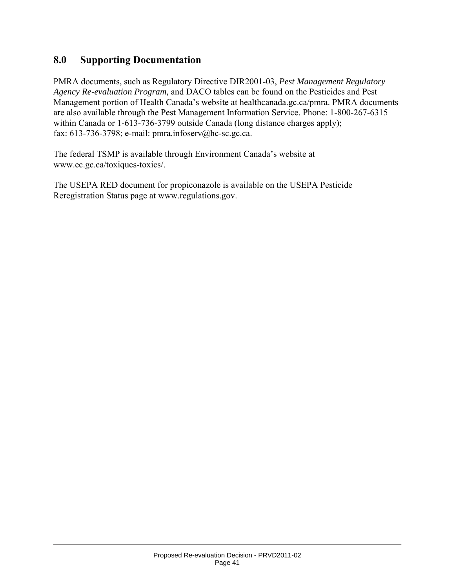## **8.0 Supporting Documentation**

PMRA documents, such as Regulatory Directive DIR2001-03, *Pest Management Regulatory Agency Re-evaluation Program,* and DACO tables can be found on the Pesticides and Pest Management portion of Health Canada's website at healthcanada.gc.ca/pmra. PMRA documents are also available through the Pest Management Information Service. Phone: 1-800-267-6315 within Canada or 1-613-736-3799 outside Canada (long distance charges apply); fax: 613-736-3798; e-mail: pmra.infoserv@hc-sc.gc.ca.

The federal TSMP is available through Environment Canada's website at www.ec.gc.ca/toxiques-toxics/.

The USEPA RED document for propiconazole is available on the USEPA Pesticide Reregistration Status page at www.regulations.gov.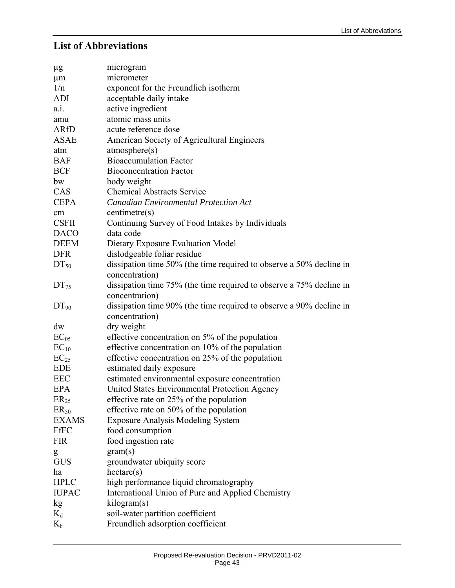### **List of Abbreviations**

| $\mu$ g      | microgram                                                           |
|--------------|---------------------------------------------------------------------|
| $\mu$ m      | micrometer                                                          |
| 1/n          | exponent for the Freundlich isotherm                                |
| ADI          | acceptable daily intake                                             |
| a.i.         | active ingredient                                                   |
| amu          | atomic mass units                                                   |
| ARfD         | acute reference dose                                                |
| <b>ASAE</b>  | American Society of Agricultural Engineers                          |
| atm          | atmosphere(s)                                                       |
| <b>BAF</b>   | <b>Bioaccumulation Factor</b>                                       |
| <b>BCF</b>   | <b>Bioconcentration Factor</b>                                      |
| bw           | body weight                                                         |
| CAS          | <b>Chemical Abstracts Service</b>                                   |
| <b>CEPA</b>  | <b>Canadian Environmental Protection Act</b>                        |
| cm           | centimetre(s)                                                       |
| <b>CSFII</b> | Continuing Survey of Food Intakes by Individuals                    |
| <b>DACO</b>  | data code                                                           |
| <b>DEEM</b>  | Dietary Exposure Evaluation Model                                   |
| <b>DFR</b>   | dislodgeable foliar residue                                         |
| $DT_{50}$    | dissipation time 50% (the time required to observe a 50% decline in |
|              | concentration)                                                      |
| $DT_{75}$    | dissipation time 75% (the time required to observe a 75% decline in |
|              | concentration)                                                      |
| $DT_{90}$    | dissipation time 90% (the time required to observe a 90% decline in |
|              | concentration)                                                      |
| dw           | dry weight                                                          |
| $EC_{05}$    | effective concentration on 5% of the population                     |
| $EC_{10}$    | effective concentration on 10% of the population                    |
| $EC_{25}$    | effective concentration on 25% of the population                    |
| <b>EDE</b>   | estimated daily exposure                                            |
| <b>EEC</b>   | estimated environmental exposure concentration                      |
| <b>EPA</b>   | United States Environmental Protection Agency                       |
| $ER_{25}$    | effective rate on 25% of the population                             |
| $ER_{50}$    | effective rate on 50% of the population                             |
| <b>EXAMS</b> | <b>Exposure Analysis Modeling System</b>                            |
| FfFC         | food consumption                                                    |
| <b>FIR</b>   | food ingestion rate                                                 |
| g            | gram(s)                                                             |
| <b>GUS</b>   | groundwater ubiquity score                                          |
| ha           | $h$ ectare $(s)$                                                    |
| <b>HPLC</b>  |                                                                     |
| <b>IUPAC</b> | International Union of Pure and Applied Chemistry                   |
| kg           | kilogram(s)                                                         |
| $K_d$        | soil-water partition coefficient                                    |
| $K_{\rm F}$  | Freundlich adsorption coefficient                                   |
|              | high performance liquid chromatography                              |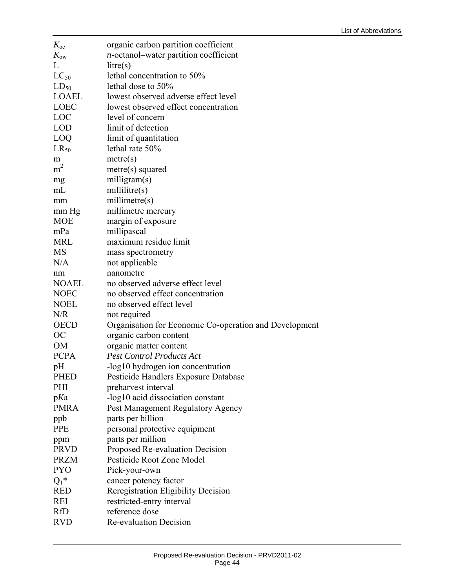| $K_{\rm oc}$   | organic carbon partition coefficient                   |
|----------------|--------------------------------------------------------|
| $K_{\rm{ow}}$  | <i>n</i> -octanol-water partition coefficient          |
| L              | litre(s)                                               |
| $LC_{50}$      | lethal concentration to 50%                            |
| $LD_{50}$      | lethal dose to 50%                                     |
| <b>LOAEL</b>   | lowest observed adverse effect level                   |
| LOEC           | lowest observed effect concentration                   |
| LOC            | level of concern                                       |
| <b>LOD</b>     | limit of detection                                     |
| LOQ            | limit of quantitation                                  |
| $LR_{50}$      | lethal rate 50%                                        |
| m              | metre(s)                                               |
| m <sup>2</sup> | metre(s) squared                                       |
| mg             | milligram(s)                                           |
| mL             | millitre(s)                                            |
| mm             | millimetre(s)                                          |
| mm Hg          | millimetre mercury                                     |
| <b>MOE</b>     | margin of exposure                                     |
| mPa            | millipascal                                            |
| <b>MRL</b>     | maximum residue limit                                  |
| MS             | mass spectrometry                                      |
| N/A            | not applicable                                         |
| nm             | nanometre                                              |
| <b>NOAEL</b>   | no observed adverse effect level                       |
| <b>NOEC</b>    | no observed effect concentration                       |
| <b>NOEL</b>    | no observed effect level                               |
| N/R            | not required                                           |
| <b>OECD</b>    | Organisation for Economic Co-operation and Development |
| OC             | organic carbon content                                 |
| <b>OM</b>      | organic matter content                                 |
| <b>PCPA</b>    | <b>Pest Control Products Act</b>                       |
| pH             | -log10 hydrogen ion concentration                      |
| <b>PHED</b>    | Pesticide Handlers Exposure Database                   |
| PHI            | preharvest interval                                    |
| pKa            | -log10 acid dissociation constant                      |
| <b>PMRA</b>    | Pest Management Regulatory Agency                      |
| ppb            | parts per billion                                      |
| <b>PPE</b>     | personal protective equipment                          |
| ppm            | parts per million                                      |
| <b>PRVD</b>    | Proposed Re-evaluation Decision                        |
| <b>PRZM</b>    | Pesticide Root Zone Model                              |
| <b>PYO</b>     | Pick-your-own                                          |
| $Q_1^*$        | cancer potency factor                                  |
| <b>RED</b>     | Reregistration Eligibility Decision                    |
| <b>REI</b>     | restricted-entry interval                              |
| <b>RfD</b>     | reference dose                                         |
| <b>RVD</b>     | Re-evaluation Decision                                 |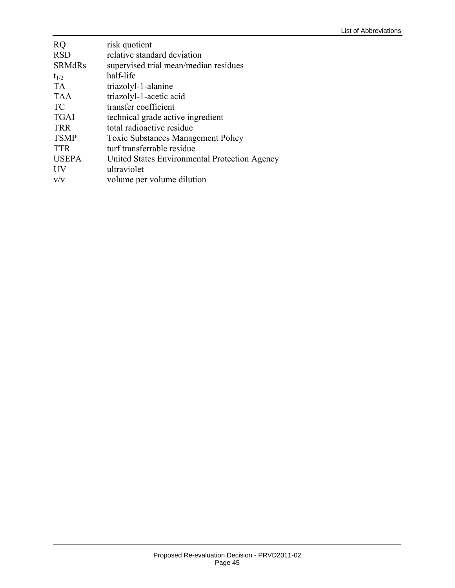| <b>RQ</b><br><b>RSD</b><br><b>SRMdRs</b> | risk quotient<br>relative standard deviation  |
|------------------------------------------|-----------------------------------------------|
|                                          | supervised trial mean/median residues         |
| $t_{1/2}$                                | half-life                                     |
| <b>TA</b>                                | triazolyl-1-alanine                           |
| <b>TAA</b>                               | triazolyl-1-acetic acid                       |
| TC                                       | transfer coefficient                          |
| <b>TGAI</b>                              | technical grade active ingredient             |
| <b>TRR</b>                               | total radioactive residue                     |
| <b>TSMP</b>                              | <b>Toxic Substances Management Policy</b>     |
| <b>TTR</b>                               | turf transferrable residue                    |
| <b>USEPA</b>                             | United States Environmental Protection Agency |
| UV                                       | ultraviolet                                   |
| V/V                                      | volume per volume dilution                    |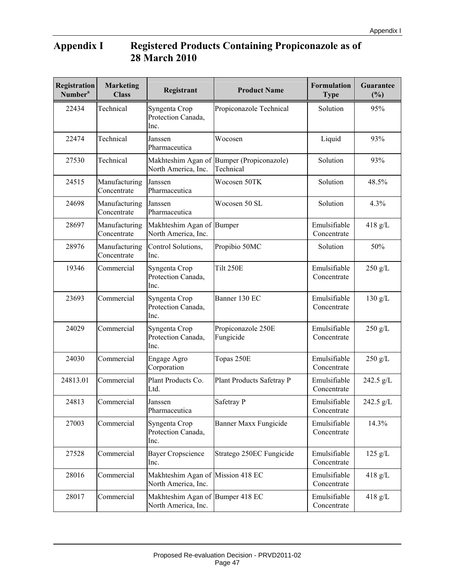# **Appendix I Registered Products Containing Propiconazole as of 28 March 2010**

| Registration<br>Number <sup>a</sup> | <b>Marketing</b><br><b>Class</b> | Registrant                                               | <b>Product Name</b>                 | <b>Formulation</b><br><b>Type</b> | Guarantee<br>(%)  |
|-------------------------------------|----------------------------------|----------------------------------------------------------|-------------------------------------|-----------------------------------|-------------------|
| 22434                               | Technical                        | Syngenta Crop<br>Protection Canada,<br>Inc.              | Propiconazole Technical             | Solution                          | 95%               |
| 22474                               | Technical                        | Janssen<br>Pharmaceutica                                 | Wocosen                             | Liquid                            | 93%               |
| 27530                               | Technical                        | Makhteshim Agan of<br>North America, Inc.                | Bumper (Propiconazole)<br>Technical | Solution                          | 93%               |
| 24515                               | Manufacturing<br>Concentrate     | Janssen<br>Pharmaceutica                                 | Wocosen 50TK                        | Solution                          | 48.5%             |
| 24698                               | Manufacturing<br>Concentrate     | Janssen<br>Pharmaceutica                                 | Wocosen 50 SL                       | Solution                          | 4.3%              |
| 28697                               | Manufacturing<br>Concentrate     | Makhteshim Agan of Bumper<br>North America, Inc.         |                                     | Emulsifiable<br>Concentrate       | $418$ g/L         |
| 28976                               | Manufacturing<br>Concentrate     | Control Solutions,<br>Inc.                               | Propibio 50MC                       | Solution                          | 50%               |
| 19346                               | Commercial                       | Syngenta Crop<br>Protection Canada,<br>Inc.              | Tilt 250E                           | Emulsifiable<br>Concentrate       | $250$ g/L         |
| 23693                               | Commercial                       | Syngenta Crop<br>Protection Canada,<br>Inc.              | Banner 130 EC                       | Emulsifiable<br>Concentrate       | $130 \text{ g/L}$ |
| 24029                               | Commercial                       | Syngenta Crop<br>Protection Canada,<br>Inc.              | Propiconazole 250E<br>Fungicide     | Emulsifiable<br>Concentrate       | 250 g/L           |
| 24030                               | Commercial                       | Engage Agro<br>Corporation                               | Topas 250E                          | Emulsifiable<br>Concentrate       | $250$ g/L         |
| 24813.01                            | Commercial                       | Plant Products Co.<br>Ltd.                               | Plant Products Safetray P           | Emulsifiable<br>Concentrate       | 242.5 g/L         |
| 24813                               | Commercial                       | Janssen<br>Pharmaceutica                                 | Safetray P                          | Emulsifiable<br>Concentrate       | 242.5 g/L         |
| 27003                               | Commercial                       | Syngenta Crop<br>Protection Canada,<br>Inc.              | Banner Maxx Fungicide               | Emulsifiable<br>Concentrate       | 14.3%             |
| 27528                               | Commercial                       | <b>Bayer Cropscience</b><br>Inc.                         | Stratego 250EC Fungicide            | Emulsifiable<br>Concentrate       | $125$ g/L         |
| 28016                               | Commercial                       | Makhteshim Agan of Mission 418 EC<br>North America, Inc. |                                     | Emulsifiable<br>Concentrate       | $418$ g/L         |
| 28017                               | Commercial                       | Makhteshim Agan of Bumper 418 EC<br>North America, Inc.  |                                     | Emulsifiable<br>Concentrate       | $418$ g/L         |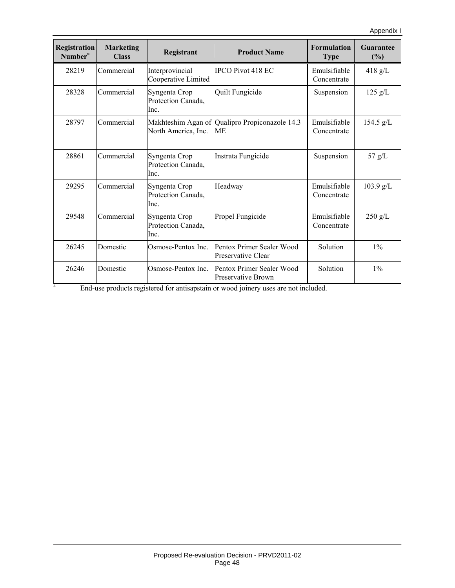| Registration<br>Number <sup>a</sup> | <b>Marketing</b><br><b>Class</b> | Registrant                                  | <b>Product Name</b>                                                                                                                   | <b>Formulation</b><br><b>Type</b> | <b>Guarantee</b><br>$(\%)$ |
|-------------------------------------|----------------------------------|---------------------------------------------|---------------------------------------------------------------------------------------------------------------------------------------|-----------------------------------|----------------------------|
| 28219                               | Commercial                       | Interprovincial<br>Cooperative Limited      | <b>IPCO Pivot 418 EC</b>                                                                                                              | Emulsifiable<br>Concentrate       | 418 g/L                    |
| 28328                               | Commercial                       | Syngenta Crop<br>Protection Canada,<br>Inc. | Quilt Fungicide                                                                                                                       | Suspension                        | $125$ g/L                  |
| 28797                               | Commercial                       | North America, Inc.                         | Makhteshim Agan of Qualipro Propiconazole 14.3<br>МE                                                                                  | Emulsifiable<br>Concentrate       | $154.5$ g/L                |
| 28861                               | Commercial                       | Syngenta Crop<br>Protection Canada,<br>Inc. | Instrata Fungicide                                                                                                                    | Suspension                        | 57 g/L                     |
| 29295                               | Commercial                       | Syngenta Crop<br>Protection Canada,<br>Inc. | Headway                                                                                                                               | Emulsifiable<br>Concentrate       | 103.9 g/L                  |
| 29548                               | Commercial                       | Syngenta Crop<br>Protection Canada,<br>Inc. | Propel Fungicide                                                                                                                      | Emulsifiable<br>Concentrate       | $250$ g/L                  |
| 26245                               | Domestic                         | Osmose-Pentox Inc.                          | Pentox Primer Sealer Wood<br>Preservative Clear                                                                                       | Solution                          | $1\%$                      |
| 26246<br>$\rm{a}$                   | Domestic                         | Osmose-Pentox Inc.                          | Pentox Primer Sealer Wood<br>Preservative Brown<br>End-use products registered for antisanstain or wood joinery uses are not included | Solution                          | $1\%$                      |

End-use products registered for antisapstain or wood joinery uses are not included.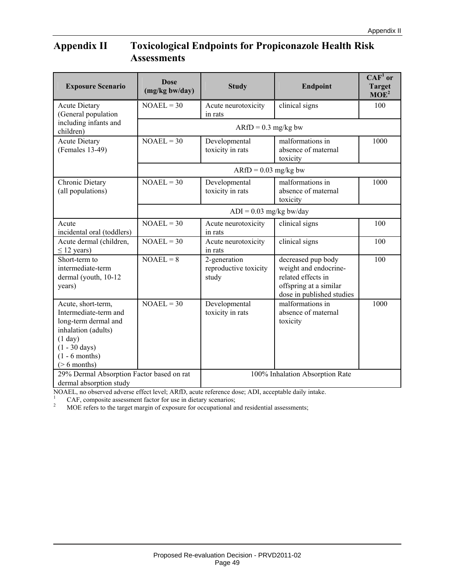## **Appendix II Toxicological Endpoints for Propiconazole Health Risk Assessments**

| <b>Exposure Scenario</b>                                                                                                                                                | <b>Dose</b><br>(mg/kg bw/day) | <b>Study</b>                                   | <b>Endpoint</b>                                                                                                          | $\mathbf{CAF}^1$ or<br><b>Target</b><br>MOE <sup>2</sup> |  |  |  |  |  |
|-------------------------------------------------------------------------------------------------------------------------------------------------------------------------|-------------------------------|------------------------------------------------|--------------------------------------------------------------------------------------------------------------------------|----------------------------------------------------------|--|--|--|--|--|
| <b>Acute Dietary</b><br>(General population                                                                                                                             | $NOAEL = 30$                  | Acute neurotoxicity<br>in rats                 | clinical signs                                                                                                           | 100                                                      |  |  |  |  |  |
| including infants and<br>children)                                                                                                                                      |                               |                                                | $ARfD = 0.3$ mg/kg bw                                                                                                    |                                                          |  |  |  |  |  |
| <b>Acute Dietary</b><br>(Females 13-49)                                                                                                                                 | $NOAEL = 30$                  | Developmental<br>toxicity in rats              | malformations in<br>absence of maternal<br>toxicity                                                                      | 1000                                                     |  |  |  |  |  |
|                                                                                                                                                                         | $ARfD = 0.03$ mg/kg bw        |                                                |                                                                                                                          |                                                          |  |  |  |  |  |
| Chronic Dietary<br>(all populations)                                                                                                                                    | $NOAEL = 30$                  | Developmental<br>toxicity in rats              | malformations in<br>absence of maternal<br>toxicity                                                                      | 1000                                                     |  |  |  |  |  |
|                                                                                                                                                                         | $ADI = 0.03$ mg/kg bw/day     |                                                |                                                                                                                          |                                                          |  |  |  |  |  |
| Acute<br>incidental oral (toddlers)                                                                                                                                     | $NOAEL = 30$                  | Acute neurotoxicity<br>in rats                 | clinical signs                                                                                                           | 100                                                      |  |  |  |  |  |
| Acute dermal (children,<br>$\leq$ 12 years)                                                                                                                             | $NOAEL = 30$                  | Acute neurotoxicity<br>in rats                 | clinical signs                                                                                                           | 100                                                      |  |  |  |  |  |
| Short-term to<br>intermediate-term<br>dermal (youth, 10-12<br>years)                                                                                                    | $NOAEL = 8$                   | 2-generation<br>reproductive toxicity<br>study | decreased pup body<br>weight and endocrine-<br>related effects in<br>offspring at a similar<br>dose in published studies | 100                                                      |  |  |  |  |  |
| Acute, short-term,<br>Intermediate-term and<br>long-term dermal and<br>inhalation (adults)<br>(1 day)<br>$(1 - 30 \text{ days})$<br>$(1 - 6$ months)<br>$($ > 6 months) | $NOAEL = 30$                  | Developmental<br>toxicity in rats              | malformations in<br>absence of maternal<br>toxicity                                                                      | 1000                                                     |  |  |  |  |  |
| 29% Dermal Absorption Factor based on rat<br>dermal absorption study                                                                                                    |                               |                                                | 100% Inhalation Absorption Rate                                                                                          |                                                          |  |  |  |  |  |

NOAEL, no observed adverse effect level; ARfD, acute reference dose; ADI, acceptable daily intake.<br>  $^{1}$  CAF, composite assessment factor for use in dietary scenarios;<br>  $^{2}$  MOE refers to the target margin of exposure f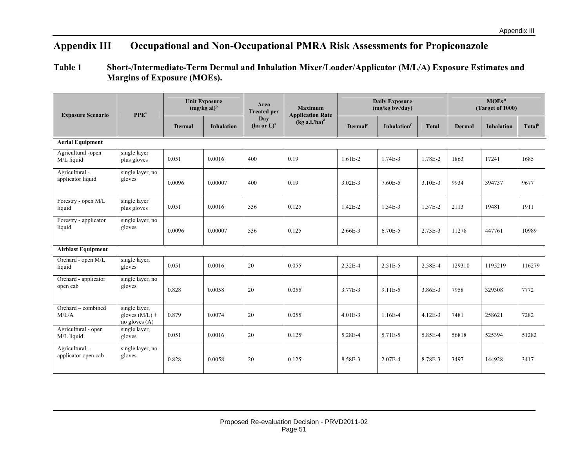# **Appendix III Occupational and Non-Occupational PMRA Risk Assessments for Propiconazole**

### **Table 1 Short-/Intermediate-Term Dermal and Inhalation Mixer/Loader/Applicator (M/L/A) Exposure Estimates and Margins of Exposure (MOEs).**

| <b>Exposure Scenario</b>              | PPE <sup>a</sup>                                     | <b>Unit Exposure</b><br>$(mg/kg ai)^b$ |                   | Area<br><b>Treated per</b>       | <b>Maximum</b><br><b>Application Rate</b> |                     | <b>Daily Exposure</b><br>(mg/kg bw/day) |              | MOES <sup>g</sup><br>(Target of 1000) |                   |                    |
|---------------------------------------|------------------------------------------------------|----------------------------------------|-------------------|----------------------------------|-------------------------------------------|---------------------|-----------------------------------------|--------------|---------------------------------------|-------------------|--------------------|
|                                       |                                                      | <b>Dermal</b>                          | <b>Inhalation</b> | Day<br>$(ha$ or $L$ <sup>c</sup> | $(kg a.i./ha)^d$                          | Dermal <sup>e</sup> | Inhalation                              | <b>Total</b> | <b>Dermal</b>                         | <b>Inhalation</b> | Total <sup>h</sup> |
| <b>Aerial Equipment</b>               |                                                      |                                        |                   |                                  |                                           |                     |                                         |              |                                       |                   |                    |
| Agricultural -open<br>M/L liquid      | single layer<br>plus gloves                          | 0.051                                  | 0.0016            | 400                              | 0.19                                      | $1.61E-2$           | $1.74E-3$                               | 1.78E-2      | 1863                                  | 17241             | 1685               |
| Agricultural -<br>applicator liquid   | single layer, no<br>gloves                           | 0.0096                                 | 0.00007           | 400                              | 0.19                                      | $3.02E - 3$         | 7.60E-5                                 | 3.10E-3      | 9934                                  | 394737            | 9677               |
| Forestry - open M/L<br>liquid         | single layer<br>plus gloves                          | 0.051                                  | 0.0016            | 536                              | 0.125                                     | $1.42E - 2$         | 1.54E-3                                 | 1.57E-2      | 2113                                  | 19481             | 1911               |
| Forestry - applicator<br>liquid       | single layer, no<br>gloves                           | 0.0096                                 | 0.00007           | 536                              | 0.125                                     | 2.66E-3             | 6.70E-5                                 | 2.73E-3      | 11278                                 | 447761            | 10989              |
| <b>Airblast Equipment</b>             |                                                      |                                        |                   |                                  |                                           |                     |                                         |              |                                       |                   |                    |
| Orchard - open M/L<br>liquid          | single layer,<br>gloves                              | 0.051                                  | 0.0016            | 20                               | $0.055^{\rm i}$                           | $2.32E - 4$         | $2.51E-5$                               | 2.58E-4      | 129310                                | 1195219           | 116279             |
| Orchard - applicator<br>open cab      | single layer, no<br>gloves                           | 0.828                                  | 0.0058            | $20\,$                           | $0.055^{\rm i}$                           | 3.77E-3             | 9.11E-5                                 | 3.86E-3      | 7958                                  | 329308            | 7772               |
| Orchard - combined<br>M/L/A           | single layer,<br>gloves $(M/L)$ +<br>no gloves $(A)$ | 0.879                                  | 0.0074            | 20                               | $0.055^{\rm i}$                           | $4.01E-3$           | 1.16E-4                                 | $4.12E-3$    | 7481                                  | 258621            | 7282               |
| Agricultural - open<br>M/L liquid     | single layer,<br>gloves                              | 0.051                                  | 0.0016            | 20                               | $0.125^{i}$                               | 5.28E-4             | 5.71E-5                                 | 5.85E-4      | 56818                                 | 525394            | 51282              |
| Agricultural -<br>applicator open cab | single layer, no<br>gloves                           | 0.828                                  | 0.0058            | 20                               | $0.125^{i}$                               | 8.58E-3             | 2.07E-4                                 | 8.78E-3      | 3497                                  | 144928            | 3417               |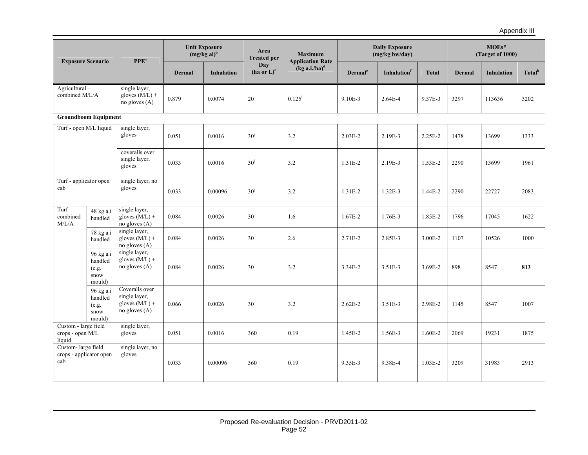| <b>Exposure Scenario</b>                             |                                                 | PPE <sup>a</sup>                                                       | <b>Unit Exposure</b><br>$(mg/kg ai)^b$ |                   | Area<br><b>Treated per</b>    | <b>Maximum</b><br><b>Application Rate</b> | <b>Daily Exposure</b><br>(mg/kg bw/day) |             |              | MOEs <sup>g</sup><br>(Target of 1000) |                   |                    |
|------------------------------------------------------|-------------------------------------------------|------------------------------------------------------------------------|----------------------------------------|-------------------|-------------------------------|-------------------------------------------|-----------------------------------------|-------------|--------------|---------------------------------------|-------------------|--------------------|
|                                                      |                                                 |                                                                        | <b>Dermal</b>                          | <b>Inhalation</b> | Day<br>$(ha \text{ or } L)^c$ | $(kg a.i/ha)^d$                           | Dermal <sup>e</sup>                     | Inhalationf | <b>Total</b> | <b>Dermal</b>                         | <b>Inhalation</b> | Total <sup>h</sup> |
| $Agricultural -$<br>combined M/L/A                   |                                                 | single layer,<br>gloves $(M/L)$ +<br>no gloves $(A)$                   | 0.879                                  | 0.0074            | 20                            | $0.125^{i}$                               | 9.10E-3                                 | 2.64E-4     | 9.37E-3      | 3297                                  | 113636            | 3202               |
|                                                      | <b>Groundboom Equipment</b>                     |                                                                        |                                        |                   |                               |                                           |                                         |             |              |                                       |                   |                    |
| Turf - open M/L liquid                               |                                                 | single layer,<br>gloves                                                | 0.051                                  | 0.0016            | 30 <sup>j</sup>               | 3.2                                       | $2.03E-2$                               | 2.19E-3     | 2.25E-2      | 1478                                  | 13699             | 1333               |
|                                                      |                                                 | coveralls over<br>single layer,<br>gloves                              | 0.033                                  | 0.0016            | 30 <sup>j</sup>               | 3.2                                       | $1.31E - 2$                             | 2.19E-3     | 1.53E-2      | 2290                                  | 13699             | 1961               |
| Turf - applicator open<br>cab                        |                                                 | single layer, no<br>gloves                                             | 0.033                                  | 0.00096           | 30 <sup>j</sup>               | 3.2                                       | $1.31E - 2$                             | $1.32E-3$   | $1.44E - 2$  | 2290                                  | 22727             | 2083               |
| $Turf -$<br>combined<br>M/L/A                        | 48 kg a.i<br>handled                            | single layer,<br>gloves $(M/L)$ +<br>no gloves (A)                     | 0.084                                  | 0.0026            | 30                            | 1.6                                       | $1.67E - 2$                             | 1.76E-3     | 1.85E-2      | 1796                                  | 17045             | 1622               |
|                                                      | 78 kg a.i<br>handled                            | single layer,<br>gloves $(M/L)$ +<br>no gloves (A)                     | 0.084                                  | 0.0026            | 30                            | 2.6                                       | $2.71E-2$                               | 2.85E-3     | 3.00E-2      | 1107                                  | 10526             | 1000               |
|                                                      | 96 kg a.i<br>handled<br>(e.g.<br>snow<br>mould) | single layer,<br>gloves $(M/L)$ +<br>no gloves (A)                     | 0.084                                  | 0.0026            | 30                            | 3.2                                       | $3.34E - 2$                             | $3.51E-3$   | 3.69E-2      | 898                                   | 8547              | 813                |
|                                                      | 96 kg a.i<br>handled<br>(e.g.<br>snow<br>mould) | Coveralls over<br>single layer,<br>gloves $(M/L)$ +<br>no gloves $(A)$ | 0.066                                  | 0.0026            | 30                            | 3.2                                       | $2.62E - 2$                             | 3.51E-3     | 2.98E-2      | 1145                                  | 8547              | 1007               |
| Custom - large field<br>crops - open M/L<br>liquid   |                                                 | single layer,<br>gloves                                                | 0.051                                  | 0.0016            | 360                           | 0.19                                      | 1.45E-2                                 | 1.56E-3     | 1.60E-2      | 2069                                  | 19231             | 1875               |
| Custom-large field<br>crops - applicator open<br>cab |                                                 | single layer, no<br>gloves                                             | 0.033                                  | 0.00096           | 360                           | 0.19                                      | 9.35E-3                                 | 9.38E-4     | $1.03E - 2$  | 3209                                  | 31983             | 2913               |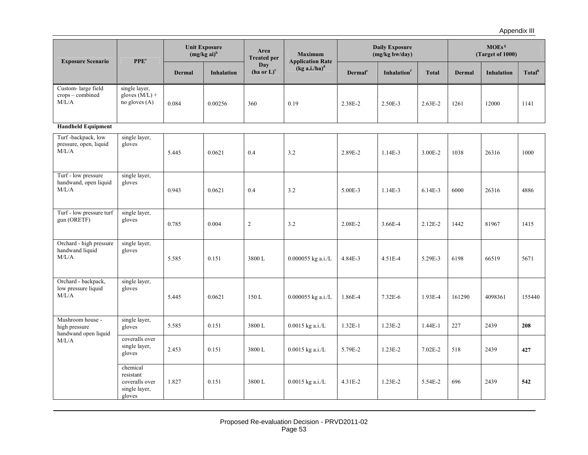| <b>Exposure Scenario</b>                                  | <b>PPE</b> <sup>a</sup>                                            | <b>Unit Exposure</b><br>$(mg/kg ai)^b$ |                   | Area<br><b>Treated per</b>       | <b>Maximum</b><br><b>Application Rate</b> | <b>Daily Exposure</b><br>(mg/kg bw/day) |             |              | MOEs <sup>s</sup><br>(Target of 1000) |                   |                    |
|-----------------------------------------------------------|--------------------------------------------------------------------|----------------------------------------|-------------------|----------------------------------|-------------------------------------------|-----------------------------------------|-------------|--------------|---------------------------------------|-------------------|--------------------|
|                                                           |                                                                    | <b>Dermal</b>                          | <b>Inhalation</b> | Day<br>$(ha$ or $L$ <sup>c</sup> | $(kg a.i/ha)^d$                           | Dermal <sup>e</sup>                     | Inhalationf | <b>Total</b> | Dermal                                | <b>Inhalation</b> | Total <sup>h</sup> |
| Custom-large field<br>crops - combined<br>M/L/A           | single layer,<br>gloves $(M/L)$ +<br>no gloves (A)                 | 0.084                                  | 0.00256           | 360                              | 0.19                                      | 2.38E-2                                 | 2.50E-3     | $2.63E - 2$  | 1261                                  | 12000             | 1141               |
| <b>Handheld Equipment</b>                                 |                                                                    |                                        |                   |                                  |                                           |                                         |             |              |                                       |                   |                    |
| Turf-backpack, low<br>pressure, open, liquid<br>M/L/A     | single layer,<br>gloves                                            | 5.445                                  | 0.0621            | 0.4                              | 3.2                                       | 2.89E-2                                 | 1.14E-3     | 3.00E-2      | 1038                                  | 26316             | 1000               |
| Turf - low pressure<br>handwand, open liquid<br>M/L/A     | single layer,<br>gloves                                            | 0.943                                  | 0.0621            | 0.4                              | 3.2                                       | 5.00E-3                                 | 1.14E-3     | $6.14E-3$    | 6000                                  | 26316             | 4886               |
| Turf - low pressure turf<br>gun (ORETF)                   | single layer,<br>gloves                                            | 0.785                                  | 0.004             | $\overline{2}$                   | 3.2                                       | 2.08E-2                                 | 3.66E-4     | $2.12E-2$    | 1442                                  | 81967             | 1415               |
| Orchard - high pressure<br>handwand liquid<br>M/L/A       | single layer,<br>gloves                                            | 5.585                                  | 0.151             | 3800L                            | 0.000055 kg a.i./L                        | 4.84E-3                                 | $4.51E - 4$ | 5.29E-3      | 6198                                  | 66519             | 5671               |
| Orchard - backpack,<br>low pressure liquid<br>M/L/A       | single layer,<br>gloves                                            | 5.445                                  | 0.0621            | 150 L                            | 0.000055 kg a.i./L                        | 1.86E-4                                 | $7.32E - 6$ | 1.93E-4      | 161290                                | 4098361           | 155440             |
| Mushroom house -<br>high pressure<br>handwand open liquid | single layer,<br>gloves                                            | 5.585                                  | 0.151             | 3800L                            | $0.0015$ kg a.i./L                        | $1.32E-1$                               | $1.23E-2$   | $1.44E-1$    | 227                                   | 2439              | 208                |
| M/L/A                                                     | coveralls over<br>single layer,<br>gloves                          | 2.453                                  | 0.151             | 3800L                            | $0.0015$ kg a.i./L                        | 5.79E-2                                 | $1.23E - 2$ | $7.02E - 2$  | 518                                   | 2439              | 427                |
|                                                           | chemical<br>resistant<br>coveralls over<br>single layer,<br>gloves | 1.827                                  | 0.151             | 3800L                            | $0.0015$ kg a.i./L                        | 4.31E-2                                 | $1.23E - 2$ | 5.54E-2      | 696                                   | 2439              | 542                |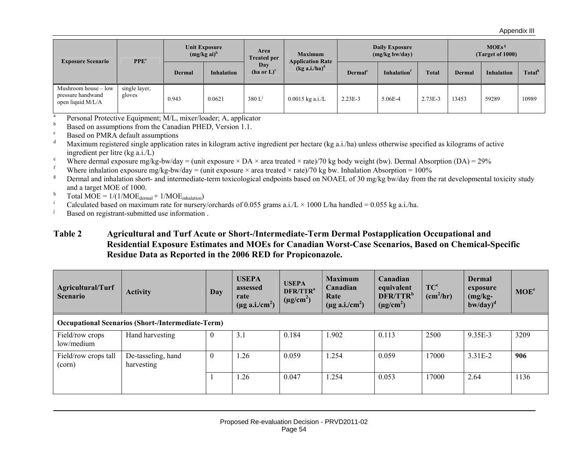| <b>Exposure Scenario</b>                                       | $PPEa$                  | <b>Unit Exposure</b><br>$(mg/kg\text{ ai})^b$ |                   | Area<br><b>Treated per</b>    | <b>Maximum</b><br><b>Application Rate</b> | <b>Daily Exposure</b><br>(mg/kg bw/day) |                   |              | MOEs <sup>g</sup><br>(Target of 1000) |                   |                    |
|----------------------------------------------------------------|-------------------------|-----------------------------------------------|-------------------|-------------------------------|-------------------------------------------|-----------------------------------------|-------------------|--------------|---------------------------------------|-------------------|--------------------|
|                                                                |                         | Dermal                                        | <b>Inhalation</b> | Day<br>$(ha \text{ or } L)^c$ | $(kg a.i/ha)^d$                           | Dermal <sup>e</sup>                     | <b>Inhalation</b> | <b>Total</b> | Dermal                                | <b>Inhalation</b> | Total <sup>h</sup> |
| Mushroom house - low<br>pressure handwand<br>open liquid M/L/A | single layer,<br>gloves | 0.943                                         | 0.0621            | 380 L                         | $0.0015$ kg a.i./L                        | $2.23E-3$                               | 5.06E-4           | $2.73E-3$    | 13453                                 | 59289             | 10989              |

<sup>a</sup> Personal Protective Equipment; M/L, mixer/loader; A, applicator

 $b$  Based on assumptions from the Canadian PHED, Version 1.1.

 $\frac{c}{d}$  Based on PMRA default assumptions

Maximum registered single application rates in kilogram active ingredient per hectare (kg a.i./ha) unless otherwise specified as kilograms of active ingredient per litre (kg a.i./L)

<sup>e</sup> Where dermal exposure mg/kg-bw/day = (unit exposure × DA × area treated × rate)/70 kg body weight (bw). Dermal Absorption (DA) = 29%

Where inhalation exposure mg/kg-bw/day = (unit exposure  $\times$  area treated  $\times$  rate)/70 kg bw. Inhalation Absorption = 100%

<sup>g</sup> Dermal and inhalation short- and intermediate-term toxicological endpoints based on NOAEL of 30 mg/kg bw/day from the rat developmental toxicity study and a target MOE of 1000.

h Total MOE =  $1/(1/MOE<sub>dermal</sub> + 1/MOE<sub>inhalation</sub>)$ 

i Calculated based on maximum rate for nursery/orchards of 0.055 grams a.i./L  $\times$  1000 L/ha handled = 0.055 kg a.i./ha.<br>Based on registrant submitted use information

Based on registrant-submitted use information .

#### **Table 2 Agricultural and Turf Acute or Short-/Intermediate-Term Dermal Postapplication Occupational and Residential Exposure Estimates and MOEs for Canadian Worst-Case Scenarios, Based on Chemical-Specific Residue Data as Reported in the 2006 RED for Propiconazole.**

| Agricultural/Turf<br><b>Scenario</b>                     | <b>Activity</b>                  | <b>Day</b>       | <b>USEPA</b><br>assessed<br>rate<br>$(\mu g \text{ a.i/cm}^2)$ | <b>USEPA</b><br>DFR/TTR <sup>a</sup><br>$(\mu g/cm^2)$ | <b>Maximum</b><br>Canadian<br>Rate<br>$(\mu$ g a.i./cm <sup>2</sup> ) | Canadian<br>equivalent<br>DFR/TTR <sup>b</sup><br>$(\mu g/cm^2)$ | TC <sup>c</sup><br>(cm <sup>2</sup> /hr) | Dermal<br>exposure<br>$(mg/kg-$<br>$b$ w/day $)^d$ | MOE <sup>e</sup> |  |  |
|----------------------------------------------------------|----------------------------------|------------------|----------------------------------------------------------------|--------------------------------------------------------|-----------------------------------------------------------------------|------------------------------------------------------------------|------------------------------------------|----------------------------------------------------|------------------|--|--|
| <b>Occupational Scenarios (Short-/Intermediate-Term)</b> |                                  |                  |                                                                |                                                        |                                                                       |                                                                  |                                          |                                                    |                  |  |  |
| Field/row crops<br>low/medium                            | Hand harvesting                  | v                | 3.1                                                            | 0.184                                                  | 1.902                                                                 | 0.113                                                            | 2500                                     | 9.35E-3                                            | 3209             |  |  |
| Field/row crops tall<br>(corn)                           | De-tasseling, hand<br>harvesting | $\boldsymbol{0}$ | 1.26                                                           | 0.059                                                  | 1.254                                                                 | 0.059                                                            | 17000                                    | $3.31E-2$                                          | 906              |  |  |
|                                                          |                                  |                  | 1.26                                                           | 0.047                                                  | 1.254                                                                 | 0.053                                                            | 17000                                    | 2.64                                               | 1136             |  |  |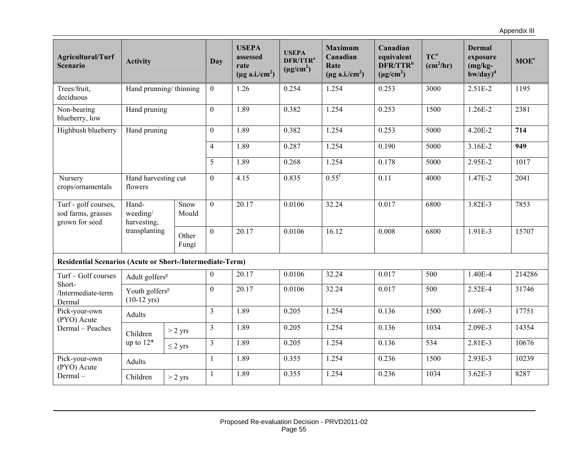Appendix III

| <b>Agricultural/Turf</b><br><b>Scenario</b>                      | <b>Activity</b>                  |                            | <b>Day</b>       | <b>USEPA</b><br>assessed<br>rate<br>$(\mu g \text{ a.i/cm}^2)$ | <b>USEPA</b><br>DFR/TTR <sup>a</sup><br>$(\mu g/cm^2)$ | <b>Maximum</b><br>Canadian<br>Rate<br>$(\mu$ g a.i./cm <sup>2</sup> ) | Canadian<br>equivalent<br>DFR/TTRb<br>$(\mu g/cm^2)$ | TC <sup>c</sup><br>(cm <sup>2</sup> /hr) | <b>Dermal</b><br>exposure<br>$(mg/kg -$<br>$b$ w/day $)^d$ | MOE <sup>e</sup> |
|------------------------------------------------------------------|----------------------------------|----------------------------|------------------|----------------------------------------------------------------|--------------------------------------------------------|-----------------------------------------------------------------------|------------------------------------------------------|------------------------------------------|------------------------------------------------------------|------------------|
| Trees/fruit,<br>deciduous                                        | Hand prunning/thinning           |                            | $\theta$         | 1.26                                                           | 0.254                                                  | 1.254                                                                 | 0.253                                                | 3000                                     | $2.51E-2$                                                  | 1195             |
| Non-bearing<br>blueberry, low                                    | Hand pruning                     |                            | $\overline{0}$   | 1.89                                                           | 0.382                                                  | 1.254                                                                 | 0.253                                                | 1500                                     | $1.26E - 2$                                                | 2381             |
| Highbush blueberry                                               | Hand pruning                     |                            | $\overline{0}$   | 1.89                                                           | 0.382                                                  | 1.254                                                                 | 0.253                                                | 5000                                     | $4.20E - 2$                                                | 714              |
|                                                                  |                                  |                            | $\overline{4}$   | 1.89                                                           | 0.287                                                  | 1.254                                                                 | 0.190                                                | 5000                                     | 3.16E-2                                                    | 949              |
|                                                                  |                                  |                            | 5                | 1.89                                                           | 0.268                                                  | 1.254                                                                 | 0.178                                                | 5000                                     | 2.95E-2                                                    | 1017             |
| Nursery<br>crops/ornamentals                                     | Hand harvesting cut<br>flowers   |                            | $\boldsymbol{0}$ | 4.15                                                           | 0.835                                                  | $0.55$ <sup>f</sup>                                                   | 0.11                                                 | 4000                                     | 1.47E-2                                                    | 2041             |
| Turf - golf courses,<br>sod farms, grasses<br>grown for seed     | Hand-<br>weeding/<br>harvesting. | Snow<br>Mould              | $\theta$         | 20.17                                                          | 0.0106                                                 | 32.24                                                                 | 0.017                                                | 6800                                     | 3.82E-3                                                    | 7853             |
|                                                                  | transplanting                    | Other<br>Fungi             | $\overline{0}$   | 20.17                                                          | 0.0106                                                 | 16.12                                                                 | 0.008                                                | 6800                                     | 1.91E-3                                                    | 15707            |
| <b>Residential Scenarios (Acute or Short-/Intermediate-Term)</b> |                                  |                            |                  |                                                                |                                                        |                                                                       |                                                      |                                          |                                                            |                  |
| Turf - Golf courses<br>Short-                                    | Adult golfers <sup>g</sup>       |                            | $\mathbf{0}$     | 20.17                                                          | 0.0106                                                 | 32.24                                                                 | 0.017                                                | 500                                      | 1.40E-4                                                    | 214286           |
| /Intermediate-term<br>Dermal                                     | $(10-12 \text{ yrs})$            | Youth golfers <sup>g</sup> |                  | 20.17                                                          | 0.0106                                                 | 32.24                                                                 | 0.017                                                | 500                                      | $2.52E-4$                                                  | 31746            |
| Pick-your-own<br>(PYO) Acute                                     | Adults                           |                            | $\overline{3}$   | 1.89                                                           | 0.205                                                  | 1.254                                                                 | 0.136                                                | 1500                                     | 1.69E-3                                                    | 17751            |
| Dermal - Peaches                                                 | Children                         | $>$ 2 yrs                  | $\overline{3}$   | 1.89                                                           | 0.205                                                  | 1.254                                                                 | 0.136                                                | 1034                                     | 2.09E-3                                                    | 14354            |
|                                                                  | up to $12*$                      | $\leq 2$ yrs               | $\overline{3}$   | 1.89                                                           | 0.205                                                  | 1.254                                                                 | 0.136                                                | 534                                      | 2.81E-3                                                    | 10676            |
| Pick-your-own<br>(PYO) Acute                                     | Adults                           |                            | 1                | 1.89                                                           | 0.355                                                  | 1.254                                                                 | 0.236                                                | 1500                                     | 2.93E-3                                                    | 10239            |
| Dermal-                                                          | Children                         | $>$ 2 yrs                  | $\mathbf{1}$     | 1.89                                                           | 0.355                                                  | 1.254                                                                 | 0.236                                                | 1034                                     | $3.62E - 3$                                                | 8287             |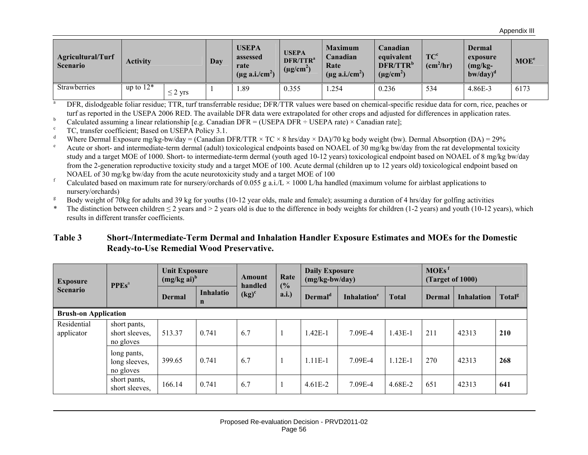Appendix III

| Agricultural/Turf<br><b>Scenario</b> | <b>Activity</b> |              | Day | <b>USEPA</b><br>assessed<br>rate<br>$(\mu g \text{ a.i/cm}^2)$ | <b>USEPA</b><br>DFR/TTR <sup>a</sup><br>$(\mu$ g/cm <sup>2</sup> | <b>Maximum</b><br>Canadian<br>Rate<br>$(\mu g \text{ a.i/cm}^2)$ | Canadian<br>equivalent<br>DFR/TTR <sup>b</sup><br>$(\mu g/cm^2)$ | TC <sup>c</sup><br>$(cm^2/hr)$ | <b>Dermal</b><br>exposure<br>$(mg/kg-$<br>$b$ w/day $)^d$ | MOE <sup>e</sup> |
|--------------------------------------|-----------------|--------------|-----|----------------------------------------------------------------|------------------------------------------------------------------|------------------------------------------------------------------|------------------------------------------------------------------|--------------------------------|-----------------------------------------------------------|------------------|
| Strawberries                         | up to $12*$     | $\leq$ 2 yrs |     | 1.89                                                           | 0.355                                                            | 1.254                                                            | 0.236                                                            | 534                            | 4.86E-3                                                   | 6173             |

<sup>a</sup> DFR, dislodgeable foliar residue; TTR, turf transferrable residue; DFR/TTR values were based on chemical-specific residue data for corn, rice, peaches or turf as reported in the USEPA 2006 RED. The available DFR data were extrapolated for other crops and adjusted for differences in application rates.

b Calculated assuming a linear relationship [e.g. Canadian DFR = (USEPA DFR ÷ USEPA rate) × Canadian rate];

TC, transfer coefficient; Based on USEPA Policy 3.1.

<sup>d</sup> Where Dermal Exposure mg/kg-bw/day = (Canadian DFR/TTR  $\times$  TC  $\times$  8 hrs/day  $\times$  DA)/70 kg body weight (bw). Dermal Absorption (DA) = 29%

e Acute or short- and intermediate-term dermal (adult) toxicological endpoints based on NOAEL of 30 mg/kg bw/day from the rat developmental toxicity study and a target MOE of 1000. Short- to intermediate-term dermal (youth aged 10-12 years) toxicological endpoint based on NOAEL of 8 mg/kg bw/day from the 2-generation reproductive toxicity study and a target MOE of 100. Acute dermal (children up to 12 years old) toxicological endpoint based on NOAEL of 30 mg/kg bw/day from the acute neurotoxicity study and a target MOE of 100

f Calculated based on maximum rate for nursery/orchards of 0.055 g a.i./L  $\times$  1000 L/ha handled (maximum volume for airblast applications to nursery/orchards)

<sup>g</sup> Body weight of 70kg for adults and 39 kg for youths (10-12 year olds, male and female); assuming a duration of 4 hrs/day for golfing activities

The distinction between children  $\leq 2$  years and  $\geq 2$  years old is due to the difference in body weights for children (1-2 years) and youth (10-12 years), which results in different transfer coefficients.

#### **Table 3 Short-/Intermediate-Term Dermal and Inhalation Handler Exposure Estimates and MOEs for the Domestic Ready-to-Use Remedial Wood Preservative.**

| <b>Exposure</b><br><b>Scenario</b> | <b>PPEs</b> <sup>a</sup>                    | <b>Unit Exposure</b><br>$(mg/kg ai)^b$ |                          | Rate<br>Amount<br>(%)<br>handled |      | <b>Daily Exposure</b><br>$(mg/kg-bw/day)$ |                         |              | MOEs <sup>f</sup><br>(Target of 1000) |                   |                    |
|------------------------------------|---------------------------------------------|----------------------------------------|--------------------------|----------------------------------|------|-------------------------------------------|-------------------------|--------------|---------------------------------------|-------------------|--------------------|
|                                    |                                             | Dermal                                 | Inhalatio<br>$\mathbf n$ | $\left(\text{kg}\right)^c$       | a.i. | Dermal <sup>d</sup>                       | Inhalation <sup>e</sup> | <b>Total</b> | <b>Dermal</b>                         | <b>Inhalation</b> | Total <sup>g</sup> |
| <b>Brush-on Application</b>        |                                             |                                        |                          |                                  |      |                                           |                         |              |                                       |                   |                    |
| Residential<br>applicator          | short pants,<br>short sleeves,<br>no gloves | 513.37                                 | 0.741                    | 6.7                              |      | $1.42E-1$                                 | 7.09E-4                 | $1.43E-1$    | 211                                   | 42313             | 210                |
|                                    | long pants,<br>long sleeves,<br>no gloves   | 399.65                                 | 0.741                    | 6.7                              |      | $1.11E-1$                                 | 7.09E-4                 | $1.12E-1$    | 270                                   | 42313             | 268                |
|                                    | short pants,<br>short sleeves.              | 166.14                                 | 0.741                    | 6.7                              |      | $4.61E-2$                                 | 7.09E-4                 | 4.68E-2      | 651                                   | 42313             | 641                |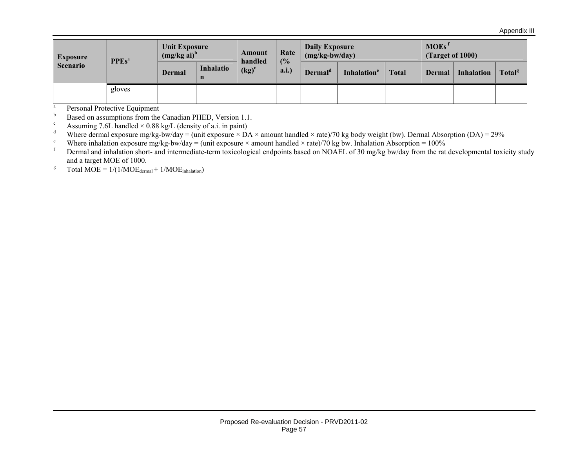| <b>Exposure</b><br><b>Scenario</b> | <b>PPEs</b> <sup>a</sup> | <b>Unit Exposure</b><br>$(mg/kg\text{ ai})^b$ |                | Amount                                | Rate<br>(%) | <b>Daily Exposure</b><br>$(mg/kg-bw/day)$ |                         | MOEs <sup>f</sup><br>(Target of 1000) |        |                   |                    |
|------------------------------------|--------------------------|-----------------------------------------------|----------------|---------------------------------------|-------------|-------------------------------------------|-------------------------|---------------------------------------|--------|-------------------|--------------------|
|                                    |                          | Dermal                                        | Inhalatio<br>n | handled<br>$\left(\text{kg}\right)^c$ | a.i.)       | Dermal <sup>d</sup>                       | Inhalation <sup>e</sup> | <b>Total</b>                          | Dermal | <b>Inhalation</b> | Total <sup>g</sup> |
|                                    | gloves                   |                                               |                |                                       |             |                                           |                         |                                       |        |                   |                    |

 $\frac{a}{b}$  Personal Protective Equipment

b Based on assumptions from the Canadian PHED, Version 1.1.

Extending 7.6L handled  $\times$  0.88 kg/L (density of a.i. in paint)<br>Where dermal exposure makes by down- (unit exposure  $\times$  D)

Where dermal exposure mg/kg-bw/day = (unit exposure  $\times$  DA  $\times$  amount handled  $\times$  rate)/70 kg body weight (bw). Dermal Absorption (DA) = 29%

<sup>e</sup> Where inhalation exposure mg/kg-bw/day = (unit exposure × amount handled × rate)/70 kg bw. Inhalation Absorption = 100%<br>From all only inhalation about and intermediate term toxicological ordinaints head on NOAEL of 20

Dermal and inhalation short- and intermediate-term toxicological endpoints based on NOAEL of 30 mg/kg bw/day from the rat developmental toxicity study and a target MOE of 1000.

<sup>g</sup> Total MOE =  $1/(1/MOE_{\text{dermal}} + 1/MOE_{\text{inhalation}})$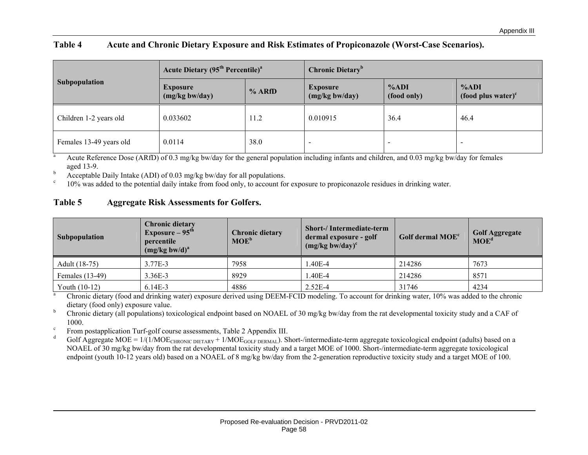#### **Table 4 Acute and Chronic Dietary Exposure and Risk Estimates of Propiconazole (Worst-Case Scenarios).**

|                         | <b>Acute Dietary (95<sup>th</sup> Percentile)<sup>a</sup></b> |        | <b>Chronic Dietary</b> <sup>b</sup>  |                        |                                                   |  |
|-------------------------|---------------------------------------------------------------|--------|--------------------------------------|------------------------|---------------------------------------------------|--|
| Subpopulation           | <b>Exposure</b><br>(mg/kg bw/day)                             | % ARfD | <b>Exposure</b><br>$(mg/kg)$ bw/day) | $\%ADI$<br>(food only) | %ADI<br>$\left( \text{food plus water} \right)^c$ |  |
| Children 1-2 years old  | 0.033602                                                      | 11.2   | 0.010915                             | 36.4                   | 46.4                                              |  |
| Females 13-49 years old | 0.0114                                                        | 38.0   |                                      |                        |                                                   |  |

<sup>a</sup> Acute Reference Dose (ARfD) of 0.3 mg/kg bw/day for the general population including infants and children, and 0.03 mg/kg bw/day for females aged 13-9.

 $b$  Acceptable Daily Intake (ADI) of 0.03 mg/kg bw/day for all populations.

 $\degree$  10% was added to the potential daily intake from food only, to account for exposure to propiconazole residues in drinking water.

#### **Table 5 Aggregate Risk Assessments for Golfers.**

| <b>Subpopulation</b> | Chronic dietary<br>Exposure $-95^{\text{th}}$<br>percentile<br>$(mg/kg$ bw/d) <sup>a</sup> | <b>Chronic dietary</b><br>$MOE^b$ | <b>Short-/Intermediate-term</b><br>dermal exposure - golf<br>$(mg/kg$ bw/day) <sup>c</sup> | Golf dermal MOE <sup>c</sup> | <b>Golf Aggregate</b><br>MOE <sup>d</sup> |
|----------------------|--------------------------------------------------------------------------------------------|-----------------------------------|--------------------------------------------------------------------------------------------|------------------------------|-------------------------------------------|
| Adult (18-75)        | 3.77E-3                                                                                    | 7958                              | $.40E-4$                                                                                   | 214286                       | 7673                                      |
| Females (13-49)      | 3.36E-3                                                                                    | 8929                              | .40E-4                                                                                     | 214286                       | 8571                                      |
| Youth $(10-12)$      | $6.14E-3$                                                                                  | 4886                              | $2.52E-4$                                                                                  | 31746                        | 4234                                      |

<sup>a</sup> Chronic dietary (food and drinking water) exposure derived using DEEM-FCID modeling. To account for drinking water, 10% was added to the chronic dietary (food only) exposure value.

<sup>b</sup> Chronic dietary (all populations) toxicological endpoint based on NOAEL of 30 mg/kg bw/day from the rat developmental toxicity study and a CAF of 1000.

<sup>c</sup> From postapplication Turf-golf course assessments, Table 2 Appendix III.

Golf Aggregate MOE =  $1/(1/MOE_{CHRONIC\ DIETARY} + 1/MOE_{GOLF\ DERMAL})$ . Short-/intermediate-term aggregate toxicological endpoint (adults) based on a NOAEL of 30 mg/kg bw/day from the rat developmental toxicity study and a target MOE of 1000. Short-/intermediate-term aggregate toxicological endpoint (youth 10-12 years old) based on a NOAEL of 8 mg/kg bw/day from the 2-generation reproductive toxicity study and a target MOE of 100.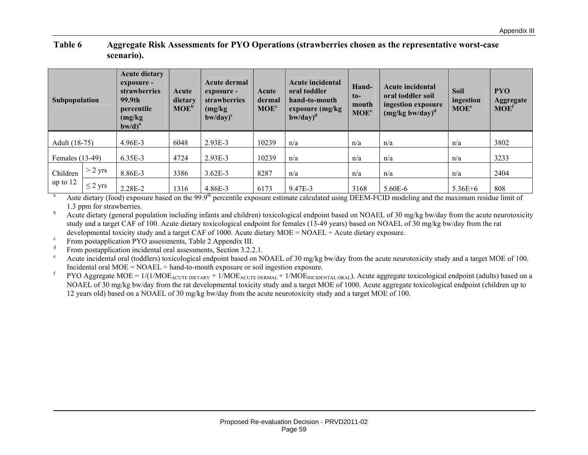#### **Table 6 Aggregate Risk Assessments for PYO Operations (strawberries chosen as the representative worst-case scenario).**

| Subpopulation   |              | <b>Acute dietary</b><br>exposure -<br>strawberries<br>99.9th<br>percentile<br>(mg/kg)<br>$b$ w/d $)^a$ | Acute<br>dietary<br>MOE <sup>b</sup> | Acute dermal<br>exposure -<br>strawberries<br>(mg/kg)<br>$b$ w/day $)^c$ | Acute<br>dermal<br>MOE <sup>c</sup> | <b>Acute incidental</b><br>oral toddler<br>hand-to-mouth<br>exposure (mg/kg)<br>$b$ w/day $)^d$ | Hand-<br>$\mathbf{t}$<br>mouth<br>MOE <sup>e</sup> | <b>Acute incidental</b><br>oral toddler soil<br>ingestion exposure<br>$(mg/kg$ bw/day) <sup>d</sup> | <b>Soil</b><br>ingestion<br>MOE <sup>e</sup> | <b>PYO</b><br>Aggregate<br>MOE <sup>f</sup> |
|-----------------|--------------|--------------------------------------------------------------------------------------------------------|--------------------------------------|--------------------------------------------------------------------------|-------------------------------------|-------------------------------------------------------------------------------------------------|----------------------------------------------------|-----------------------------------------------------------------------------------------------------|----------------------------------------------|---------------------------------------------|
| Adult (18-75)   |              | 4.96E-3                                                                                                | 6048                                 | $2.93E-3$                                                                | 10239                               | n/a                                                                                             | n/a                                                | n/a                                                                                                 | n/a                                          | 3802                                        |
| Females (13-49) |              | 6.35E-3                                                                                                | 4724                                 | 2.93E-3                                                                  | 10239                               | n/a                                                                                             | n/a                                                | n/a                                                                                                 | n/a                                          | 3233                                        |
| Children        | $>$ 2 yrs    | 8.86E-3                                                                                                | 3386                                 | $3.62E - 3$                                                              | 8287                                | n/a                                                                                             | n/a                                                | n/a                                                                                                 | n/a                                          | 2404                                        |
| up to $12$      | $\leq$ 2 yrs | 2.28E-2                                                                                                | 1316                                 | 4.86E-3                                                                  | 6173                                | 9.47E-3                                                                                         | 3168                                               | 5.60E-6                                                                                             | $5.36E + 6$                                  | 808                                         |

Aute dietary (food) exposure based on the 99.9<sup>th</sup> percentile exposure estimate calculated using DEEM-FCID modeling and the maximum residue limit of 1.3 ppm for strawberries.

<sup>b</sup> Acute dietary (general population including infants and children) toxicological endpoint based on NOAEL of 30 mg/kg bw/day from the acute neurotoxicity study and a target CAF of 100. Acute dietary toxicological endpoint for females (13-49 years) based on NOAEL of 30 mg/kg bw/day from the rat developmental toxicity study and a target CAF of 1000. Acute dietary MOE = NOAEL ÷ Acute dietary exposure.

<sup>c</sup> From postapplication PYO assessments, Table 2 Appendix III.

 $d$  From postapplication incidental oral assessments, Section 3.2.2.1.

<sup>e</sup> Acute incidental oral (toddlers) toxicological endpoint based on NOAEL of 30 mg/kg bw/day from the acute neurotoxicity study and a target MOE of 100. Incidental oral  $MOE = NOAEL \div hand$ -to-mouth exposure or soil ingestion exposure.

PYO Aggregate MOE = 1/(1/MOE<sub>ACUTE DIETARY</sub> + 1/MOE<sub>ACUTE DERMAL</sub> + 1/MOE<sub>INCIDENTAL ORAL</sub>). Acute aggregate toxicological endpoint (adults) based on a NOAEL of 30 mg/kg bw/day from the rat developmental toxicity study and a target MOE of 1000. Acute aggregate toxicological endpoint (children up to 12 years old) based on a NOAEL of 30 mg/kg bw/day from the acute neurotoxicity study and a target MOE of 100.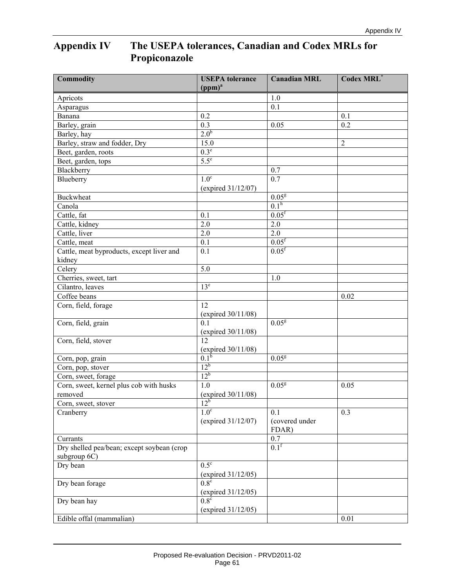# **Appendix IV The USEPA tolerances, Canadian and Codex MRLs for Propiconazole**

| <b>Commodity</b>                           | <b>USEPA</b> tolerance<br>(ppm) <sup>a</sup> | <b>Canadian MRL</b>     | <b>Codex MRL</b> * |
|--------------------------------------------|----------------------------------------------|-------------------------|--------------------|
| Apricots                                   |                                              | 1.0                     |                    |
| Asparagus                                  |                                              | 0.1                     |                    |
| Banana                                     | 0.2                                          |                         | 0.1                |
| Barley, grain                              | $\overline{0.3}$                             | 0.05                    | 0.2                |
| Barley, hay                                | 2.0 <sup>b</sup>                             |                         |                    |
| Barley, straw and fodder, Dry              | 15.0                                         |                         | $\overline{2}$     |
| Beet, garden, roots                        | $0.3^e$                                      |                         |                    |
| Beet, garden, tops                         | $5.5^e$                                      |                         |                    |
| Blackberry                                 |                                              | 0.7                     |                    |
| Blueberry                                  | 1.0 <sup>c</sup>                             | $\overline{0.7}$        |                    |
|                                            | (expired 31/12/07)                           |                         |                    |
| <b>Buckwheat</b>                           |                                              | 0.05 <sup>g</sup>       |                    |
| Canola                                     |                                              | 0.1 <sup>h</sup>        |                    |
| Cattle, fat                                | 0.1                                          | $0.05$ <sup>f</sup>     |                    |
| Cattle, kidney                             | 2.0                                          | 2.0                     |                    |
| Cattle, liver                              | 2.0                                          | $2.0$                   |                    |
| Cattle, meat                               | 0.1                                          | 0.05 <sup>f</sup>       |                    |
| Cattle, meat byproducts, except liver and  | 0.1                                          | 0.05 <sup>f</sup>       |                    |
| kidney                                     |                                              |                         |                    |
| $\overline{C}$ elery                       | 5.0                                          |                         |                    |
| Cherries, sweet, tart                      |                                              | 1.0                     |                    |
| Cilantro, leaves                           | 13 <sup>e</sup>                              |                         |                    |
| Coffee beans                               |                                              |                         | 0.02               |
| Corn, field, forage                        | 12<br>(expired $30/11/08$ )                  |                         |                    |
| Corn, field, grain                         | 0.1<br>(expired $30/11/08$ )                 | 0.05 <sup>g</sup>       |                    |
| Corn, field, stover                        | 12<br>(expired 30/11/08)                     |                         |                    |
| Corn, pop, grain                           | $0.1^{b}$                                    | 0.05 <sup>g</sup>       |                    |
| Corn, pop, stover                          | $12^b$                                       |                         |                    |
| Corn, sweet, forage                        | $12^b$                                       |                         |                    |
| Corn, sweet, kernel plus cob with husks    | 1.0                                          | 0.05 <sup>g</sup>       | 0.05               |
| removed                                    | (expired $30/11/08$ )                        |                         |                    |
| Corn, sweet, stover                        | 12 <sup>b</sup>                              |                         |                    |
| Cranberry                                  | 1.0 <sup>c</sup>                             | 0.1                     | 0.3                |
|                                            | (expired 31/12/07)                           | (covered under<br>FDAR) |                    |
| Currants                                   |                                              | 0.7                     |                    |
| Dry shelled pea/bean; except soybean (crop |                                              | 0.1 <sup>f</sup>        |                    |
| subgroup 6C)                               |                                              |                         |                    |
| Dry bean                                   | $0.5^{\circ}$<br>(expired $31/12/05$ )       |                         |                    |
| Dry bean forage                            | $0.8^\circ$<br>(expired 31/12/05)            |                         |                    |
| Dry bean hay                               | $0.8^\circ$                                  |                         |                    |
|                                            | (expired $31/12/05$ )                        |                         |                    |
| Edible offal (mammalian)                   |                                              |                         | 0.01               |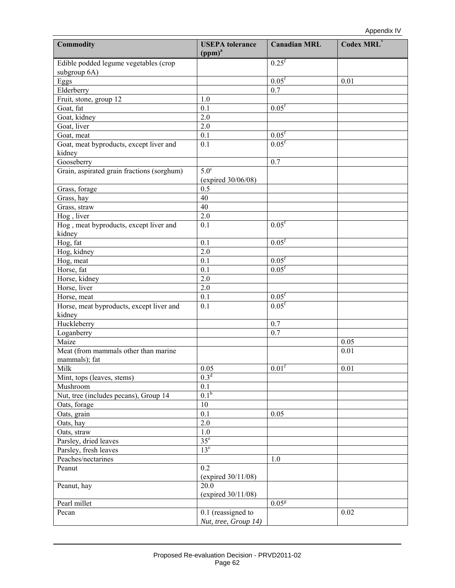| <b>Commodity</b>                           | <b>USEPA</b> tolerance<br>(ppm) <sup>a</sup> | <b>Canadian MRL</b> | Codex MRL*   |
|--------------------------------------------|----------------------------------------------|---------------------|--------------|
| Edible podded legume vegetables (crop      |                                              | $0.25^{\rm f}$      |              |
| subgroup 6A)                               |                                              |                     |              |
| Eggs                                       |                                              | 0.05 <sup>f</sup>   | 0.01         |
| Elderberry                                 |                                              | 0.7                 |              |
| Fruit, stone, group 12                     | 1.0                                          |                     |              |
| Goat, fat                                  | 0.1                                          | 0.05 <sup>f</sup>   |              |
| Goat, kidney                               | 2.0                                          |                     |              |
| Goat, liver                                | 2.0                                          |                     |              |
| Goat, meat                                 | 0.1                                          | $0.05^{\rm f}$      |              |
| Goat, meat byproducts, except liver and    | 0.1                                          | $0.05$ <sup>f</sup> |              |
| kidney                                     |                                              |                     |              |
| Gooseberry                                 |                                              | 0.7                 |              |
| Grain, aspirated grain fractions (sorghum) | $5.0^\circ$                                  |                     |              |
|                                            | (expired 30/06/08)                           |                     |              |
| Grass, forage                              | 0.5                                          |                     |              |
| Grass, hay                                 | 40                                           |                     |              |
| Grass, straw                               | 40                                           |                     |              |
| Hog, liver                                 | 2.0                                          |                     |              |
| Hog, meat byproducts, except liver and     | 0.1                                          | 0.05 <sup>f</sup>   |              |
| kidney                                     |                                              |                     |              |
| Hog, fat                                   | 0.1                                          | 0.05 <sup>f</sup>   |              |
| Hog, kidney                                | 2.0                                          |                     |              |
| Hog, meat                                  | 0.1                                          | 0.05 <sup>f</sup>   |              |
| Horse, fat                                 | 0.1                                          | $0.05$ <sup>f</sup> |              |
| Horse, kidney                              | 2.0                                          |                     |              |
| Horse, liver                               | 2.0                                          |                     |              |
| Horse, meat                                | 0.1                                          | $0.05^{\rm f}$      |              |
| Horse, meat byproducts, except liver and   | 0.1                                          | $0.05$ <sup>f</sup> |              |
| kidney                                     |                                              |                     |              |
| Huckleberry                                |                                              | 0.7                 |              |
|                                            |                                              | 0.7                 |              |
| Loganberry<br>Maize                        |                                              |                     |              |
|                                            |                                              |                     | 0.05<br>0.01 |
| Meat (from mammals other than marine       |                                              |                     |              |
| mammals); fat                              |                                              |                     |              |
| Milk                                       | $0.05\,$<br>0.3 <sup>d</sup>                 | 0.01 <sup>f</sup>   | 0.01         |
| Mint, tops (leaves, stems)                 |                                              |                     |              |
| Mushroom                                   | 0.1<br>0.1 <sup>b</sup>                      |                     |              |
| Nut, tree (includes pecans), Group 14      |                                              |                     |              |
| Oats, forage                               | 10                                           |                     |              |
| Oats, grain                                | 0.1                                          | 0.05                |              |
| Oats, hay                                  | 2.0                                          |                     |              |
| Oats, straw                                | 1.0                                          |                     |              |
| Parsley, dried leaves                      | 35 <sup>e</sup>                              |                     |              |
| Parsley, fresh leaves                      | 13 <sup>e</sup>                              |                     |              |
| Peaches/nectarines                         |                                              | 1.0                 |              |
| Peanut                                     | 0.2                                          |                     |              |
|                                            | (expired $30/11/08$ )                        |                     |              |
| Peanut, hay                                | 20.0                                         |                     |              |
|                                            | (expired $30/11/08$ )                        |                     |              |
| Pearl millet                               |                                              | 0.05 <sup>g</sup>   |              |
| Pecan                                      | 0.1 (reassigned to                           |                     | 0.02         |
|                                            | Nut, tree, Group 14)                         |                     |              |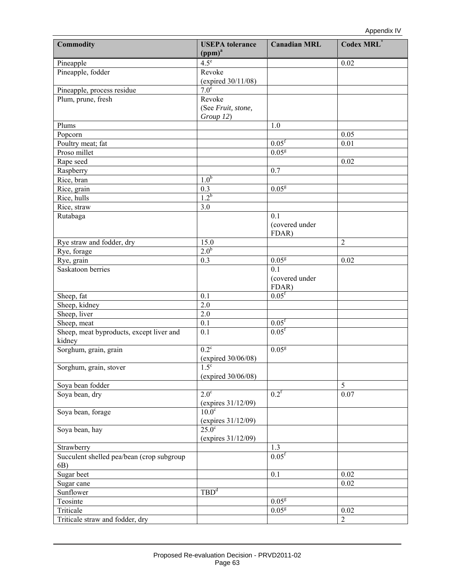| <b>Commodity</b>                                   | <b>USEPA</b> tolerance<br>(ppm) <sup>a</sup> | <b>Canadian MRL</b>            | Codex MRL*       |
|----------------------------------------------------|----------------------------------------------|--------------------------------|------------------|
| Pineapple                                          | $4.5^e$                                      |                                | 0.02             |
| Pineapple, fodder                                  | Revoke<br>(expired 30/11/08)                 |                                |                  |
| Pineapple, process residue                         | 7.0 <sup>e</sup>                             |                                |                  |
| Plum, prune, fresh                                 | Revoke                                       |                                |                  |
|                                                    | (See Fruit, stone,<br>Group 12)              |                                |                  |
| Plums                                              |                                              | 1.0                            |                  |
| Popcorn                                            |                                              |                                | 0.05             |
| Poultry meat; fat                                  |                                              | 0.05 <sup>f</sup>              | 0.01             |
| Proso millet                                       |                                              | 0.05 <sup>g</sup>              |                  |
| Rape seed                                          |                                              |                                | 0.02             |
| Raspberry                                          |                                              | 0.7                            |                  |
| Rice, bran                                         | 1.0 <sup>b</sup>                             |                                |                  |
| Rice, grain                                        | 0.3                                          | 0.05 <sup>g</sup>              |                  |
| Rice, hulls                                        | $1.2^{b}$                                    |                                |                  |
| Rice, straw                                        | 3.0                                          |                                |                  |
| Rutabaga                                           |                                              | 0.1<br>(covered under<br>FDAR) |                  |
| Rye straw and fodder, dry                          | 15.0                                         |                                | $\overline{2}$   |
| Rye, forage                                        | 2.0 <sup>b</sup>                             |                                |                  |
| Rye, grain                                         | 0.3                                          | 0.05 <sup>g</sup>              | 0.02             |
| Saskatoon berries                                  |                                              | 0.1<br>(covered under<br>FDAR) |                  |
| Sheep, fat                                         | 0.1                                          | $0.05$ <sup>f</sup>            |                  |
| Sheep, kidney                                      | 2.0                                          |                                |                  |
| Sheep, liver                                       | $2.0$                                        |                                |                  |
| Sheep, meat                                        | 0.1                                          | $0.05^{\rm f}$                 |                  |
| Sheep, meat byproducts, except liver and<br>kidney | 0.1                                          | $0.05$ <sup>f</sup>            |                  |
| Sorghum, grain, grain                              | $0.2^{\circ}$<br>(expired 30/06/08)          | 0.05 <sup>g</sup>              |                  |
| Sorghum, grain, stover                             | $1.5^{\circ}$<br>(expired 30/06/08)          |                                |                  |
| Soya bean fodder                                   |                                              |                                | 5                |
| Soya bean, dry                                     | $2.0^\circ$<br>(expires 31/12/09)            | 0.2 <sup>f</sup>               | 0.07             |
| Soya bean, forage                                  | $10.0^\circ$<br>(expires $31/12/09$ )        |                                |                  |
| Soya bean, hay                                     | $25.0^\circ$<br>(expires 31/12/09)           |                                |                  |
| Strawberry                                         |                                              | 1.3                            |                  |
| Succulent shelled pea/bean (crop subgroup<br>6B)   |                                              | 0.05 <sup>f</sup>              |                  |
| Sugar beet                                         |                                              | 0.1                            | 0.02             |
| Sugar cane                                         |                                              |                                | 0.02             |
| Sunflower                                          | TBD <sup>d</sup>                             |                                |                  |
| Teosinte                                           |                                              | 0.05 <sup>g</sup>              |                  |
| Triticale                                          |                                              | 0.05 <sup>g</sup>              | 0.02             |
| Triticale straw and fodder, dry                    |                                              |                                | $\boldsymbol{2}$ |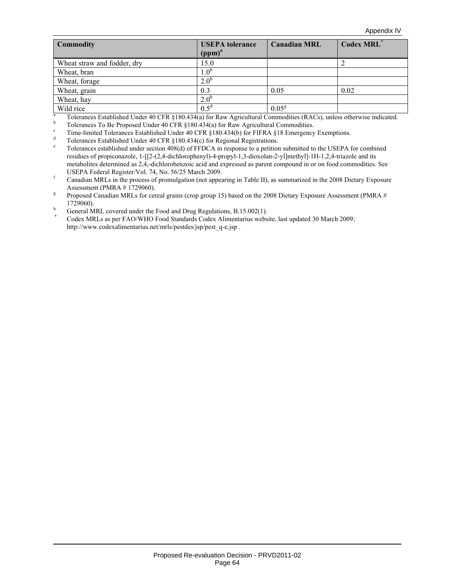| <b>Commodity</b>            | <b>USEPA</b> tolerance<br>(ppm) <sup>a</sup> | <b>Canadian MRL</b> | <b>Codex MRL</b> * |
|-----------------------------|----------------------------------------------|---------------------|--------------------|
| Wheat straw and fodder, dry | 15.0                                         |                     |                    |
| Wheat, bran                 | $.0^{\circ}$                                 |                     |                    |
| Wheat, forage               | $2.0^{6}$                                    |                     |                    |
| Wheat, grain                | 0.3                                          | 0.05                | 0.02               |
| Wheat, hay                  | 2.0 <sup>b</sup>                             |                     |                    |
| Wild rice                   | $0.5^d$                                      | $0.05^{\rm g}$      |                    |
| a<br>$T_{\Omega}$           |                                              |                     |                    |

Tolerances Established Under 40 CFR §180.434(a) for Raw Agricultural Commodities (RACs), unless otherwise indicated.<br>b Tolerances To Be Proposed Under 40 CFB §180.434(a) for Baw Agricultural Commodities

- <sup>c</sup> Time-limited Tolerances Established Under 40 CFR  $\S 180.434(b)$  for FIFRA  $\S 18$  Emergency Exemptions.
- Tolerances Established Under 40 CFR §180.434(c) for Regional Registrations.
- Tolerances established under section 408(d) of FFDCA in response to a petition submitted to the USEPA for combined residues of propiconazole, 1-[[2-(2,4-dichlorophenyl)-4-propyl-1,3-dioxolan-2-yl]methyl]-1H-1,2,4-triazole and its metabolites determined as 2,4,-dichlorobenzoic acid and expressed as parent compound in or on food commodities. See USEPA Federal Register/Vol. 74, No. 56/25 March 2009.
- Canadian MRLs in the process of promulgation (not appearing in Table II), as summarized in the 2008 Dietary Exposure Assessment (PMRA  $# 1729060$ ).<br><sup>g</sup> Proposed Canadian MRI s for cen
- Proposed Canadian MRLs for cereal grains (crop group 15) based on the 2008 Dietary Exposure Assessment (PMRA # 1729060).<br>
In General MRL covered under the Food and Drug Regulations, B.15.002(1).

Codex MRLs as per FAO/WHO Food Standards Codex Alimentarius website, last updated 30 March 2009; http://www.codexalimentarius.net/mrls/pestdes/jsp/pest\_q-e.jsp .

 $\frac{1}{2}$  Tolerances To Be Proposed Under 40 CFR §180.434(a) for Raw Agricultural Commodities.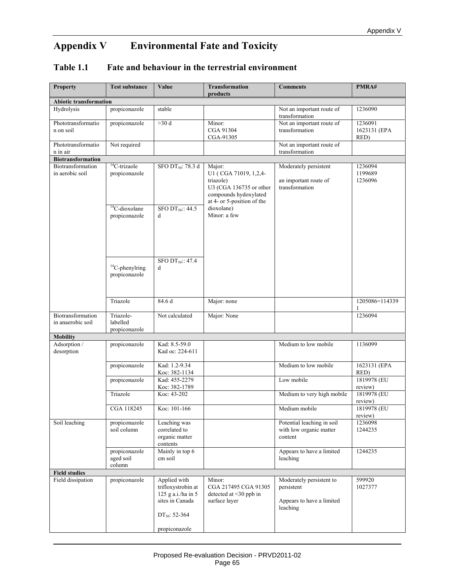# **Appendix V Environmental Fate and Toxicity**

## **Table 1.1 Fate and behaviour in the terrestrial environment**

| <b>Property</b>                        | <b>Test substance</b>                   | Value                                                                                                    | <b>Transformation</b><br>products                                                                                              | <b>Comments</b>                                                                 | PMRA#                           |
|----------------------------------------|-----------------------------------------|----------------------------------------------------------------------------------------------------------|--------------------------------------------------------------------------------------------------------------------------------|---------------------------------------------------------------------------------|---------------------------------|
| <b>Abiotic transformation</b>          |                                         |                                                                                                          |                                                                                                                                |                                                                                 |                                 |
| Hydrolysis                             | propiconazole                           | stable                                                                                                   |                                                                                                                                | Not an important route of<br>transformation                                     | 1236090                         |
| Phototransformatio<br>n on soil        | propiconazole                           | >30 d                                                                                                    | Minor:<br>CGA 91304<br>CGA-91305                                                                                               | Not an important route of<br>transformation                                     | 1236091<br>1623131 (EPA<br>RED) |
| Phototransformatio<br>n in air         | Not required                            |                                                                                                          |                                                                                                                                | Not an important route of<br>transformation                                     |                                 |
| <b>Biotransformation</b>               |                                         |                                                                                                          |                                                                                                                                |                                                                                 |                                 |
| Biotransformation<br>in aerobic soil   | ${}^{14}C$ -trizaole<br>propiconazole   | SFO DT <sub>50</sub> : 78.3 d                                                                            | Major:<br>U1 (CGA 71019, 1,2,4-<br>triazole)<br>U3 (CGA 136735 or other<br>compounds hydoxylated<br>at 4- or 5-position of the | Moderately persistent<br>an important route of<br>transformation                | 1236094<br>1199689<br>1236096   |
|                                        | ${}^{14}$ C-dioxolane<br>propiconazole  | SFO DT $_{50}$ :: 44.5<br>d                                                                              | dioxolane)<br>Minor: a few                                                                                                     |                                                                                 |                                 |
|                                        | ${}^{14}C$ -phenylring<br>propiconazole | SFO DT <sub>50</sub> :: 47.4<br>d                                                                        |                                                                                                                                |                                                                                 |                                 |
|                                        | Triazole                                | 84.6 d                                                                                                   | Major: none                                                                                                                    |                                                                                 | 1205086=114339                  |
| Biotransformation<br>in anaerobic soil | Triazole-<br>labelled<br>propiconazole  | Not calculated                                                                                           | Major: None                                                                                                                    |                                                                                 | 1236094                         |
| <b>Mobility</b>                        |                                         |                                                                                                          |                                                                                                                                |                                                                                 |                                 |
| Adsorption /<br>desorption             | propiconazole                           | Kad: 8.5-59.0<br>Kad oc: 224-611                                                                         |                                                                                                                                | Medium to low mobile                                                            | 1136099                         |
|                                        | propiconazole                           | Kad: 1.2-9.34<br>Koc: 382-1134                                                                           |                                                                                                                                | Medium to low mobile                                                            | 1623131 (EPA<br>RED)            |
|                                        | propiconazole                           | Kad: 455-2279<br>Koc: 382-1789                                                                           |                                                                                                                                | Low mobile                                                                      | 1819978 (EU<br>review)          |
|                                        | Triazole                                | Koc: 43-202                                                                                              |                                                                                                                                | Medium to very high mobile                                                      | 1819978 (EU<br>review)          |
|                                        | CGA 118245                              | Koc: 101-166                                                                                             |                                                                                                                                | Medium mobile                                                                   | 1819978 (EU<br>review)          |
| Soil leaching                          | propiconazole<br>soil column            | Leaching was<br>correlated to<br>organic matter<br>contents                                              |                                                                                                                                | Potential leaching in soil<br>with low organic matter<br>content                | 1236098<br>1244235              |
|                                        | propiconazole<br>aged soil<br>column    | Mainly in top 6<br>cm soil                                                                               |                                                                                                                                | Appears to have a limited<br>leaching                                           | 1244235                         |
| <b>Field studies</b>                   |                                         |                                                                                                          |                                                                                                                                |                                                                                 |                                 |
| Field dissipation                      | propiconazole                           | Applied with<br>trifloxystrobin at<br>125 g a.i./ha in 5<br>sites in Canada<br>DT <sub>50</sub> : 52-364 | Minor:<br>CGA 217495 CGA 91305<br>detected at $\leq$ 30 ppb in<br>surface layer                                                | Moderately persistent to<br>persistent<br>Appears to have a limited<br>leaching | 599920<br>1027377               |
|                                        |                                         | propiconazole                                                                                            |                                                                                                                                |                                                                                 |                                 |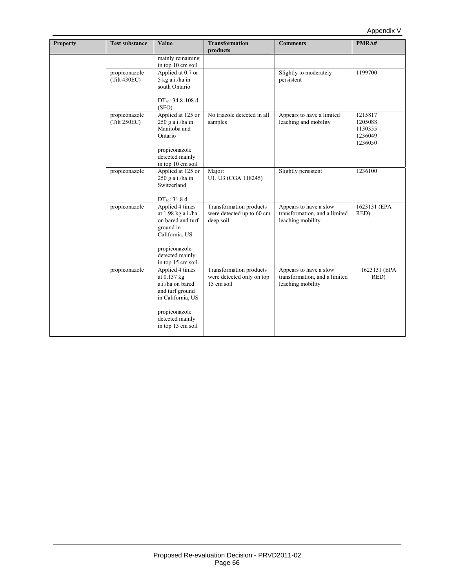| <b>Property</b> | <b>Test substance</b>         | Value                                                                                                                                               | <b>Transformation</b><br>products                                  | <b>Comments</b>                                                              | PMRA#                                               |
|-----------------|-------------------------------|-----------------------------------------------------------------------------------------------------------------------------------------------------|--------------------------------------------------------------------|------------------------------------------------------------------------------|-----------------------------------------------------|
|                 |                               | mainly remaining<br>in top 10 cm soil                                                                                                               |                                                                    |                                                                              |                                                     |
|                 | propiconazole<br>(Tilt 430EC) | Applied at 0.7 or<br>5 kg a.i./ha in<br>south Ontario<br>DT <sub>50</sub> : 34.8-108 d                                                              |                                                                    | Slightly to moderately<br>persistent                                         | 1199700                                             |
|                 | propiconazole<br>(Tilt 250EC) | (SFO)<br>Applied at 125 or<br>$250$ g a.i./ha in<br>Manitoba and<br>Ontario<br>propiconazole<br>detected mainly<br>in top 10 cm soil                | No triazole detected in all<br>samples                             | Appears to have a limited<br>leaching and mobility                           | 1215817<br>1205088<br>1130355<br>1236049<br>1236050 |
|                 | propiconazole                 | Applied at 125 or<br>250 g a.i./ha in<br>Switzerland<br>DT <sub>50</sub> : 31.8 d                                                                   | Major:<br>U1, U3 (CGA 118245)                                      | Slightly persistent                                                          | 1236100                                             |
|                 | propiconazole                 | Applied 4 times<br>at 1.98 kg a.i./ha<br>on bared and turf<br>ground in<br>California, US<br>propiconazole<br>detected mainly<br>in top 15 cm soil. | Transformation products<br>were detected up to 60 cm<br>deep soil  | Appears to have a slow<br>transformation, and a limited<br>leaching mobility | 1623131 (EPA<br>RED)                                |
|                 | propiconazole                 | Applied 4 times<br>at 0.137 kg<br>a.i./ha on bared<br>and turf ground<br>in California, US<br>propiconazole<br>detected mainly<br>in top 15 cm soil | Transformation products<br>were detected only on top<br>15 cm soil | Appears to have a slow<br>transformation, and a limited<br>leaching mobility | 1623131 (EPA<br>RED)                                |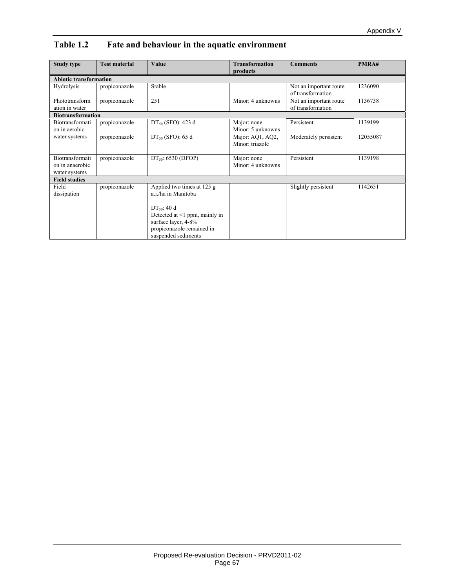| Study type                                          | <b>Test material</b> | Value                                                                                                                                                                                   | <b>Transformation</b><br>products   | <b>Comments</b>                             | PMRA#    |
|-----------------------------------------------------|----------------------|-----------------------------------------------------------------------------------------------------------------------------------------------------------------------------------------|-------------------------------------|---------------------------------------------|----------|
| <b>Abiotic transformation</b>                       |                      |                                                                                                                                                                                         |                                     |                                             |          |
| Hydrolysis                                          | propiconazole        | Stable                                                                                                                                                                                  |                                     | Not an important route<br>of transformation | 1236090  |
| Phototransform<br>ation in water                    | propiconazole        | 251                                                                                                                                                                                     | Minor: 4 unknowns                   | Not an important route<br>of transformation | 1136738  |
| <b>Biotransformation</b>                            |                      |                                                                                                                                                                                         |                                     |                                             |          |
| Biotransformati<br>on in aerobic                    | propiconazole        | $DT_{50}$ (SFO): 423 d                                                                                                                                                                  | Major: none<br>Minor: 5 unknowns    | Persistent                                  | 1139199  |
| water systems                                       | propiconazole        | $DT_{50}$ (SFO): 65 d                                                                                                                                                                   | Major: AQ1, AQ2,<br>Minor: triazole | Moderately persistent                       | 12055087 |
| Biotransformati<br>on in anaerobic<br>water systems | propiconazole        | $DT_{50}$ : 6530 (DFOP)                                                                                                                                                                 | Major: none<br>Minor: 4 unknowns    | Persistent                                  | 1139198  |
| <b>Field studies</b>                                |                      |                                                                                                                                                                                         |                                     |                                             |          |
| Field<br>dissipation                                | propiconazole        | Applied two times at 125 g<br>a.i./ha in Manitoba<br>$DT_{50}$ : 40 d<br>Detected at $\leq 1$ ppm, mainly in<br>surface layer, 4-8%<br>propiconazole remained in<br>suspended sediments |                                     | Slightly persistent                         | 1142651  |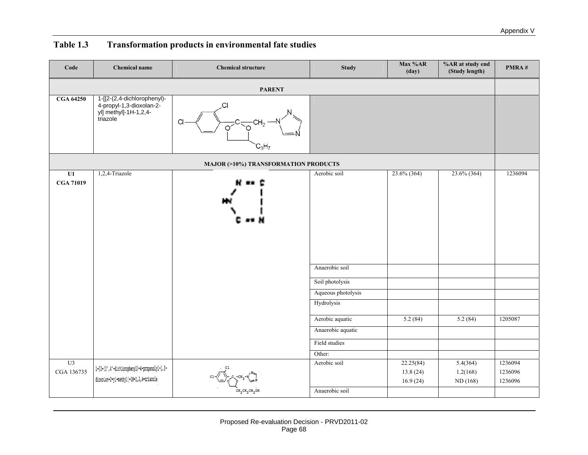| Code                                 | <b>Chemical name</b>                                                                                    | <b>Chemical structure</b> | <b>Study</b>                                                                                                                                   | Max %AR<br>(day)                  | %AR at study end<br>(Study length) | PMRA#                         |  |  |  |  |
|--------------------------------------|---------------------------------------------------------------------------------------------------------|---------------------------|------------------------------------------------------------------------------------------------------------------------------------------------|-----------------------------------|------------------------------------|-------------------------------|--|--|--|--|
|                                      |                                                                                                         | <b>PARENT</b>             |                                                                                                                                                |                                   |                                    |                               |  |  |  |  |
| <b>CGA 64250</b>                     | 1-[[2-(2,4-dichlorophenyl)-<br>4-propyl-1,3-dioxolan-2-<br>yl] methyl]-1H-1,2,4-<br>triazole            | C<br>Cl<br>$C_3H_7$       |                                                                                                                                                |                                   |                                    |                               |  |  |  |  |
| MAJOR (>10%) TRANSFORMATION PRODUCTS |                                                                                                         |                           |                                                                                                                                                |                                   |                                    |                               |  |  |  |  |
| U1<br><b>CGA 71019</b>               | 1,2,4-Triazole                                                                                          |                           | Aerobic soil<br>Anaerobic soil<br>Soil photolysis<br>Aqueous photolysis<br>Hydrolysis<br>Aerobic aquatic<br>Anaerobic aquatic<br>Field studies | $23.6\%$ (364)<br>5.2(84)         | 23.6% (364)<br>5.2(84)             | 1236094<br>1205087            |  |  |  |  |
|                                      |                                                                                                         |                           | Other:                                                                                                                                         |                                   |                                    |                               |  |  |  |  |
| U3<br>CGA 136735                     | $1 - [2 - (2^+, 4^--dichloropheny)] - 4-propanoly1 - 1, 3 -$<br>dioxolan-2-yl-methyl]-1H-1,2,4-triazole |                           | Aerobic soil<br>Anaerobic soil                                                                                                                 | 22.25(84)<br>13.8(24)<br>16.9(24) | 5.4(364)<br>1.2(168)<br>ND (168)   | 1236094<br>1236096<br>1236096 |  |  |  |  |
|                                      |                                                                                                         |                           |                                                                                                                                                |                                   |                                    |                               |  |  |  |  |

# **Table 1.3 Transformation products in environmental fate studies**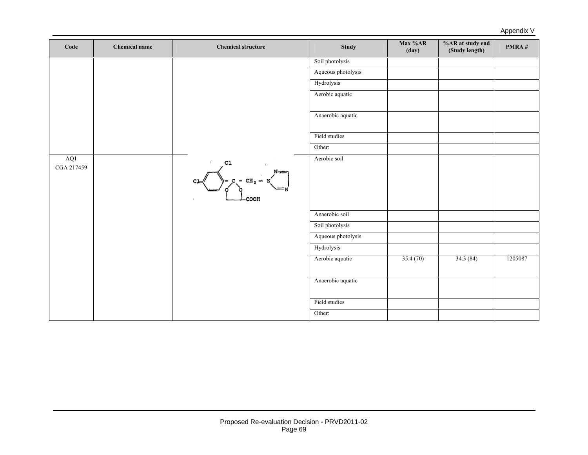| Code              | <b>Chemical name</b> | <b>Chemical structure</b>                            | <b>Study</b>       | Max %AR<br>(day) | %AR at study end<br>(Study length) | PMRA#   |
|-------------------|----------------------|------------------------------------------------------|--------------------|------------------|------------------------------------|---------|
|                   |                      |                                                      | Soil photolysis    |                  |                                    |         |
|                   |                      |                                                      | Aqueous photolysis |                  |                                    |         |
|                   |                      |                                                      | Hydrolysis         |                  |                                    |         |
|                   |                      |                                                      | Aerobic aquatic    |                  |                                    |         |
|                   |                      |                                                      | Anaerobic aquatic  |                  |                                    |         |
|                   |                      |                                                      | Field studies      |                  |                                    |         |
|                   |                      |                                                      | Other:             |                  |                                    |         |
| AQ1<br>CGA 217459 |                      | C1<br>$N =$<br>$-$ CH <sub>2</sub> $-$<br><b>DOH</b> | Aerobic soil       |                  |                                    |         |
|                   |                      |                                                      | Anaerobic soil     |                  |                                    |         |
|                   |                      |                                                      | Soil photolysis    |                  |                                    |         |
|                   |                      |                                                      | Aqueous photolysis |                  |                                    |         |
|                   |                      |                                                      | Hydrolysis         |                  |                                    |         |
|                   |                      |                                                      | Aerobic aquatic    | 35.4(70)         | 34.3(84)                           | 1205087 |
|                   |                      |                                                      | Anaerobic aquatic  |                  |                                    |         |
|                   |                      |                                                      | Field studies      |                  |                                    |         |
|                   |                      |                                                      | Other:             |                  |                                    |         |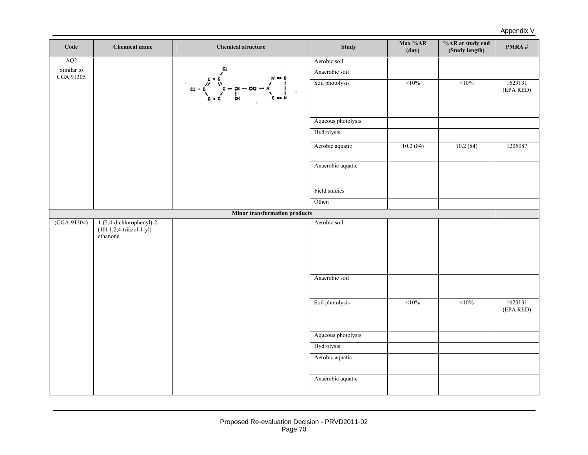Appendix V

| Code                    | <b>Chemical name</b>                    | <b>Chemical structure</b>            | <b>Study</b>                       | Max %AR<br>(day) | $\%$ AR at study end<br>(Study length) | PMRA#                |
|-------------------------|-----------------------------------------|--------------------------------------|------------------------------------|------------------|----------------------------------------|----------------------|
| AQ2                     |                                         |                                      | Aerobic soil                       |                  |                                        |                      |
| Similar to<br>CGA 91305 |                                         |                                      | Anaerobic soil                     |                  |                                        |                      |
|                         |                                         | C1<br>- 012<br>-- œ                  | Soil photolysis                    | <10%             | <10%                                   | 1623131<br>(EPA RED) |
|                         |                                         |                                      | Aqueous photolysis                 |                  |                                        |                      |
|                         |                                         |                                      | Hydrolysis                         |                  |                                        |                      |
|                         |                                         |                                      | Aerobic aquatic                    | 10.2(84)         | 10.2(84)                               | 1205087              |
|                         |                                         |                                      | Anaerobic aquatic                  |                  |                                        |                      |
|                         |                                         |                                      | Field studies                      |                  |                                        |                      |
|                         |                                         |                                      | Other:                             |                  |                                        |                      |
|                         |                                         | <b>Minor transformation products</b> |                                    |                  |                                        |                      |
|                         | $(1H-1, 2, 4-triazol-1-yl)$<br>ethanone |                                      |                                    |                  |                                        |                      |
|                         |                                         |                                      | Anaerobic soil                     |                  |                                        |                      |
|                         |                                         |                                      | Soil photolysis                    | $10\%$           | <10%                                   | 1623131<br>(EPA RED) |
|                         |                                         |                                      |                                    |                  |                                        |                      |
|                         |                                         |                                      | Hydrolysis                         |                  |                                        |                      |
|                         |                                         |                                      | Aerobic aquatic                    |                  |                                        |                      |
|                         |                                         |                                      | Anaerobic aquatic                  |                  |                                        |                      |
| $(CGA-91304)$           | $1-(2,4$ -dichlorophenyl)-2-            |                                      | Aerobic soil<br>Aqueous photolysis |                  |                                        |                      |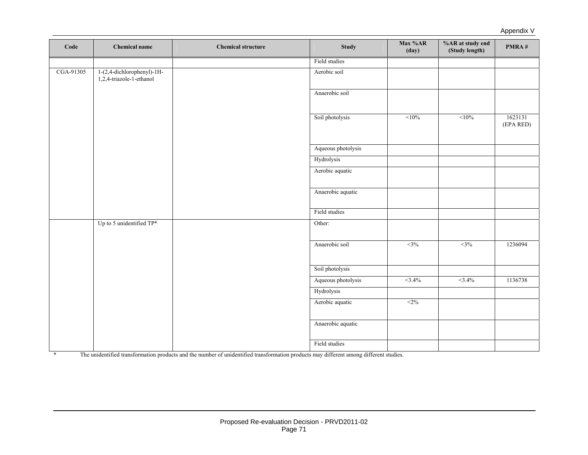Appendix V

| Code      | Chemical name                                          | <b>Chemical structure</b> | <b>Study</b>       | Max %AR<br>(day) | %AR at study end<br>(Study length) | PMRA#                |
|-----------|--------------------------------------------------------|---------------------------|--------------------|------------------|------------------------------------|----------------------|
|           |                                                        |                           | Field studies      |                  |                                    |                      |
| CGA-91305 | 1-(2,4-dichlorophenyl)-1H-<br>1,2,4-triazole-1-ethanol |                           | Aerobic soil       |                  |                                    |                      |
|           |                                                        |                           | Anaerobic soil     |                  |                                    |                      |
|           |                                                        |                           | Soil photolysis    | <10%             | <10%                               | 1623131<br>(EPA RED) |
|           |                                                        |                           | Aqueous photolysis |                  |                                    |                      |
|           |                                                        |                           | Hydrolysis         |                  |                                    |                      |
|           |                                                        |                           | Aerobic aquatic    |                  |                                    |                      |
|           |                                                        |                           | Anaerobic aquatic  |                  |                                    |                      |
|           |                                                        |                           | Field studies      |                  |                                    |                      |
|           | Up to 5 unidentified TP*                               |                           | Other:             |                  |                                    |                      |
|           |                                                        |                           | Anaerobic soil     | $<$ 3%           | $<$ 3%                             | 1236094              |
|           |                                                        |                           | Soil photolysis    |                  |                                    |                      |
|           |                                                        |                           | Aqueous photolysis | $<3.4\%$         | $<3.4\%$                           | 1136738              |
|           |                                                        |                           | Hydrolysis         |                  |                                    |                      |
|           |                                                        |                           | Aerobic aquatic    | <2%              |                                    |                      |
|           |                                                        |                           | Anaerobic aquatic  |                  |                                    |                      |
|           |                                                        |                           | Field studies      |                  |                                    |                      |

\* The unidentified transformation products and the number of unidentified transformation products may different among different studies.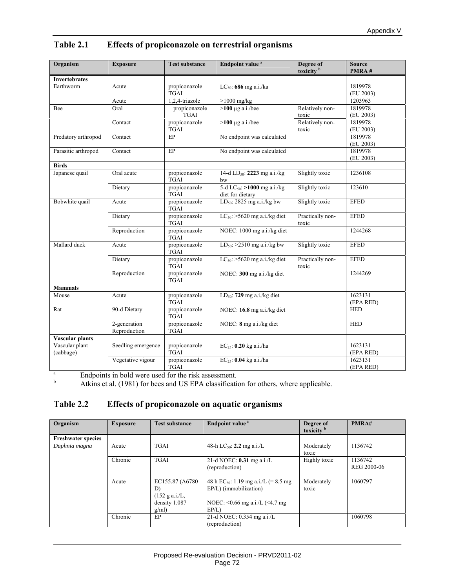| Organism                    | <b>Exposure</b>                                      | <b>Test substance</b>        | Endpoint value <sup>a</sup>                                 | Degree of<br>toxicity <sup>b</sup> | <b>Source</b><br>PMRA# |
|-----------------------------|------------------------------------------------------|------------------------------|-------------------------------------------------------------|------------------------------------|------------------------|
| Invertebrates               |                                                      |                              |                                                             |                                    |                        |
| Earthworm                   | Acute                                                | propiconazole<br><b>TGAI</b> | $LC_{50}$ : 686 mg a.i./ka                                  |                                    | 1819978<br>(EU 2003)   |
|                             | Acute                                                | 1,2,4-triazole               | $>1000$ mg/kg                                               |                                    | 1203963                |
| Bee                         | Oral                                                 | propiconazole<br><b>TGAI</b> | $>100 \mu g$ a.i./bee                                       | Relatively non-<br>toxic           | 1819978<br>(EU 2003)   |
|                             | Contact                                              | propiconazole<br><b>TGAI</b> | $>100 \mu g$ a.i./bee                                       | Relatively non-<br>toxic           | 1819978<br>(EU 2003)   |
| Predatory arthropod         | Contact                                              | EP                           | No endpoint was calculated                                  |                                    | 1819978<br>(EU 2003)   |
| Parasitic arthropod         | Contact                                              | EP                           | No endpoint was calculated                                  |                                    | 1819978<br>(EU 2003)   |
| <b>Birds</b>                |                                                      |                              |                                                             |                                    |                        |
| Japanese quail              | Oral acute                                           | propiconazole<br><b>TGAI</b> | 14-d LD <sub>50</sub> : 2223 mg a.i./kg<br>bw               | Slightly toxic                     | 1236108                |
|                             | Dietary                                              | propiconazole<br><b>TGAI</b> | 5-d LC <sub>50</sub> : >1000 mg a.i./kg<br>diet for dietary | Slightly toxic                     | 123610                 |
| Bobwhite quail              | Acute                                                | propiconazole<br><b>TGAI</b> | LD <sub>50</sub> : 2825 mg a.i./kg bw                       | Slightly toxic                     | <b>EFED</b>            |
|                             | Dietary                                              | propiconazole<br><b>TGAI</b> | $LC_{50}$ : >5620 mg a.i./kg diet                           | Practically non-<br>toxic          | <b>EFED</b>            |
|                             | Reproduction                                         | propiconazole<br><b>TGAI</b> | NOEC: 1000 mg a.i./kg diet                                  |                                    | 1244268                |
| Mallard duck                | Acute                                                | propiconazole<br><b>TGAI</b> | LD <sub>50</sub> : $>2510$ mg a.i./kg bw                    | Slightly toxic                     | <b>EFED</b>            |
|                             | Dietary                                              | propiconazole<br><b>TGAI</b> | $LC_{50}$ : >5620 mg a.i./kg diet                           | Practically non-<br>toxic          | <b>EFED</b>            |
|                             | Reproduction                                         | propiconazole<br><b>TGAI</b> | NOEC: 300 mg a.i./kg diet                                   |                                    | 1244269                |
| <b>Mammals</b>              |                                                      |                              |                                                             |                                    |                        |
| Mouse                       | Acute                                                | propiconazole<br><b>TGAI</b> | $LD_{50}$ : 729 mg a.i./kg diet                             |                                    | 1623131<br>(EPA RED)   |
| Rat                         | 90-d Dietary                                         | propiconazole<br><b>TGAI</b> | NOEC: 16.8 mg a.i./kg diet                                  |                                    | <b>HED</b>             |
|                             | 2-generation<br>Reproduction                         | propiconazole<br><b>TGAI</b> | NOEC: 8 mg a.i./kg diet                                     |                                    | <b>HED</b>             |
| <b>Vascular plants</b>      |                                                      |                              |                                                             |                                    |                        |
| Vascular plant<br>(cabbage) | Seedling emergence                                   | propiconazole<br><b>TGAI</b> | $EC_{25}$ : 0.20 kg a.i./ha                                 |                                    | 1623131<br>(EPA RED)   |
|                             | Vegetative vigour                                    | propiconazole<br><b>TGAI</b> | $EC_{25}$ : 0.04 kg a.i./ha                                 |                                    | 1623131<br>(EPA RED)   |
| $\rm{a}$                    | Endpoints in bold were used for the risk assessment. |                              |                                                             |                                    |                        |

#### **Table 2.1 Effects of propiconazole on terrestrial organisms**

 $\mathbf b$ 

Atkins et al. (1981) for bees and US EPA classification for others, where applicable.

#### **Table 2.2 Effects of propiconazole on aquatic organisms**

| Organism                  | <b>Exposure</b> | <b>Test substance</b>                                                       | Endpoint value <sup>a</sup>                                                                                                 | Degree of<br>toxicity <sup>b</sup> | PMRA#                  |
|---------------------------|-----------------|-----------------------------------------------------------------------------|-----------------------------------------------------------------------------------------------------------------------------|------------------------------------|------------------------|
| <b>Freshwater species</b> |                 |                                                                             |                                                                                                                             |                                    |                        |
| Daphnia magna             | Acute           | <b>TGAI</b>                                                                 | 48-h LC <sub>50</sub> : <b>2.2</b> mg a.i./L                                                                                | Moderately<br>toxic                | 1136742                |
|                           | Chronic         | <b>TGAI</b>                                                                 | 21-d NOEC: $0.31$ mg a.i./L<br>(reproduction)                                                                               | Highly toxic                       | 1136742<br>REG 2000-06 |
|                           | Acute           | EC155.87 (A6780)<br>D)<br>$(152 \text{ g a.}i/L,$<br>density 1.087<br>g/ml) | 48 h EC <sub>50</sub> : 1.19 mg a.i./L (= 8.5 mg<br>EP/L) (immobilization)<br>NOEC: $< 0.66$ mg a.i./L ( $< 4.7$ mg<br>EP/L | Moderately<br>toxic                | 1060797                |
|                           | Chronic         | EP                                                                          | 21-d NOEC: 0.354 mg a.i./L<br>(reproduction)                                                                                |                                    | 1060798                |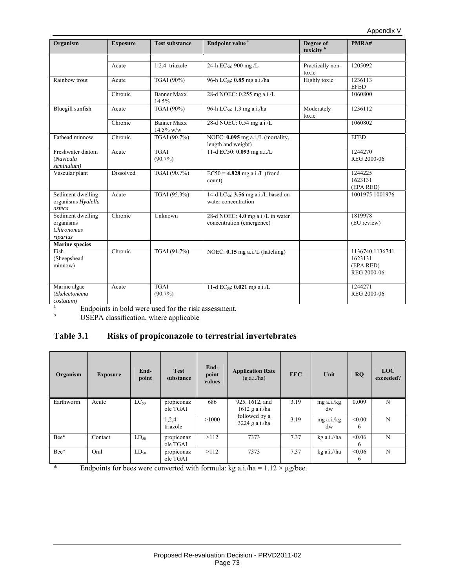| Organism                                                 | <b>Exposure</b> | <b>Test substance</b>              | Endpoint value <sup>a</sup>                                            | Degree of<br>toxicity <sup>b</sup> | PMRA#                                                  |
|----------------------------------------------------------|-----------------|------------------------------------|------------------------------------------------------------------------|------------------------------------|--------------------------------------------------------|
|                                                          | Acute           | 1.2.4-triazole                     | 24-h $EC_{50}$ : 900 mg /L                                             | Practically non-<br>toxic          | 1205092                                                |
| Rainbow trout                                            | Acute           | TGAI (90%)                         | 96-h LC <sub>50</sub> : 0.85 mg a.i./ha                                | Highly toxic                       | 1236113<br><b>EFED</b>                                 |
|                                                          | Chronic         | <b>Banner Maxx</b><br>14.5%        | 28-d NOEC: 0.255 mg a.i./L                                             |                                    | 1060800                                                |
| Bluegill sunfish                                         | Acute           | TGAI (90%)                         | 96-h LC <sub>50</sub> : 1.3 mg a.i./ha                                 | Moderately<br>toxic                | 1236112                                                |
|                                                          | Chronic         | <b>Banner Maxx</b><br>$14.5\%$ w/w | 28-d NOEC: 0.54 mg a.i./L                                              |                                    | 1060802                                                |
| Fathead minnow                                           | Chronic         | TGAI (90.7%)                       | NOEC: 0.095 mg a.i./L (mortality,<br>length and weight)                |                                    | <b>EFED</b>                                            |
| Freshwater diatom<br>(Navicula<br>seminulum)             | Acute           | <b>TGAI</b><br>$(90.7\%)$          | 11-d EC50: 0.093 mg a.i./L                                             |                                    | 1244270<br>REG 2000-06                                 |
| Vascular plant                                           | Dissolved       | TGAI (90.7%)                       | $EC50 = 4.828$ mg a.i./L (frond<br>count)                              |                                    | 1244225<br>1623131<br>(EPA RED)                        |
| Sediment dwelling<br>organisms Hyalella<br>azteca        | Acute           | TGAI (95.3%)                       | 14-d LC <sub>50</sub> : 3.56 mg a.i./L based on<br>water concentration |                                    | 1001975 1001976                                        |
| Sediment dwelling<br>organisms<br>Chironomus<br>riparius | Chronic         | Unknown                            | 28-d NOEC: 4.0 mg a.i./L in water<br>concentration (emergence)         |                                    | 1819978<br>(EU review)                                 |
| <b>Marine species</b>                                    |                 |                                    |                                                                        |                                    |                                                        |
| Fish<br>(Sheepshead<br>minnow)                           | Chronic         | TGAI (91.7%)                       | NOEC: $0.15$ mg a.i./L (hatching)                                      |                                    | 1136740 1136741<br>1623131<br>(EPA RED)<br>REG 2000-06 |
| Marine algae<br>(Skeleetonema<br>costatum)               | Acute           | <b>TGAI</b><br>$(90.7\%)$          | 11-d EC <sub>50</sub> : 0.021 mg a.i./L                                |                                    | 1244271<br>REG 2000-06                                 |

a Endpoints in bold were used for the risk assessment.

 $\mathbf b$ USEPA classification, where applicable

### **Table 3.1 Risks of propiconazole to terrestrial invertebrates**

| Organism  | <b>Exposure</b> | End-<br>point | <b>Test</b><br>substance | End-<br>point<br>values | <b>Application Rate</b><br>$(g \nabla a.i./ha)$ | <b>EEC</b> | Unit             | RQ          | <b>LOC</b><br>exceeded? |
|-----------|-----------------|---------------|--------------------------|-------------------------|-------------------------------------------------|------------|------------------|-------------|-------------------------|
| Earthworm | Acute           | $LC_{50}$     | propiconaz<br>ole TGAI   | 686                     | 925, 1612, and<br>$1612$ g a.i./ha              | 3.19       | mg a.i./kg<br>dw | 0.009       | N                       |
|           |                 |               | $1,2,4-$<br>triazole     | >1000                   | followed by a<br>$3224$ g a.i./ha               | 3.19       | mg a.i./kg<br>dw | < 0.00<br>6 | N                       |
| Bee*      | Contact         | $LD_{50}$     | propiconaz<br>ole TGAI   | >112                    | 7373                                            | 7.37       | kg a.i.//ha      | < 0.06<br>6 | N                       |
| Bee*      | Oral            | $LD_{50}$     | propiconaz<br>ole TGAI   | >112                    | 7373                                            | 7.37       | kg a.i.//ha      | < 0.06<br>6 | N                       |

\* Endpoints for bees were converted with formula:  $kg a.i/ha = 1.12 \times \mu g/bee$ .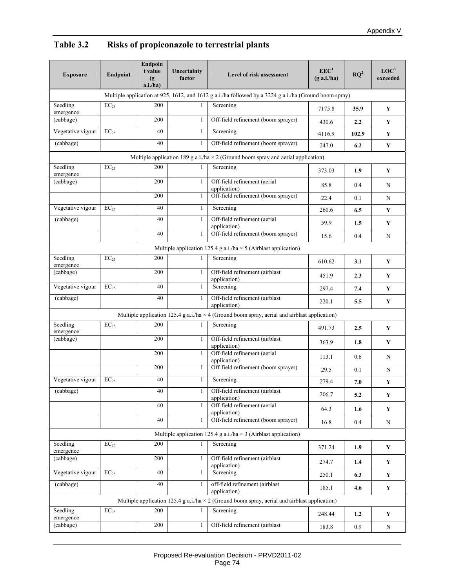# **Table 3.2 Risks of propiconazole to terrestrial plants**

| <b>Exposure</b>       | Endpoint             | <b>Endpoin</b><br>t value<br>(g)<br>a.i/ha) | Uncertainty<br>factor | Level of risk assessment                                                                               | EEC <sup>1</sup><br>$(g \nabla a.i/ha)$ | $\mathbf{R}\mathbf{Q}^2$ | LOC <sup>3</sup><br>exceeded |
|-----------------------|----------------------|---------------------------------------------|-----------------------|--------------------------------------------------------------------------------------------------------|-----------------------------------------|--------------------------|------------------------------|
|                       |                      |                                             |                       | Multiple application at 925, 1612, and 1612 g a.i./ha followed by a 3224 g a.i./ha (Ground boom spray) |                                         |                          |                              |
| Seedling<br>emergence | $EC_{25}$            | 200                                         | 1                     | Screening                                                                                              | 7175.8                                  | 35.9                     | Y                            |
| (cabbage)             |                      | 200                                         | 1                     | Off-field refinement (boom sprayer)                                                                    | 430.6                                   | 2.2                      | Y                            |
| Vegetative vigour     | $EC_{25}$            | 40                                          | $\mathbf{1}$          | Screening                                                                                              | 4116.9                                  | 102.9                    | $\mathbf Y$                  |
| (cabbage)             |                      | 40                                          | 1                     | Off-field refinement (boom sprayer)                                                                    | 247.0                                   | 6.2                      | $\mathbf Y$                  |
|                       |                      |                                             |                       | Multiple application 189 g a.i./ha $\times$ 2 (Ground boom spray and aerial application)               |                                         |                          |                              |
| Seedling<br>emergence | $EC_{25}$            | 200                                         |                       | Screening                                                                                              | 373.03                                  | 1.9                      | Y                            |
| (cabbage)             |                      | 200                                         | 1                     | Off-field refinement (aerial<br>application)                                                           | 85.8                                    | 0.4                      | N                            |
|                       |                      | 200                                         | 1                     | Off-field refinement (boom sprayer)                                                                    | 22.4                                    | 0.1                      | N                            |
| Vegetative vigour     | $EC_{25}$            | 40                                          | $\mathbf{1}$          | Screening                                                                                              | 260.6                                   | 6.5                      | Y                            |
| (cabbage)             |                      | 40                                          | 1                     | Off-field refinement (aerial<br>application)                                                           | 59.9                                    | 1.5                      | $\mathbf Y$                  |
|                       |                      | 40                                          | 1                     | Off-field refinement (boom sprayer)                                                                    | 15.6                                    | 0.4                      | N                            |
|                       |                      |                                             |                       | Multiple application 125.4 g a.i./ha $\times$ 5 (Airblast application)                                 |                                         |                          |                              |
| Seedling<br>emergence | $\overline{EC}_{25}$ | 200                                         |                       | Screening                                                                                              | 610.62                                  | 3.1                      | Y                            |
| (cabbage)             |                      | 200                                         | 1                     | Off-field refinement (airblast<br>application)                                                         | 451.9                                   | 2.3                      | Y                            |
| Vegetative vigour     | $EC_{25}$            | 40                                          | 1                     | Screening                                                                                              | 297.4                                   | 7.4                      | Y                            |
| (cabbage)             |                      | 40                                          | $\mathbf{1}$          | Off-field refinement (airblast<br>application)                                                         | 220.1                                   | 5.5                      | $\mathbf Y$                  |
|                       |                      |                                             |                       | Multiple application 125.4 g a.i./ha $\times$ 4 (Ground boom spray, aerial and airblast application)   |                                         |                          |                              |
| Seedling<br>emergence | $EC_{25}$            | 200                                         | 1                     | Screening                                                                                              | 491.73                                  | 2.5                      | Y                            |
| (cabbage)             |                      | 200                                         | 1                     | Off-field refinement (airblast<br>application)                                                         | 363.9                                   | 1.8                      | $\mathbf Y$                  |
|                       |                      | 200                                         | $\mathbf{1}$          | Off-field refinement (aerial<br>application)                                                           | 113.1                                   | 0.6                      | N                            |
|                       |                      | 200                                         | $\mathbf{1}$          | Off-field refinement (boom sprayer)                                                                    | 29.5                                    | 0.1                      | N                            |
| Vegetative vigour     | $EC_{25}$            | 40                                          | 1                     | Screening                                                                                              | 279.4                                   | 7.0                      | $\mathbf Y$                  |
| (cabbage)             |                      | 40                                          | $\mathbf{1}$          | Off-field refinement (airblast<br>application)                                                         | 206.7                                   | 5.2                      | Y                            |
|                       |                      | 40                                          | $\mathbf{1}$          | Off-field refinement (aerial<br>application)                                                           | 64.3                                    | 1.6                      | $\mathbf Y$                  |
|                       |                      | 40                                          | 1                     | Off-field refinement (boom sprayer)                                                                    | 16.8                                    | 0.4                      | $\mathbf N$                  |
|                       |                      |                                             |                       | Multiple application 125.4 g a.i./ha $\times$ 3 (Airblast application)                                 |                                         |                          |                              |
| Seedling<br>emergence | $EC_{25}$            | 200                                         | 1                     | Screening                                                                                              | 371.24                                  | 1.9                      | Y                            |
| (cabbage)             |                      | 200                                         | 1                     | Off-field refinement (airblast<br>application)                                                         | 274.7                                   | $1.4\,$                  | Y                            |
| Vegetative vigour     | $EC_{25}$            | 40                                          | 1                     | Screening<br>250.1                                                                                     |                                         | 6.3                      | $\mathbf Y$                  |
| (cabbage)             |                      | 40                                          | $\mathbf{1}$          | off-field refinement (airblast<br>application)                                                         | 185.1                                   | 4.6                      | $\mathbf Y$                  |
|                       |                      |                                             |                       | Multiple application 125.4 g a.i./ha $\times$ 2 (Ground boom spray, aerial and airblast application)   |                                         |                          |                              |
| Seedling<br>emergence | $\mathrm{EC}_{25}$   | 200                                         | 1                     | Screening                                                                                              | 248.44                                  | 1.2                      | Y                            |
| (cabbage)             |                      | 200                                         | 1                     | Off-field refinement (airblast                                                                         | 183.8                                   | 0.9                      | N                            |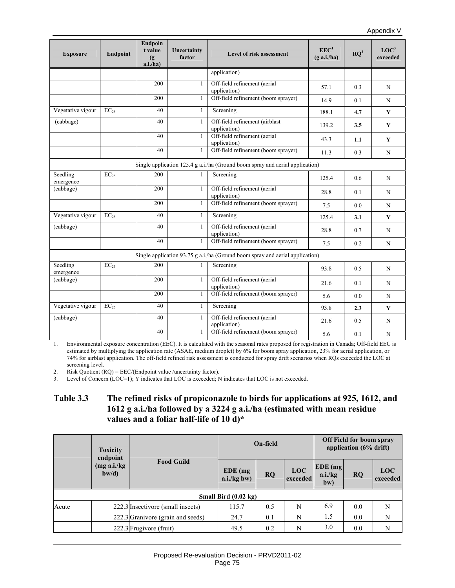| <b>Exposure</b>                                                               | Endpoint  | Endpoin<br>t value<br>$\left( \mathbf{g} \right)$<br>a.i/ha) | Uncertainty<br>factor | Level of risk assessment                                                        | EEC <sup>1</sup><br>$(g \nabla a.i./ha)$ | $\mathbf{RO}^2$ | LOC <sup>3</sup><br>exceeded |
|-------------------------------------------------------------------------------|-----------|--------------------------------------------------------------|-----------------------|---------------------------------------------------------------------------------|------------------------------------------|-----------------|------------------------------|
|                                                                               |           |                                                              |                       | application)                                                                    |                                          |                 |                              |
|                                                                               |           | 200                                                          | $\mathbf{1}$          | Off-field refinement (aerial<br>application)                                    | 57.1                                     | 0.3             | N                            |
|                                                                               |           | 200                                                          | 1                     | Off-field refinement (boom sprayer)                                             | 14.9                                     | 0.1             | N                            |
| Vegetative vigour                                                             | $EC_{25}$ | 40                                                           | 1                     | Screening                                                                       | 188.1                                    | 4.7             | Y                            |
| (cabbage)                                                                     |           | 40                                                           | 1                     | Off-field refinement (airblast<br>application)                                  | 139.2                                    | 3.5             | Y                            |
|                                                                               |           | 40                                                           | $\mathbf{1}$          | Off-field refinement (aerial<br>application)                                    | 43.3                                     | 1.1             | Y                            |
|                                                                               |           | 40                                                           | 1                     | Off-field refinement (boom sprayer)                                             | 11.3                                     | 0.3             | N                            |
| Single application 125.4 g a.i./ha (Ground boom spray and aerial application) |           |                                                              |                       |                                                                                 |                                          |                 |                              |
| Seedling<br>emergence                                                         | $EC_{25}$ | 200                                                          |                       | Screening                                                                       | 125.4                                    | 0.6             | N                            |
| (cabbage)                                                                     |           | 200                                                          | $\mathbf{1}$          | Off-field refinement (aerial<br>application)                                    | 28.8                                     | 0.1             | N                            |
|                                                                               |           | 200                                                          | 1                     | Off-field refinement (boom sprayer)                                             | 7.5                                      | 0.0             | N                            |
| Vegetative vigour                                                             | $EC_{25}$ | 40                                                           | $\mathbf{1}$          | Screening                                                                       | 125.4                                    | 3.1             | Y                            |
| (cabbage)                                                                     |           | 40                                                           | 1                     | Off-field refinement (aerial<br>application)                                    | 28.8                                     | 0.7             | N                            |
|                                                                               |           | 40                                                           | $\mathbf{1}$          | Off-field refinement (boom sprayer)                                             | 7.5                                      | 0.2             | N                            |
|                                                                               |           |                                                              |                       | Single application $93.75$ g a.i./ha (Ground boom spray and aerial application) |                                          |                 |                              |
| Seedling<br>emergence                                                         | $EC_{25}$ | 200                                                          | 1                     | Screening                                                                       | 93.8                                     | 0.5             | N                            |
| (cabbage)                                                                     |           | 200                                                          | 1                     | Off-field refinement (aerial<br>application)                                    | 21.6                                     | 0.1             | N                            |
|                                                                               |           | 200                                                          | 1                     | Off-field refinement (boom sprayer)                                             | 5.6                                      | 0.0             | N                            |
| Vegetative vigour                                                             | $EC_{25}$ | 40                                                           | 1                     | Screening                                                                       | 93.8                                     | 2.3             | Y                            |
| (cabbage)                                                                     |           | 40                                                           | $\mathbf{1}$          | Off-field refinement (aerial<br>application)                                    | 21.6                                     | 0.5             | N                            |
|                                                                               |           | 40                                                           | 1                     | Off-field refinement (boom sprayer)                                             | 5.6                                      | 0.1             | N                            |

1. Environmental exposure concentration (EEC). It is calculated with the seasonal rates proposed for registration in Canada; Off-field EEC is estimated by multiplying the application rate (ASAE, medium droplet) by 6% for boom spray application, 23% for aerial application, or 74% for airblast application. The off-field refined risk assessment is conducted for spray drift scenarios when RQs exceeded the LOC at screening level.

2. Risk Quotient (RQ) = EEC/(Endpoint value /uncertainty factor).

3. Level of Concern (LOC=1); Y indicates that LOC is exceeded; N indicates that LOC is not exceeded.

### **Table 3.3 The refined risks of propiconazole to birds for applications at 925, 1612, and 1612 g a.i./ha followed by a 3224 g a.i./ha (estimated with mean residue values and a foliar half-life of 10 d)\***

|       | <b>Toxicity</b><br>endpoint |                                   |                                | On-field  |                        | <b>Off Field for boom spray</b><br>application (6% drift) |           |                        |
|-------|-----------------------------|-----------------------------------|--------------------------------|-----------|------------------------|-----------------------------------------------------------|-----------|------------------------|
|       | (mg a.i./kg)<br>$b$ w/d)    | <b>Food Guild</b>                 | $EDE$ (mg)<br>$a.i./kg$ bw)    | <b>RQ</b> | <b>LOC</b><br>exceeded | $EDE$ (mg)<br>a.i./kg<br>bw)                              | <b>RO</b> | <b>LOC</b><br>exceeded |
|       |                             |                                   | Small Bird $(0.02 \text{ kg})$ |           |                        |                                                           |           |                        |
| Acute |                             | 222.3 Insectivore (small insects) | 115.7                          | 0.5       | N                      | 6.9                                                       | 0.0       | N                      |
|       |                             | 222.3 Granivore (grain and seeds) | 24.7                           | 0.1       | N                      | 1.5                                                       | 0.0       | N                      |
|       |                             | 222.3 Frugivore (fruit)           | 49.5                           | 0.2       | N                      | 3.0                                                       | 0.0       | N                      |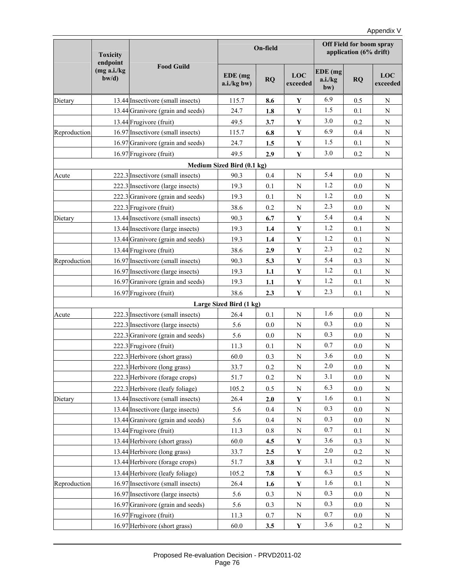|              | <b>Toxicity</b><br>endpoint |                                   |                            | On-field  |                 |                           | <b>Off Field for boom spray</b><br>application (6% drift) |                 |  |
|--------------|-----------------------------|-----------------------------------|----------------------------|-----------|-----------------|---------------------------|-----------------------------------------------------------|-----------------|--|
|              | (mg a.i./kg)<br>$b$ w/d)    | <b>Food Guild</b>                 | $EDE$ (mg<br>a.i./kg bw)   | <b>RQ</b> | LOC<br>exceeded | EDE (mg<br>a.i./kg<br>bw) | <b>RQ</b>                                                 | LOC<br>exceeded |  |
| Dietary      |                             | 13.44 Insectivore (small insects) | 115.7                      | 8.6       | Y               | 6.9                       | 0.5                                                       | N               |  |
|              |                             | 13.44 Granivore (grain and seeds) | 24.7                       | 1.8       | $\mathbf Y$     | 1.5                       | 0.1                                                       | $\mathbf N$     |  |
|              |                             | 13.44 Frugivore (fruit)           | 49.5                       | 3.7       | $\mathbf Y$     | 3.0                       | 0.2                                                       | $\mathbf N$     |  |
| Reproduction |                             | 16.97 Insectivore (small insects) | 115.7                      | 6.8       | Y               | 6.9                       | 0.4                                                       | $\mathbf N$     |  |
|              |                             | 16.97 Granivore (grain and seeds) | 24.7                       | 1.5       | $\mathbf Y$     | 1.5                       | 0.1                                                       | ${\bf N}$       |  |
|              |                             | 16.97 Frugivore (fruit)           | 49.5                       | 2.9       | $\mathbf Y$     | 3.0                       | 0.2                                                       | ${\bf N}$       |  |
|              |                             |                                   | Medium Sized Bird (0.1 kg) |           |                 |                           |                                                           |                 |  |
| Acute        |                             | 222.3 Insectivore (small insects) | 90.3                       | 0.4       | N               | 5.4                       | 0.0                                                       | N               |  |
|              |                             | 222.3 Insectivore (large insects) | 19.3                       | 0.1       | N               | 1.2                       | 0.0                                                       | N               |  |
|              |                             | 222.3 Granivore (grain and seeds) | 19.3                       | 0.1       | ${\bf N}$       | 1.2                       | 0.0                                                       | ${\bf N}$       |  |
|              |                             | 222.3 Frugivore (fruit)           | 38.6                       | 0.2       | N               | 2.3                       | 0.0                                                       | ${\bf N}$       |  |
| Dietary      |                             | 13.44 Insectivore (small insects) | 90.3                       | 6.7       | $\mathbf Y$     | 5.4                       | 0.4                                                       | ${\bf N}$       |  |
|              |                             | 13.44 Insectivore (large insects) | 19.3                       | 1.4       | Y               | 1.2                       | 0.1                                                       | $\mathbf N$     |  |
|              |                             | 13.44 Granivore (grain and seeds) | 19.3                       | 1.4       | Y               | 1.2                       | 0.1                                                       | ${\bf N}$       |  |
|              |                             | 13.44 Frugivore (fruit)           | 38.6                       | 2.9       | $\mathbf Y$     | 2.3                       | 0.2                                                       | $\mathbf N$     |  |
| Reproduction |                             | 16.97 Insectivore (small insects) | 90.3                       | 5.3       | $\mathbf Y$     | 5.4                       | 0.3                                                       | $\mathbf N$     |  |
|              |                             | 16.97 Insectivore (large insects) | 19.3                       | 1.1       | $\mathbf Y$     | 1.2                       | 0.1                                                       | $\mathbf N$     |  |
|              |                             | 16.97 Granivore (grain and seeds) | 19.3                       | 1.1       | $\mathbf Y$     | 1.2                       | 0.1                                                       | $\mathbf N$     |  |
|              |                             | 16.97 Frugivore (fruit)           | 38.6                       | 2.3       | $\mathbf Y$     | 2.3                       | 0.1                                                       | ${\bf N}$       |  |
|              |                             |                                   | Large Sized Bird (1 kg)    |           |                 |                           |                                                           |                 |  |
| Acute        |                             | 222.3 Insectivore (small insects) | 26.4                       | 0.1       | ${\bf N}$       | 1.6                       | 0.0                                                       | N               |  |
|              |                             | 222.3 Insectivore (large insects) | 5.6                        | 0.0       | N               | 0.3                       | 0.0                                                       | ${\bf N}$       |  |
|              |                             | 222.3 Granivore (grain and seeds) | 5.6                        | 0.0       | N               | 0.3                       | 0.0                                                       | $\mathbf N$     |  |
|              |                             | 222.3 Frugivore (fruit)           | 11.3                       | 0.1       | N               | 0.7                       | 0.0                                                       | ${\bf N}$       |  |
|              |                             | 222.3 Herbivore (short grass)     | 60.0                       | 0.3       | N               | 3.6                       | 0.0                                                       | N               |  |
|              |                             | 222.3 Herbivore (long grass)      | 33.7                       | 0.2       | ${\bf N}$       | 2.0                       | 0.0                                                       | ${\bf N}$       |  |
|              |                             | 222.3 Herbivore (forage crops)    | 51.7                       | 0.2       | N               | 3.1                       | 0.0                                                       | N               |  |
|              |                             | 222.3 Herbivore (leafy foliage)   | 105.2                      | 0.5       | N               | 6.3                       | 0.0                                                       | $\mathbf N$     |  |
| Dietary      |                             | 13.44 Insectivore (small insects) | 26.4                       | 2.0       | Y               | 1.6                       | 0.1                                                       | ${\rm N}$       |  |
|              |                             | 13.44 Insectivore (large insects) | 5.6                        | 0.4       | N               | 0.3                       | 0.0                                                       | N               |  |
|              |                             | 13.44 Granivore (grain and seeds) | 5.6                        | 0.4       | N               | 0.3                       | 0.0                                                       | N               |  |
|              |                             | 13.44 Frugivore (fruit)           | 11.3                       | 0.8       | N               | 0.7                       | 0.1                                                       | N               |  |
|              |                             | 13.44 Herbivore (short grass)     | 60.0                       | 4.5       | Y               | 3.6                       | 0.3                                                       | N               |  |
|              |                             | 13.44 Herbivore (long grass)      | 33.7                       | 2.5       | $\mathbf Y$     | $2.0\,$                   | 0.2                                                       | N               |  |
|              |                             | 13.44 Herbivore (forage crops)    | 51.7                       | 3.8       | Y               | 3.1                       | 0.2                                                       | N               |  |
|              |                             | 13.44 Herbivore (leafy foliage)   | 105.2                      | 7.8       | $\mathbf Y$     | 6.3                       | 0.5                                                       | $\mathbf N$     |  |
| Reproduction |                             | 16.97 Insectivore (small insects) | 26.4                       | 1.6       | Y               | 1.6                       | 0.1                                                       | N               |  |
|              |                             | 16.97 Insectivore (large insects) | 5.6                        | 0.3       | N               | 0.3                       | 0.0                                                       | N               |  |
|              |                             | 16.97 Granivore (grain and seeds) | 5.6                        | 0.3       | N               | 0.3                       | 0.0                                                       | N               |  |
|              |                             | 16.97 Frugivore (fruit)           | 11.3                       | 0.7       | N               | 0.7                       | 0.0                                                       | N               |  |
|              |                             | 16.97 Herbivore (short grass)     | 60.0                       | 3.5       | Y               | 3.6                       | 0.2                                                       | N               |  |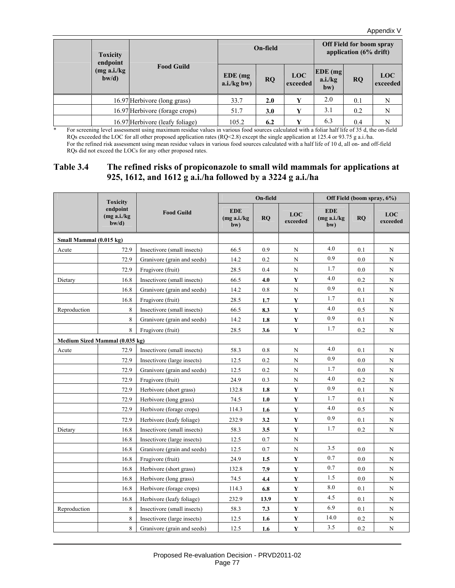| <b>Toxicity</b><br>endpoint |                                 |                             | On-field  |                        | Off Field for boom spray<br>application (6% drift) |           |                        |
|-----------------------------|---------------------------------|-----------------------------|-----------|------------------------|----------------------------------------------------|-----------|------------------------|
| (mg a.i./kg)<br>$b$ w/d)    | <b>Food Guild</b>               | $EDE$ (mg)<br>$a.i./kg$ bw) | <b>RQ</b> | <b>LOC</b><br>exceeded | $EDE$ (mg)<br>a.i./kg<br>bw)                       | <b>RQ</b> | <b>LOC</b><br>exceeded |
|                             | 16.97 Herbivore (long grass)    | 33.7                        | 2.0       | Y                      | 2.0                                                | 0.1       | N                      |
|                             | 16.97 Herbivore (forage crops)  | 51.7                        | 3.0       | Y                      | 3.1                                                | 0.2       | N                      |
|                             | 16.97 Herbivore (leafy foliage) | 105.2                       | 6.2       | v                      | 6.3                                                | 0.4       | N                      |

\* For screening level assessment using maximum residue values in various food sources calculated with a foliar half life of 35 d, the on-field RQs exceeded the LOC for all other proposed application rates (RQ<2.8) except the single application at 125.4 or 93.75 g a.i./ha. For the refined risk assessment using mean residue values in various food sources calculated with a half life of 10 d, all on- and off-field RQs did not exceed the LOCs for any other proposed rates.

#### **Table 3.4 The refined risks of propiconazole to small wild mammals for applications at 925, 1612, and 1612 g a.i./ha followed by a 3224 g a.i./ha**

|                                | <b>Toxicity</b>                   |                             |                                   | On-field |                        |                                   | Off Field (boom spray, 6%) |                        |
|--------------------------------|-----------------------------------|-----------------------------|-----------------------------------|----------|------------------------|-----------------------------------|----------------------------|------------------------|
|                                | endpoint<br>(mg a.i./kg)<br>bw/d) | <b>Food Guild</b>           | <b>EDE</b><br>(mg a.i./kg)<br>bw) | RO       | <b>LOC</b><br>exceeded | <b>EDE</b><br>(mg a.i./kg)<br>bw) | RO                         | <b>LOC</b><br>exceeded |
| Small Mammal (0.015 kg)        |                                   |                             |                                   |          |                        |                                   |                            |                        |
| Acute                          | 72.9                              | Insectivore (small insects) | 66.5                              | 0.9      | $\mathbf N$            | 4.0                               | 0.1                        | $\mathbf N$            |
|                                | 72.9                              | Granivore (grain and seeds) | 14.2                              | 0.2      | $\mathbf N$            | 0.9                               | 0.0                        | $\mathbf N$            |
|                                | 72.9                              | Frugivore (fruit)           | 28.5                              | 0.4      | N                      | 1.7                               | 0.0                        | ${\bf N}$              |
| Dietary                        | 16.8                              | Insectivore (small insects) | 66.5                              | 4.0      | Y                      | 4.0                               | 0.2                        | $\mathbf N$            |
|                                | 16.8                              | Granivore (grain and seeds) | 14.2                              | 0.8      | N                      | 0.9                               | 0.1                        | ${\bf N}$              |
|                                | 16.8                              | Frugivore (fruit)           | 28.5                              | 1.7      | $\mathbf Y$            | 1.7                               | 0.1                        | $_{\rm N}$             |
| Reproduction                   | 8                                 | Insectivore (small insects) | 66.5                              | 8.3      | Y                      | 4.0                               | 0.5                        | $_{\rm N}$             |
|                                | 8                                 | Granivore (grain and seeds) | 14.2                              | 1.8      | $\mathbf Y$            | 0.9                               | 0.1                        | $_{\rm N}$             |
|                                | 8                                 | Frugivore (fruit)           | 28.5                              | 3.6      | Y                      | 1.7                               | 0.2                        | $_{\rm N}$             |
| Medium Sized Mammal (0.035 kg) |                                   |                             |                                   |          |                        |                                   |                            |                        |
| Acute                          | 72.9                              | Insectivore (small insects) | 58.3                              | 0.8      | $\mathbf N$            | 4.0                               | 0.1                        | $_{\rm N}$             |
|                                | 72.9                              | Insectivore (large insects) | 12.5                              | 0.2      | $\mathbf N$            | 0.9                               | 0.0                        | $_{\rm N}$             |
|                                | 72.9                              | Granivore (grain and seeds) | 12.5                              | 0.2      | N                      | 1.7                               | 0.0                        | $\mathbf N$            |
|                                | 72.9                              | Frugivore (fruit)           | 24.9                              | 0.3      | N                      | 4.0                               | 0.2                        | ${\bf N}$              |
|                                | 72.9                              | Herbivore (short grass)     | 132.8                             | 1.8      | Y                      | 0.9                               | 0.1                        | N                      |
|                                | 72.9                              | Herbivore (long grass)      | 74.5                              | 1.0      | $\mathbf{Y}$           | 1.7                               | 0.1                        | N                      |
|                                | 72.9                              | Herbivore (forage crops)    | 114.3                             | 1.6      | $\mathbf Y$            | 4.0                               | 0.5                        | $\mathbf N$            |
|                                | 72.9                              | Herbivore (leafy foliage)   | 232.9                             | 3.2      | Y                      | 0.9                               | 0.1                        | N                      |
| Dietary                        | 16.8                              | Insectivore (small insects) | 58.3                              | 3.5      | $\mathbf Y$            | 1.7                               | 0.2                        | N                      |
|                                | 16.8                              | Insectivore (large insects) | 12.5                              | 0.7      | N                      |                                   |                            |                        |
|                                | 16.8                              | Granivore (grain and seeds) | 12.5                              | 0.7      | $\mathbf N$            | 3.5                               | 0.0                        | N                      |
|                                | 16.8                              | Frugivore (fruit)           | 24.9                              | 1.5      | $\mathbf Y$            | 0.7                               | 0.0                        | N                      |
|                                | 16.8                              | Herbivore (short grass)     | 132.8                             | 7.9      | $\mathbf Y$            | 0.7                               | 0.0                        | $\mathbf N$            |
|                                | 16.8                              | Herbivore (long grass)      | 74.5                              | 4.4      | $\mathbf Y$            | 1.5                               | 0.0                        | $\mathbf N$            |
|                                | 16.8                              | Herbivore (forage crops)    | 114.3                             | 6.8      | Y                      | 8.0                               | 0.1                        | $\mathbf N$            |
|                                | 16.8                              | Herbivore (leafy foliage)   | 232.9                             | 13.9     | Y                      | 4.5                               | 0.1                        | N                      |
| Reproduction                   | 8                                 | Insectivore (small insects) | 58.3                              | 7.3      | $\mathbf Y$            | 6.9                               | 0.1                        | $\mathbf N$            |
|                                | 8                                 | Insectivore (large insects) | 12.5                              | 1.6      | $\mathbf{Y}$           | 14.0                              | 0.2                        | N                      |
|                                | 8                                 | Granivore (grain and seeds) | 12.5                              | 1.6      | $\mathbf Y$            | 3.5                               | 0.2                        | ${\bf N}$              |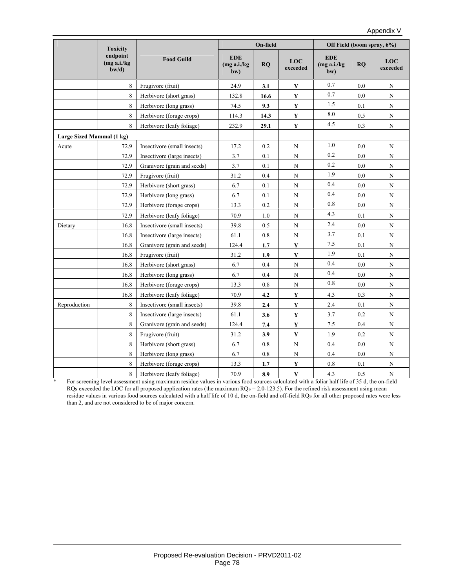|              | <b>Toxicity</b>                     |                             |                                   | On-field  |                 |                                   | Off Field (boom spray, 6%) |                 |
|--------------|-------------------------------------|-----------------------------|-----------------------------------|-----------|-----------------|-----------------------------------|----------------------------|-----------------|
|              | endpoint<br>(mg a.i./kg<br>$b$ w/d) | <b>Food Guild</b>           | <b>EDE</b><br>(mg a.i./kg)<br>bw) | <b>RO</b> | LOC<br>exceeded | <b>EDE</b><br>(mg a.i./kg)<br>bw) | <b>RO</b>                  | LOC<br>exceeded |
|              | 8                                   | Frugivore (fruit)           | 24.9                              | 3.1       | Y               | 0.7                               | 0.0                        | $\mathbf N$     |
|              | 8                                   | Herbivore (short grass)     | 132.8                             | 16.6      | $\mathbf Y$     | 0.7                               | $0.0\,$                    | $\mathbf N$     |
|              | 8                                   | Herbivore (long grass)      | 74.5                              | 9.3       | Y               | 1.5                               | 0.1                        | N               |
|              | 8                                   | Herbivore (forage crops)    | 114.3                             | 14.3      | $\mathbf Y$     | 8.0                               | 0.5                        | $\mathbf N$     |
|              | 8                                   | Herbivore (leafy foliage)   | 232.9                             | 29.1      | $\mathbf Y$     | 4.5                               | 0.3                        | $\mathbf N$     |
|              | Large Sized Mammal (1 kg)           |                             |                                   |           |                 |                                   |                            |                 |
| Acute        | 72.9                                | Insectivore (small insects) | 17.2                              | 0.2       | N               | 1.0                               | 0.0                        | N               |
|              | 72.9                                | Insectivore (large insects) | 3.7                               | 0.1       | $\mathbf N$     | 0.2                               | 0.0                        | $\mathbf N$     |
|              | 72.9                                | Granivore (grain and seeds) | 3.7                               | 0.1       | $\mathbf N$     | 0.2                               | 0.0                        | ${\bf N}$       |
|              | 72.9                                | Frugivore (fruit)           | 31.2                              | 0.4       | $\mathbf N$     | 1.9                               | 0.0                        | $\mathbf N$     |
|              | 72.9                                | Herbivore (short grass)     | 6.7                               | 0.1       | $\mathbf N$     | 0.4                               | 0.0                        | $\mathbf N$     |
|              | 72.9<br>Herbivore (long grass)      |                             | 6.7                               | 0.1       | $\mathbf N$     | 0.4                               | $0.0\,$                    | $\mathbf N$     |
|              | 72.9                                | Herbivore (forage crops)    | 13.3                              | 0.2       | $\mathbf N$     | 0.8                               | 0.0                        | $\mathbf N$     |
|              | 72.9                                | Herbivore (leafy foliage)   | 70.9                              | 1.0       | N               | 4.3                               | 0.1                        | ${\bf N}$       |
| Dietary      | 16.8                                | Insectivore (small insects) | 39.8                              | 0.5       | ${\bf N}$       | 2.4                               | 0.0                        | N               |
|              | 16.8                                | Insectivore (large insects) | 61.1                              | 0.8       | $\mathbf N$     | 3.7                               | 0.1                        | $\mathbf N$     |
|              | 16.8                                | Granivore (grain and seeds) | 124.4                             | 1.7       | $\mathbf{Y}$    | 7.5                               | 0.1                        | $\mathbf N$     |
|              | 16.8                                | Frugivore (fruit)           | 31.2                              | 1.9       | $\mathbf Y$     | 1.9                               | 0.1                        | $\mathbf N$     |
|              | 16.8                                | Herbivore (short grass)     | 6.7                               | 0.4       | $\mathbf N$     | 0.4                               | 0.0                        | ${\bf N}$       |
|              | 16.8                                | Herbivore (long grass)      | 6.7                               | 0.4       | $\mathbf N$     | 0.4                               | 0.0                        | $\mathbf N$     |
|              | 16.8                                | Herbivore (forage crops)    | 13.3                              | 0.8       | N               | 0.8                               | 0.0                        | $\mathbf N$     |
|              | 16.8                                | Herbivore (leafy foliage)   | 70.9                              | 4.2       | $\mathbf Y$     | 4.3                               | 0.3                        | ${\bf N}$       |
| Reproduction | 8                                   | Insectivore (small insects) | 39.8                              | 2.4       | $\mathbf Y$     | 2.4                               | 0.1                        | $\mathbf N$     |
|              | 8                                   | Insectivore (large insects) | 61.1                              | 3.6       | Y               | 3.7                               | 0.2                        | $\mathbf N$     |
|              | 8                                   | Granivore (grain and seeds) | 124.4                             | 7.4       | Y               | 7.5                               | 0.4                        | $\mathbf N$     |
|              | 8                                   | Frugivore (fruit)           | 31.2                              | 3.9       | $\mathbf Y$     | 1.9                               | 0.2                        | $\mathbf N$     |
|              | 8                                   | Herbivore (short grass)     | 6.7                               | 0.8       | $\mathbf N$     | 0.4                               | 0.0                        | $\mathbf N$     |
|              | 8                                   | Herbivore (long grass)      | 6.7                               | $0.8\,$   | ${\bf N}$       | 0.4                               | 0.0                        | $\mathbf N$     |
|              | 8                                   | Herbivore (forage crops)    | 13.3                              | 1.7       | Y               | $0.8\,$                           | 0.1                        | ${\bf N}$       |
|              | 8                                   | Herbivore (leafy foliage)   | 70.9                              | 8.9       | $\mathbf Y$     | 4.3                               | 0.5                        | $\mathbf N$     |

\* For screening level assessment using maximum residue values in various food sources calculated with a foliar half life of 35 d, the on-field RQs exceeded the LOC for all proposed application rates (the maximum RQs = 2.0-123.5). For the refined risk assessment using mean residue values in various food sources calculated with a half life of 10 d, the on-field and off-field RQs for all other proposed rates were less than 2, and are not considered to be of major concern.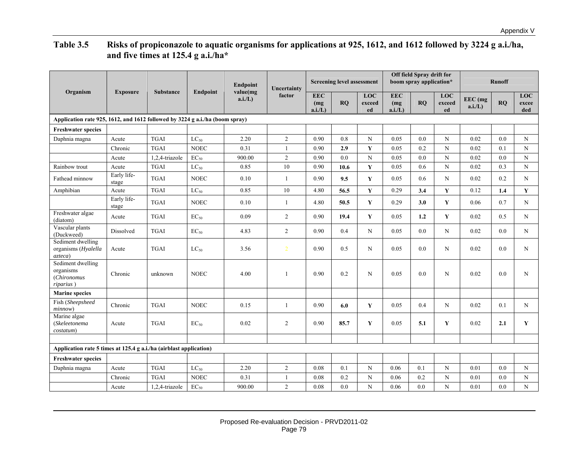# **Table 3.5 Risks of propiconazole to aquatic organisms for applications at 925, 1612, and 1612 followed by 3224 g a.i./ha, and five times at 125.4 g a.i./ha\***

|                                                                              |                      |                  |                 | <b>Endpoint</b>    | Uncertainty      |                             | <b>Screening level assessment</b> |                            |                             | Off field Spray drift for<br>boom spray application* |                     |                      | <b>Runoff</b> |                            |
|------------------------------------------------------------------------------|----------------------|------------------|-----------------|--------------------|------------------|-----------------------------|-----------------------------------|----------------------------|-----------------------------|------------------------------------------------------|---------------------|----------------------|---------------|----------------------------|
| Organism                                                                     | <b>Exposure</b>      | <b>Substance</b> | <b>Endpoint</b> | value(mg<br>a.i/L) | factor           | <b>EEC</b><br>(mg)<br>a.i/L | RO                                | <b>LOC</b><br>exceed<br>ed | <b>EEC</b><br>(mg)<br>a.i/L | RO                                                   | LOC<br>exceed<br>ed | EEC (mg<br>$a.i/L$ ) | RO            | <b>LOC</b><br>excee<br>ded |
| Application rate 925, 1612, and 1612 followed by 3224 g a.i./ha (boom spray) |                      |                  |                 |                    |                  |                             |                                   |                            |                             |                                                      |                     |                      |               |                            |
| <b>Freshwater species</b>                                                    |                      |                  |                 |                    |                  |                             |                                   |                            |                             |                                                      |                     |                      |               |                            |
| Daphnia magna                                                                | Acute                | <b>TGAI</b>      | $LC_{50}$       | 2.20               | $\overline{c}$   | 0.90                        | 0.8                               | N                          | 0.05                        | 0.0                                                  | N                   | 0.02                 | 0.0           | N                          |
|                                                                              | Chronic              | <b>TGAI</b>      | <b>NOEC</b>     | 0.31               | $\mathbf{1}$     | 0.90                        | 2.9                               | Y                          | 0.05                        | 0.2                                                  | $\mathbf N$         | 0.02                 | 0.1           | $\mathbf N$                |
|                                                                              | Acute                | 1,2,4-triazole   | $EC_{50}$       | 900.00             | $\boldsymbol{2}$ | 0.90                        | 0.0                               | $\mathbf N$                | 0.05                        | 0.0                                                  | $\mathbf N$         | 0.02                 | 0.0           | $\mathbf N$                |
| Rainbow trout                                                                | Acute                | <b>TGAI</b>      | $LC_{50}$       | 0.85               | 10               | 0.90                        | 10.6                              | $\mathbf Y$                | 0.05                        | 0.6                                                  | $\mathbf N$         | 0.02                 | 0.3           | $\mathbf N$                |
| Fathead minnow                                                               | Early life-<br>stage | <b>TGAI</b>      | <b>NOEC</b>     | 0.10               | $\mathbf{1}$     | 0.90                        | 9.5                               | Y                          | 0.05                        | 0.6                                                  | N                   | 0.02                 | 0.2           | N                          |
| Amphibian                                                                    | Acute                | <b>TGAI</b>      | $LC_{50}$       | 0.85               | 10               | 4.80                        | 56.5                              | Y                          | 0.29                        | 3.4                                                  | Y                   | 0.12                 | 1.4           | Y                          |
|                                                                              | Early life-<br>stage | <b>TGAI</b>      | <b>NOEC</b>     | 0.10               | $\mathbf{1}$     | 4.80                        | 50.5                              | Y                          | 0.29                        | 3.0                                                  | Y                   | 0.06                 | 0.7           | N                          |
| Freshwater algae<br>(diatom)                                                 | Acute                | <b>TGAI</b>      | $EC_{50}$       | 0.09               | $\overline{2}$   | 0.90                        | 19.4                              | Y                          | 0.05                        | 1.2                                                  | Y                   | 0.02                 | 0.5           | N                          |
| Vascular plants<br>(Duckweed)                                                | Dissolved            | <b>TGAI</b>      | $EC_{50}$       | 4.83               | $\overline{2}$   | 0.90                        | 0.4                               | N                          | 0.05                        | 0.0                                                  | N                   | 0.02                 | 0.0           | N                          |
| Sediment dwelling<br>organisms (Hyalella<br>azteca)                          | Acute                | <b>TGAI</b>      | $LC_{50}$       | 3.56               | $\overline{2}$   | 0.90                        | 0.5                               | N                          | 0.05                        | 0.0                                                  | N                   | 0.02                 | 0.0           | N                          |
| Sediment dwelling<br>organisms<br>(Chironomus<br>riparius)                   | Chronic              | unknown          | <b>NOEC</b>     | 4.00               | $\mathbf{1}$     | 0.90                        | 0.2                               | N                          | 0.05                        | 0.0                                                  | N                   | 0.02                 | 0.0           | N                          |
| <b>Marine species</b>                                                        |                      |                  |                 |                    |                  |                             |                                   |                            |                             |                                                      |                     |                      |               |                            |
| Fish (Sheepsheed<br>minnow)                                                  | Chronic              | <b>TGAI</b>      | <b>NOEC</b>     | 0.15               | 1                | 0.90                        | 6.0                               | Y                          | 0.05                        | 0.4                                                  | N                   | 0.02                 | 0.1           | N                          |
| Marine algae<br>(Skeleetonema<br>costatum)                                   | Acute                | <b>TGAI</b>      | $EC_{50}$       | 0.02               | $\overline{2}$   | 0.90                        | 85.7                              | Y                          | 0.05                        | 5.1                                                  | Y                   | 0.02                 | 2.1           | Y                          |
|                                                                              |                      |                  |                 |                    |                  |                             |                                   |                            |                             |                                                      |                     |                      |               |                            |
| Application rate 5 times at 125.4 g a.i./ha (airblast application)           |                      |                  |                 |                    |                  |                             |                                   |                            |                             |                                                      |                     |                      |               |                            |
| <b>Freshwater species</b>                                                    |                      |                  |                 |                    |                  |                             |                                   |                            |                             |                                                      |                     |                      |               |                            |
| Daphnia magna                                                                | Acute                | <b>TGAI</b>      | $LC_{50}$       | 2.20               | $\overline{c}$   | 0.08                        | 0.1                               | $\mathbf N$                | 0.06                        | 0.1                                                  | N                   | 0.01                 | 0.0           | N                          |
|                                                                              | Chronic              | <b>TGAI</b>      | <b>NOEC</b>     | 0.31               | $\mathbf{1}$     | 0.08                        | 0.2                               | N                          | 0.06                        | 0.2                                                  | N                   | 0.01                 | 0.0           | N                          |
|                                                                              | Acute                | 1,2,4-triazole   | $EC_{50}$       | 900.00             | $\overline{c}$   | 0.08                        | 0.0                               | $_{\rm N}$                 | 0.06                        | 0.0                                                  | N                   | 0.01                 | 0.0           | N                          |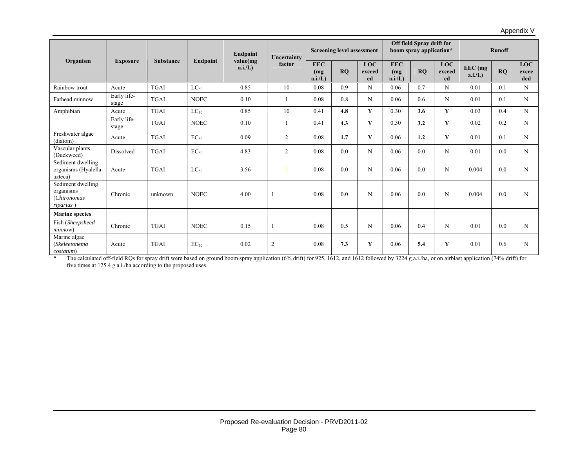| Organism                                                   | <b>Exposure</b><br><b>Substance</b> |             | <b>Endpoint</b> | Uncertainty       |                | <b>Screening level assessment</b> |           |                            | Off field Spray drift for<br>boom spray application* |           | <b>Runoff</b>              |                    |     |                     |
|------------------------------------------------------------|-------------------------------------|-------------|-----------------|-------------------|----------------|-----------------------------------|-----------|----------------------------|------------------------------------------------------|-----------|----------------------------|--------------------|-----|---------------------|
|                                                            |                                     |             | Endpoint        | value(mg<br>a.i/L | factor         | <b>EEC</b><br>(mg<br>a.i/L        | <b>RO</b> | <b>LOC</b><br>exceed<br>ed | <b>EEC</b><br>(mq)<br>a.i/L                          | <b>RO</b> | <b>LOC</b><br>exceed<br>ed | $EEC$ (mg<br>a.i/L | RQ  | LOC<br>excee<br>ded |
| Rainbow trout                                              | Acute                               | <b>TGAI</b> | $LC_{50}$       | 0.85              | 10             | 0.08                              | 0.9       | N                          | 0.06                                                 | 0.7       | N                          | 0.01               | 0.1 | N                   |
| Fathead minnow                                             | Early life-<br>stage                | <b>TGAI</b> | <b>NOEC</b>     | 0.10              |                | 0.08                              | 0.8       | N                          | 0.06                                                 | 0.6       | N                          | 0.01               | 0.1 | N                   |
| Amphibian                                                  | Acute                               | <b>TGAI</b> | $LC_{50}$       | 0.85              | 10             | 0.41                              | 4.8       | Y                          | 0.30                                                 | 3.6       | Y                          | 0.03               | 0.4 | N                   |
|                                                            | Early life-<br>stage                | <b>TGAI</b> | <b>NOEC</b>     | 0.10              |                | 0.41                              | 4.3       | Y                          | 0.30                                                 | 3.2       | Y                          | 0.02               | 0.2 | N                   |
| Freshwater algae<br>(diatom)                               | Acute                               | <b>TGAI</b> | $EC_{50}$       | 0.09              | 2              | 0.08                              | 1.7       | Y                          | 0.06                                                 | 1.2       | Y                          | 0.01               | 0.1 | N                   |
| Vascular plants<br>(Duckweed)                              | Dissolved                           | <b>TGAI</b> | $EC_{50}$       | 4.83              | $\overline{2}$ | 0.08                              | 0.0       | N                          | 0.06                                                 | 0.0       | N                          | 0.01               | 0.0 | N                   |
| Sediment dwelling<br>organisms (Hyalella<br>azteca)        | Acute                               | <b>TGAI</b> | $LC_{50}$       | 3.56              | $\overline{2}$ | 0.08                              | 0.0       | N                          | 0.06                                                 | 0.0       | N                          | 0.004              | 0.0 | N                   |
| Sediment dwelling<br>organisms<br>(Chironomus<br>riparius) | Chronic                             | unknown     | <b>NOEC</b>     | 4.00              |                | 0.08                              | 0.0       | N                          | 0.06                                                 | 0.0       | N                          | 0.004              | 0.0 | N                   |
| <b>Marine species</b>                                      |                                     |             |                 |                   |                |                                   |           |                            |                                                      |           |                            |                    |     |                     |
| Fish (Sheepsheed<br>minnow)                                | Chronic                             | <b>TGAI</b> | <b>NOEC</b>     | 0.15              |                | 0.08                              | 0.5       | N                          | 0.06                                                 | 0.4       | N                          | 0.01               | 0.0 | N                   |
| Marine algae<br>(Skeleetonema<br>costatum)                 | Acute                               | <b>TGAI</b> | $EC_{50}$       | 0.02              | 2              | 0.08                              | 7.3       | Y                          | 0.06                                                 | 5.4       | Y                          | 0.01               | 0.6 | N                   |

Appendix V

\* The calculated off-field RQs for spray drift were based on ground boom spray application (6% drift) for 925, 1612, and 1612 followed by 3224 g a.i./ha, or on airblast application (74% drift) for five times at 125.4 g a.i./ha according to the proposed uses.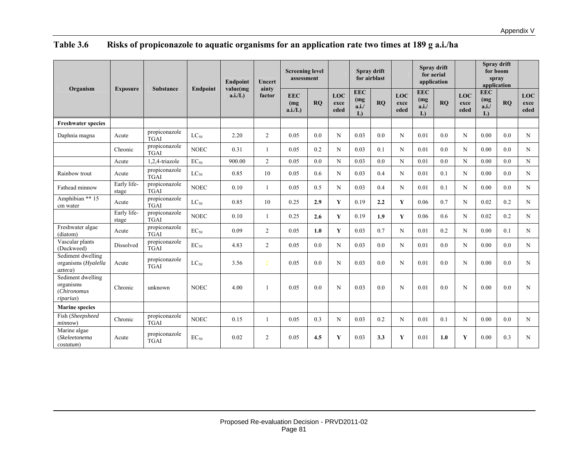| Organism                                                   | <b>Exposure</b>      | <b>Substance</b>             | <b>Endpoint</b> | <b>Endpoint</b><br>value(mg | Uncert<br>ainty<br>factor | <b>Screening level</b><br>assessment |     |                            | Spray drift<br>for airblast      |     |                            | Spray drift<br>for aerial<br>application |     |                     |                                  | Spray drift<br>for boom<br>spray<br>application |                            |
|------------------------------------------------------------|----------------------|------------------------------|-----------------|-----------------------------|---------------------------|--------------------------------------|-----|----------------------------|----------------------------------|-----|----------------------------|------------------------------------------|-----|---------------------|----------------------------------|-------------------------------------------------|----------------------------|
|                                                            |                      |                              |                 | $a.i/L$ )                   |                           | <b>EEC</b><br>(mg)<br>a.i/L          | RQ  | <b>LOC</b><br>exce<br>eded | <b>EEC</b><br>(mg)<br>a.i.<br>L) | RO  | <b>LOC</b><br>exce<br>eded | <b>EEC</b><br>(mg)<br>a.i.<br>L)         | RO  | LOC<br>exce<br>eded | <b>EEC</b><br>(mg)<br>a.i.<br>L) | RO                                              | <b>LOC</b><br>exce<br>eded |
| <b>Freshwater species</b>                                  |                      |                              |                 |                             |                           |                                      |     |                            |                                  |     |                            |                                          |     |                     |                                  |                                                 |                            |
| Daphnia magna                                              | Acute                | propiconazole<br><b>TGAI</b> | $LC_{50}$       | 2.20                        | 2                         | 0.05                                 | 0.0 | N                          | 0.03                             | 0.0 | N                          | 0.01                                     | 0.0 | N                   | 0.00                             | 0.0                                             | N                          |
|                                                            | Chronic              | propiconazole<br><b>TGAI</b> | <b>NOEC</b>     | 0.31                        |                           | 0.05                                 | 0.2 | N                          | 0.03                             | 0.1 | N                          | 0.01                                     | 0.0 | N                   | 0.00                             | 0.0                                             | N                          |
|                                                            | Acute                | 1,2,4-triazole               | $EC_{50}$       | 900.00                      | 2                         | 0.05                                 | 0.0 | N                          | 0.03                             | 0.0 | N                          | 0.01                                     | 0.0 | N                   | 0.00                             | 0.0                                             | N                          |
| Rainbow trout                                              | Acute                | propiconazole<br><b>TGAI</b> | $LC_{50}$       | 0.85                        | 10                        | 0.05                                 | 0.6 | N                          | 0.03                             | 0.4 | N                          | 0.01                                     | 0.1 | N                   | 0.00                             | 0.0                                             | N                          |
| Fathead minnow                                             | Early life-<br>stage | propiconazole<br><b>TGAI</b> | <b>NOEC</b>     | 0.10                        |                           | 0.05                                 | 0.5 | N                          | 0.03                             | 0.4 | N                          | 0.01                                     | 0.1 | N                   | 0.00                             | 0.0                                             | N                          |
| Amphibian ** 15<br>cm water                                | Acute                | propiconazole<br><b>TGAI</b> | $LC_{50}$       | 0.85                        | 10                        | 0.25                                 | 2.9 | $\mathbf{Y}$               | 0.19                             | 2.2 | Y                          | 0.06                                     | 0.7 | N                   | 0.02                             | 0.2                                             | N                          |
|                                                            | Early life-<br>stage | propiconazole<br><b>TGAI</b> | <b>NOEC</b>     | 0.10                        |                           | 0.25                                 | 2.6 | $\mathbf{Y}$               | 0.19                             | 1.9 | Y                          | 0.06                                     | 0.6 | N                   | 0.02                             | 0.2                                             | N                          |
| Freshwater algae<br>(diatom)                               | Acute                | propiconazole<br><b>TGAI</b> | $EC_{50}$       | 0.09                        | $\overline{2}$            | 0.05                                 | 1.0 | $\mathbf{Y}$               | 0.03                             | 0.7 | N                          | 0.01                                     | 0.2 | N                   | 0.00                             | 0.1                                             | N                          |
| Vascular plants<br>(Duckweed)                              | Dissolved            | propiconazole<br><b>TGAI</b> | $EC_{50}$       | 4.83                        | 2                         | 0.05                                 | 0.0 | N                          | 0.03                             | 0.0 | N                          | 0.01                                     | 0.0 | N                   | 0.00                             | 0.0                                             | N                          |
| Sediment dwelling<br>organisms (Hyalella<br>azteca)        | Acute                | propiconazole<br><b>TGAI</b> | $LC_{50}$       | 3.56                        | $\overline{2}$            | 0.05                                 | 0.0 | N                          | 0.03                             | 0.0 | N                          | 0.01                                     | 0.0 | N                   | 0.00                             | 0.0                                             | N                          |
| Sediment dwelling<br>organisms<br>(Chironomus<br>riparius) | Chronic              | unknown                      | <b>NOEC</b>     | 4.00                        |                           | 0.05                                 | 0.0 | N                          | 0.03                             | 0.0 | N                          | 0.01                                     | 0.0 | N                   | 0.00                             | 0.0                                             | N                          |
| <b>Marine species</b>                                      |                      |                              |                 |                             |                           |                                      |     |                            |                                  |     |                            |                                          |     |                     |                                  |                                                 |                            |
| Fish (Sheepsheed<br>minnow)                                | Chronic              | propiconazole<br><b>TGAI</b> | <b>NOEC</b>     | 0.15                        |                           | 0.05                                 | 0.3 | N                          | 0.03                             | 0.2 | N                          | 0.01                                     | 0.1 | N                   | 0.00                             | 0.0                                             | N                          |
| Marine algae<br>(Skeleetonema<br>costatum)                 | Acute                | propiconazole<br><b>TGAI</b> | $EC_{50}$       | 0.02                        | 2                         | 0.05                                 | 4.5 | Y                          | 0.03                             | 3.3 | Y                          | 0.01                                     | 1.0 | Y                   | 0.00                             | 0.3                                             | N                          |

# **Table 3.6 Risks of propiconazole to aquatic organisms for an application rate two times at 189 g a.i./ha**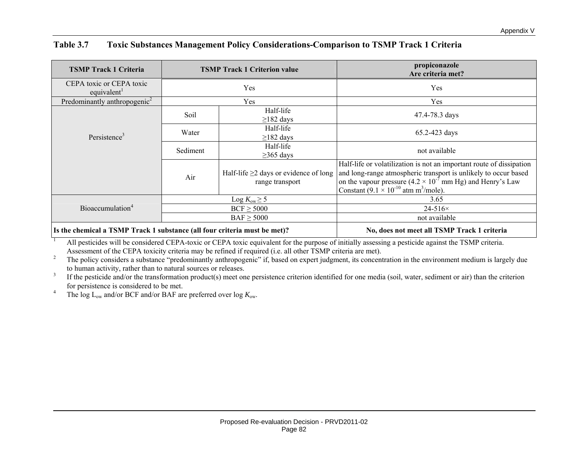| <b>TSMP Track 1 Criteria</b>                    |                                          | <b>TSMP Track 1 Criterion value</b>                            | propiconazole<br>Are criteria met?                                                                                                                                                                                                                                                       |
|-------------------------------------------------|------------------------------------------|----------------------------------------------------------------|------------------------------------------------------------------------------------------------------------------------------------------------------------------------------------------------------------------------------------------------------------------------------------------|
| CEPA toxic or CEPA toxic<br>equivalent          |                                          | Yes                                                            | Yes                                                                                                                                                                                                                                                                                      |
| Predominantly anthropogenic <sup>2</sup>        |                                          | Yes                                                            | Yes                                                                                                                                                                                                                                                                                      |
|                                                 | Soil                                     | Half-life<br>$\geq$ 182 days                                   | 47.4-78.3 days                                                                                                                                                                                                                                                                           |
| Persistence <sup>3</sup>                        | Water                                    | Half-life<br>$\geq$ 182 days                                   | 65.2-423 days                                                                                                                                                                                                                                                                            |
|                                                 | Half-life<br>Sediment<br>$\geq$ 365 days |                                                                | not available                                                                                                                                                                                                                                                                            |
|                                                 | Air                                      | Half-life $\geq$ 2 days or evidence of long<br>range transport | Half-life or volatilization is not an important route of dissipation<br>and long-range atmospheric transport is unlikely to occur based<br>on the vapour pressure $(4.2 \times 10^{-7} \text{ mm Hg})$ and Henry's Law<br>Constant $(9.1 \times 10^{-10} \text{ atm m}^3/\text{mole})$ . |
|                                                 |                                          | Log $K_{\text{ow}} \geq 5$                                     | 3.65                                                                                                                                                                                                                                                                                     |
| Bioaccumulation <sup>4</sup>                    |                                          | $BCF \geq 5000$                                                | $24 - 516 \times$                                                                                                                                                                                                                                                                        |
|                                                 |                                          | $BAF \geq 5000$                                                | not available                                                                                                                                                                                                                                                                            |
| $\mathbf{r}$ and $\mathbf{r}$<br>$T0$ $T0$ $T1$ | $\sim$ 11 $\alpha$                       |                                                                | $\sim$ 11 $\sim$ $\sim$ $\sim$ $\sim$                                                                                                                                                                                                                                                    |

## **Table 3.7 Toxic Substances Management Policy Considerations-Comparison to TSMP Track 1 Criteria**

**Is the chemical a TSMP Track 1 substance (all four criteria must be met)?** No, does not meet all TSMP Track 1 criteria

1 All pesticides will be considered CEPA-toxic or CEPA toxic equivalent for the purpose of initially assessing a pesticide against the TSMP criteria. Assessment of the CEPA toxicity criteria may be refined if required (i.e. all other TSMP criteria are met).

<sup>2</sup> The policy considers a substance "predominantly anthropogenic" if, based on expert judgment, its concentration in the environment medium is largely due to human activity, rather than to natural sources or releases.

 $3$  If the pesticide and/or the transformation product(s) meet one persistence criterion identified for one media (soil, water, sediment or air) than the criterion for persistence is considered to be met.

<sup>4</sup> The log L<sub>ow</sub> and/or BCF and/or BAF are preferred over log  $K_{\text{ow}}$ .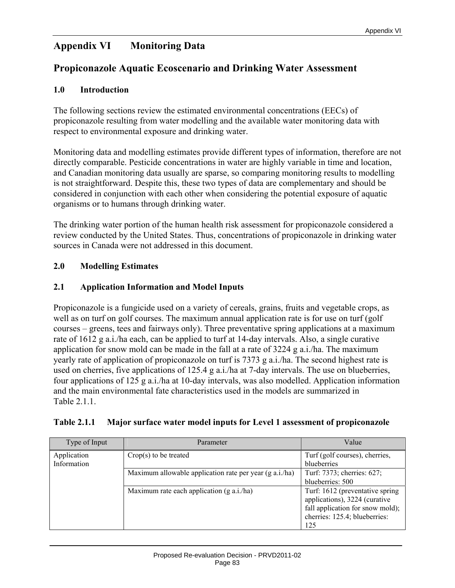# **Appendix VI Monitoring Data**

# **Propiconazole Aquatic Ecoscenario and Drinking Water Assessment**

#### **1.0 Introduction**

The following sections review the estimated environmental concentrations (EECs) of propiconazole resulting from water modelling and the available water monitoring data with respect to environmental exposure and drinking water.

Monitoring data and modelling estimates provide different types of information, therefore are not directly comparable. Pesticide concentrations in water are highly variable in time and location, and Canadian monitoring data usually are sparse, so comparing monitoring results to modelling is not straightforward. Despite this, these two types of data are complementary and should be considered in conjunction with each other when considering the potential exposure of aquatic organisms or to humans through drinking water.

The drinking water portion of the human health risk assessment for propiconazole considered a review conducted by the United States. Thus, concentrations of propiconazole in drinking water sources in Canada were not addressed in this document.

### **2.0 Modelling Estimates**

### **2.1 Application Information and Model Inputs**

Propiconazole is a fungicide used on a variety of cereals, grains, fruits and vegetable crops, as well as on turf on golf courses. The maximum annual application rate is for use on turf (golf courses – greens, tees and fairways only). Three preventative spring applications at a maximum rate of 1612 g a.i./ha each, can be applied to turf at 14-day intervals. Also, a single curative application for snow mold can be made in the fall at a rate of 3224 g a.i./ha. The maximum yearly rate of application of propiconazole on turf is 7373 g a.i./ha. The second highest rate is used on cherries, five applications of 125.4 g a.i./ha at 7-day intervals. The use on blueberries, four applications of 125 g a.i./ha at 10-day intervals, was also modelled. Application information and the main environmental fate characteristics used in the models are summarized in Table 2.1.1.

#### **Table 2.1.1 Major surface water model inputs for Level 1 assessment of propiconazole**

| Type of Input              | Parameter                                               | Value                                                                                                                                        |
|----------------------------|---------------------------------------------------------|----------------------------------------------------------------------------------------------------------------------------------------------|
| Application<br>Information | $Crop(s)$ to be treated                                 | Turf (golf courses), cherries,<br>blueberries                                                                                                |
|                            | Maximum allowable application rate per year (g a.i./ha) | Turf: 7373; cherries: 627;<br>blueberries: 500                                                                                               |
|                            | Maximum rate each application $(g \nabla a.i./ha)$      | Turf: 1612 (preventative spring<br>applications), 3224 (curative<br>fall application for snow mold);<br>cherries: 125.4; blueberries:<br>125 |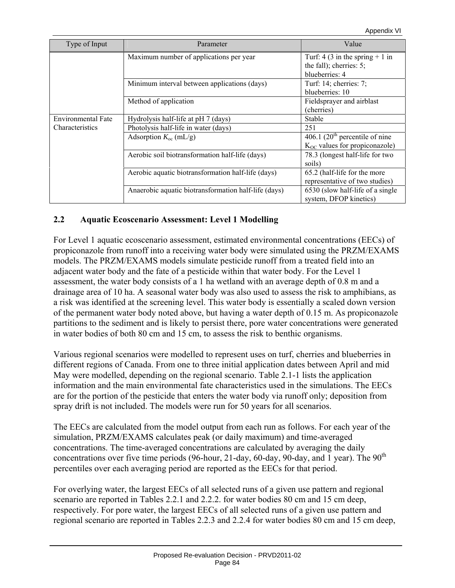| Type of Input             | Parameter                                            | Value                                                           |  |  |
|---------------------------|------------------------------------------------------|-----------------------------------------------------------------|--|--|
|                           | Maximum number of applications per year              | Turf: 4 (3 in the spring $+ 1$ in<br>the fall); cherries: $5$ ; |  |  |
|                           |                                                      | blueberries: 4                                                  |  |  |
|                           | Minimum interval between applications (days)         | Turf: 14; cherries: 7;                                          |  |  |
|                           |                                                      | blueberries: 10                                                 |  |  |
|                           | Method of application                                | Fieldsprayer and airblast                                       |  |  |
|                           |                                                      | (cherries)                                                      |  |  |
| <b>Environmental Fate</b> | Hydrolysis half-life at pH 7 (days)                  | Stable                                                          |  |  |
| Characteristics           | Photolysis half-life in water (days)                 | 251                                                             |  |  |
|                           | Adsorption $K_{\text{oc}}$ (mL/g)                    | 406.1 $(20^{\text{th}})$ percentile of nine                     |  |  |
|                           |                                                      | $K_{OC}$ values for propiconazole)                              |  |  |
|                           | Aerobic soil biotransformation half-life (days)      | 78.3 (longest half-life for two                                 |  |  |
|                           |                                                      | soils)                                                          |  |  |
|                           | Aerobic aquatic biotransformation half-life (days)   | 65.2 (half-life for the more                                    |  |  |
|                           |                                                      | representative of two studies)                                  |  |  |
|                           | Anaerobic aquatic biotransformation half-life (days) | 6530 (slow half-life of a single                                |  |  |
|                           |                                                      | system, DFOP kinetics)                                          |  |  |

### **2.2 Aquatic Ecoscenario Assessment: Level 1 Modelling**

For Level 1 aquatic ecoscenario assessment, estimated environmental concentrations (EECs) of propiconazole from runoff into a receiving water body were simulated using the PRZM/EXAMS models. The PRZM/EXAMS models simulate pesticide runoff from a treated field into an adjacent water body and the fate of a pesticide within that water body. For the Level 1 assessment, the water body consists of a 1 ha wetland with an average depth of 0.8 m and a drainage area of 10 ha. A seasonal water body was also used to assess the risk to amphibians, as a risk was identified at the screening level. This water body is essentially a scaled down version of the permanent water body noted above, but having a water depth of 0.15 m. As propiconazole partitions to the sediment and is likely to persist there, pore water concentrations were generated in water bodies of both 80 cm and 15 cm, to assess the risk to benthic organisms.

Various regional scenarios were modelled to represent uses on turf, cherries and blueberries in different regions of Canada. From one to three initial application dates between April and mid May were modelled, depending on the regional scenario. Table 2.1-1 lists the application information and the main environmental fate characteristics used in the simulations. The EECs are for the portion of the pesticide that enters the water body via runoff only; deposition from spray drift is not included. The models were run for 50 years for all scenarios.

The EECs are calculated from the model output from each run as follows. For each year of the simulation, PRZM/EXAMS calculates peak (or daily maximum) and time-averaged concentrations. The time-averaged concentrations are calculated by averaging the daily concentrations over five time periods (96-hour, 21-day, 60-day, 90-day, and 1 year). The  $90<sup>th</sup>$ percentiles over each averaging period are reported as the EECs for that period.

For overlying water, the largest EECs of all selected runs of a given use pattern and regional scenario are reported in Tables 2.2.1 and 2.2.2. for water bodies 80 cm and 15 cm deep, respectively. For pore water, the largest EECs of all selected runs of a given use pattern and regional scenario are reported in Tables 2.2.3 and 2.2.4 for water bodies 80 cm and 15 cm deep,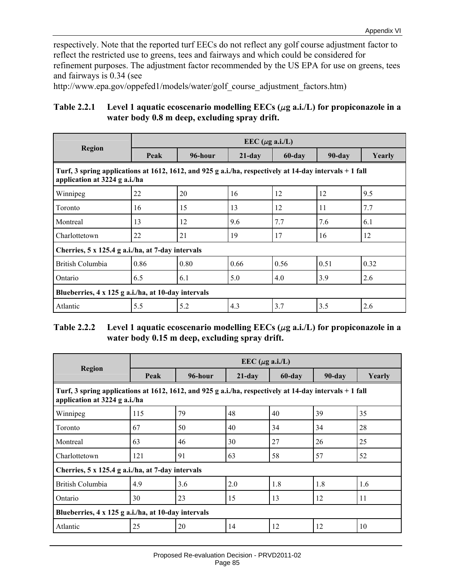respectively. Note that the reported turf EECs do not reflect any golf course adjustment factor to reflect the restricted use to greens, tees and fairways and which could be considered for refinement purposes. The adjustment factor recommended by the US EPA for use on greens, tees and fairways is 0.34 (see

http://www.epa.gov/oppefed1/models/water/golf\_course\_adjustment\_factors.htm)

# Table 2.2.1 Level 1 aquatic ecoscenario modelling  $EECs$  ( $\mu$ g a.i./L) for propiconazole in a **water body 0.8 m deep, excluding spray drift.**

|                                                                                                                                          |      |         | EEC ( $\mu$ g a.i./L) |        |           |        |
|------------------------------------------------------------------------------------------------------------------------------------------|------|---------|-----------------------|--------|-----------|--------|
| <b>Region</b>                                                                                                                            | Peak | 96-hour | $21$ -day             | 60-day | $90$ -day | Yearly |
| Turf, 3 spring applications at 1612, 1612, and 925 g a.i./ha, respectively at 14-day intervals + 1 fall<br>application at 3224 g a.i./ha |      |         |                       |        |           |        |
| Winnipeg                                                                                                                                 | 22   | 20      | 16                    | 12     | 12        | 9.5    |
| Toronto                                                                                                                                  | 16   | 15      | 13                    | 12     | 11        | 7.7    |
| Montreal                                                                                                                                 | 13   | 12      | 9.6                   | 7.7    | 7.6       | 6.1    |
| Charlottetown                                                                                                                            | 22   | 21      | 19                    | 17     | 16        | 12     |
| Cherries, 5 x 125.4 g a.i./ha, at 7-day intervals                                                                                        |      |         |                       |        |           |        |
| British Columbia                                                                                                                         | 0.86 | 0.80    | 0.66                  | 0.56   | 0.51      | 0.32   |
| Ontario                                                                                                                                  | 6.5  | 6.1     | 5.0                   | 4.0    | 3.9       | 2.6    |
| Blueberries, 4 x 125 g a.i./ha, at 10-day intervals                                                                                      |      |         |                       |        |           |        |
| Atlantic                                                                                                                                 | 5.5  | 5.2     | 4.3                   | 3.7    | 3.5       | 2.6    |

#### Table 2.2.2 Level 1 aquatic ecoscenario modelling  $EECs$  ( $\mu$ g a.i./L) for propiconazole in a **water body 0.15 m deep, excluding spray drift.**

|                                                                                                                                          |      |         | EEC ( $\mu$ g a.i./L) |        |        |        |
|------------------------------------------------------------------------------------------------------------------------------------------|------|---------|-----------------------|--------|--------|--------|
| <b>Region</b>                                                                                                                            | Peak | 96-hour | $21$ -day             | 60-day | 90-day | Yearly |
| Turf, 3 spring applications at 1612, 1612, and 925 g a.i./ha, respectively at 14-day intervals + 1 fall<br>application at 3224 g a.i./ha |      |         |                       |        |        |        |
| Winnipeg                                                                                                                                 | 115  | 79      | 48                    | 40     | 39     | 35     |
| Toronto                                                                                                                                  | 67   | 50      | 40                    | 34     | 34     | 28     |
| Montreal                                                                                                                                 | 63   | 46      | 30                    | 27     | 26     | 25     |
| Charlottetown                                                                                                                            | 121  | 91      | 63                    | 58     | 57     | 52     |
| Cherries, 5 x 125.4 g a.i./ha, at 7-day intervals                                                                                        |      |         |                       |        |        |        |
| British Columbia                                                                                                                         | 4.9  | 3.6     | 2.0                   | 1.8    | 1.8    | 1.6    |
| Ontario                                                                                                                                  | 30   | 23      | 15                    | 13     | 12     | 11     |
| Blueberries, 4 x 125 g a.i./ha, at 10-day intervals                                                                                      |      |         |                       |        |        |        |
| Atlantic                                                                                                                                 | 25   | 20      | 14                    | 12     | 12     | 10     |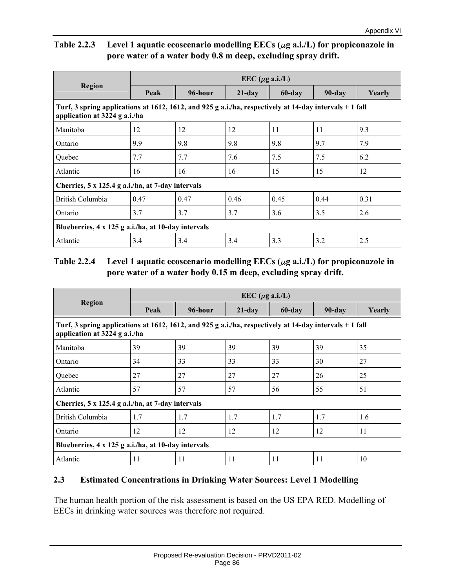# Table 2.2.3 Level 1 aquatic ecoscenario modelling EECs ( $\mu$ g a.i./L) for propiconazole in **pore water of a water body 0.8 m deep, excluding spray drift.**

|                                                                                                                                          |            |         | EEC ( $\mu$ g a.i./L) |        |        |        |
|------------------------------------------------------------------------------------------------------------------------------------------|------------|---------|-----------------------|--------|--------|--------|
| <b>Region</b>                                                                                                                            | Peak       | 96-hour | $21$ -day             | 60-day | 90-day | Yearly |
| Turf, 3 spring applications at 1612, 1612, and 925 g a.i./ha, respectively at 14-day intervals + 1 fall<br>application at 3224 g a.i./ha |            |         |                       |        |        |        |
| Manitoba                                                                                                                                 | 12         | 12      | 12                    | 11     | 11     | 9.3    |
| Ontario                                                                                                                                  | 9.9        | 9.8     | 9.8                   | 9.8    | 9.7    | 7.9    |
| Quebec                                                                                                                                   | 7.7<br>7.7 |         | 7.6                   | 7.5    | 7.5    | 6.2    |
| Atlantic                                                                                                                                 | 16         | 16      | 16                    | 15     | 15     | 12     |
| Cherries, 5 x 125.4 g a.i./ha, at 7-day intervals                                                                                        |            |         |                       |        |        |        |
| British Columbia                                                                                                                         | 0.47       | 0.47    | 0.46                  | 0.45   | 0.44   | 0.31   |
| Ontario                                                                                                                                  | 3.7        | 3.7     | 3.7                   | 3.6    | 3.5    | 2.6    |
| Blueberries, 4 x 125 g a.i./ha, at 10-day intervals                                                                                      |            |         |                       |        |        |        |
| Atlantic                                                                                                                                 | 3.4        | 3.4     | 3.4                   | 3.3    | 3.2    | 2.5    |

# Table 2.2.4 Level 1 aquatic ecoscenario modelling  $EECs$  ( $\mu$ g a.i./L) for propiconazole in **pore water of a water body 0.15 m deep, excluding spray drift.**

|                                                                                                                                           | EEC ( $\mu$ g a.i./L) |         |           |        |        |        |
|-------------------------------------------------------------------------------------------------------------------------------------------|-----------------------|---------|-----------|--------|--------|--------|
| <b>Region</b>                                                                                                                             | Peak                  | 96-hour | $21$ -day | 60-day | 90-day | Yearly |
| Turf, 3 spring applications at 1612, 1612, and 925 g a.i./ha, respectively at 14-day intervals $+1$ fall<br>application at 3224 g a.i./ha |                       |         |           |        |        |        |
| Manitoba                                                                                                                                  | 39                    | 39      | 39        | 39     | 39     | 35     |
| 34<br>Ontario                                                                                                                             |                       | 33      | 33        | 33     | 30     | 27     |
| 27<br>Quebec                                                                                                                              |                       | 27      | 27        | 27     | 26     | 25     |
| Atlantic<br>57                                                                                                                            |                       | 57      | 57        | 56     | 55     | 51     |
| Cherries, 5 x 125.4 g a.i./ha, at 7-day intervals                                                                                         |                       |         |           |        |        |        |
| British Columbia<br>1.7                                                                                                                   |                       | 1.7     | 1.7       | 1.7    | 1.7    | 1.6    |
| Ontario<br>12                                                                                                                             |                       | 12      | 12        | 12     | 12     | 11     |
| Blueberries, 4 x 125 g a.i./ha, at 10-day intervals                                                                                       |                       |         |           |        |        |        |
| Atlantic<br>11                                                                                                                            |                       | 11      | 11        | 11     | 11     | 10     |

# **2.3 Estimated Concentrations in Drinking Water Sources: Level 1 Modelling**

The human health portion of the risk assessment is based on the US EPA RED. Modelling of EECs in drinking water sources was therefore not required.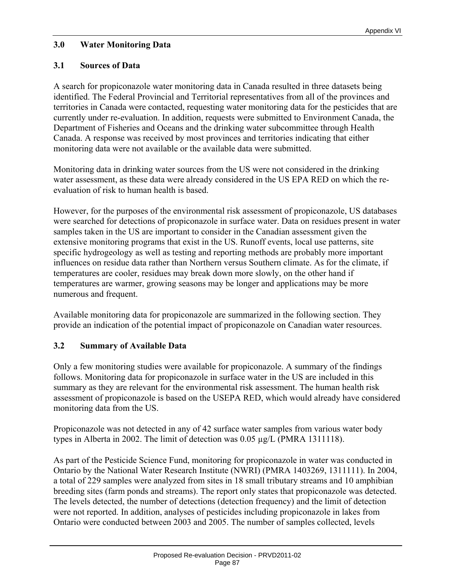### **3.0 Water Monitoring Data**

## **3.1 Sources of Data**

A search for propiconazole water monitoring data in Canada resulted in three datasets being identified. The Federal Provincial and Territorial representatives from all of the provinces and territories in Canada were contacted, requesting water monitoring data for the pesticides that are currently under re-evaluation. In addition, requests were submitted to Environment Canada, the Department of Fisheries and Oceans and the drinking water subcommittee through Health Canada. A response was received by most provinces and territories indicating that either monitoring data were not available or the available data were submitted.

Monitoring data in drinking water sources from the US were not considered in the drinking water assessment, as these data were already considered in the US EPA RED on which the reevaluation of risk to human health is based.

However, for the purposes of the environmental risk assessment of propiconazole, US databases were searched for detections of propiconazole in surface water. Data on residues present in water samples taken in the US are important to consider in the Canadian assessment given the extensive monitoring programs that exist in the US. Runoff events, local use patterns, site specific hydrogeology as well as testing and reporting methods are probably more important influences on residue data rather than Northern versus Southern climate. As for the climate, if temperatures are cooler, residues may break down more slowly, on the other hand if temperatures are warmer, growing seasons may be longer and applications may be more numerous and frequent.

Available monitoring data for propiconazole are summarized in the following section. They provide an indication of the potential impact of propiconazole on Canadian water resources.

#### **3.2 Summary of Available Data**

Only a few monitoring studies were available for propiconazole. A summary of the findings follows. Monitoring data for propiconazole in surface water in the US are included in this summary as they are relevant for the environmental risk assessment. The human health risk assessment of propiconazole is based on the USEPA RED, which would already have considered monitoring data from the US.

Propiconazole was not detected in any of 42 surface water samples from various water body types in Alberta in 2002. The limit of detection was 0.05 µg/L (PMRA 1311118).

As part of the Pesticide Science Fund, monitoring for propiconazole in water was conducted in Ontario by the National Water Research Institute (NWRI) (PMRA 1403269, 1311111). In 2004, a total of 229 samples were analyzed from sites in 18 small tributary streams and 10 amphibian breeding sites (farm ponds and streams). The report only states that propiconazole was detected. The levels detected, the number of detections (detection frequency) and the limit of detection were not reported. In addition, analyses of pesticides including propiconazole in lakes from Ontario were conducted between 2003 and 2005. The number of samples collected, levels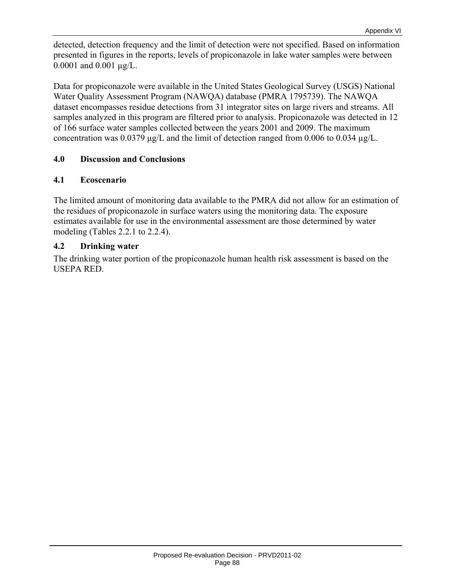detected, detection frequency and the limit of detection were not specified. Based on information presented in figures in the reports, levels of propiconazole in lake water samples were between 0.0001 and 0.001 µg/L.

Data for propiconazole were available in the United States Geological Survey (USGS) National Water Quality Assessment Program (NAWQA) database (PMRA 1795739). The NAWQA dataset encompasses residue detections from 31 integrator sites on large rivers and streams. All samples analyzed in this program are filtered prior to analysis. Propiconazole was detected in 12 of 166 surface water samples collected between the years 2001 and 2009. The maximum concentration was 0.0379 μg/L and the limit of detection ranged from 0.006 to 0.034 µg/L.

### **4.0 Discussion and Conclusions**

#### **4.1 Ecoscenario**

The limited amount of monitoring data available to the PMRA did not allow for an estimation of the residues of propiconazole in surface waters using the monitoring data. The exposure estimates available for use in the environmental assessment are those determined by water modeling (Tables 2.2.1 to 2.2.4).

#### **4.2 Drinking water**

The drinking water portion of the propiconazole human health risk assessment is based on the USEPA RED.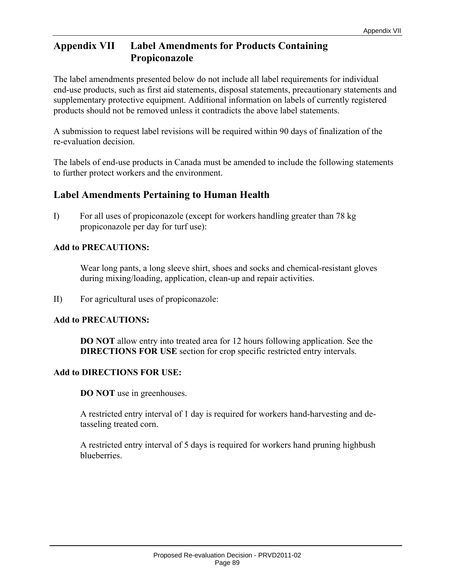# **Appendix VII Label Amendments for Products Containing Propiconazole**

The label amendments presented below do not include all label requirements for individual end-use products, such as first aid statements, disposal statements, precautionary statements and supplementary protective equipment. Additional information on labels of currently registered products should not be removed unless it contradicts the above label statements.

A submission to request label revisions will be required within 90 days of finalization of the re-evaluation decision.

The labels of end-use products in Canada must be amended to include the following statements to further protect workers and the environment.

# **Label Amendments Pertaining to Human Health**

I) For all uses of propiconazole (except for workers handling greater than 78 kg propiconazole per day for turf use):

### **Add to PRECAUTIONS:**

Wear long pants, a long sleeve shirt, shoes and socks and chemical-resistant gloves during mixing/loading, application, clean-up and repair activities.

II) For agricultural uses of propiconazole:

#### **Add to PRECAUTIONS:**

**DO NOT** allow entry into treated area for 12 hours following application. See the **DIRECTIONS FOR USE** section for crop specific restricted entry intervals.

#### **Add to DIRECTIONS FOR USE:**

**DO NOT** use in greenhouses.

A restricted entry interval of 1 day is required for workers hand-harvesting and detasseling treated corn.

A restricted entry interval of 5 days is required for workers hand pruning highbush blueberries.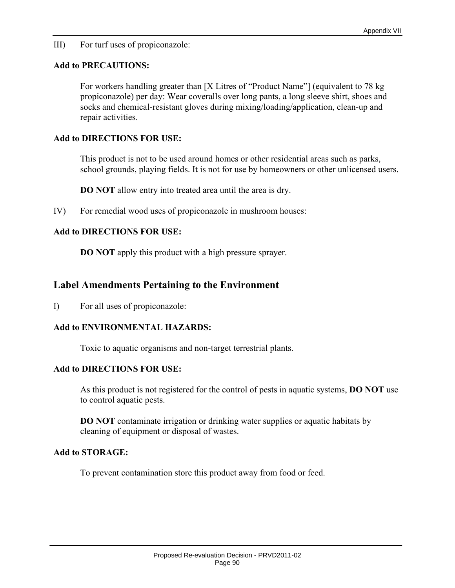III) For turf uses of propiconazole:

#### **Add to PRECAUTIONS:**

For workers handling greater than [X Litres of "Product Name"] (equivalent to 78 kg propiconazole) per day: Wear coveralls over long pants, a long sleeve shirt, shoes and socks and chemical-resistant gloves during mixing/loading/application, clean-up and repair activities.

#### **Add to DIRECTIONS FOR USE:**

This product is not to be used around homes or other residential areas such as parks, school grounds, playing fields. It is not for use by homeowners or other unlicensed users.

**DO NOT** allow entry into treated area until the area is dry.

IV) For remedial wood uses of propiconazole in mushroom houses:

#### **Add to DIRECTIONS FOR USE:**

**DO NOT** apply this product with a high pressure sprayer.

# **Label Amendments Pertaining to the Environment**

I) For all uses of propiconazole:

#### **Add to ENVIRONMENTAL HAZARDS:**

Toxic to aquatic organisms and non-target terrestrial plants.

#### **Add to DIRECTIONS FOR USE:**

As this product is not registered for the control of pests in aquatic systems, **DO NOT** use to control aquatic pests.

**DO NOT** contaminate irrigation or drinking water supplies or aquatic habitats by cleaning of equipment or disposal of wastes.

#### **Add to STORAGE:**

To prevent contamination store this product away from food or feed.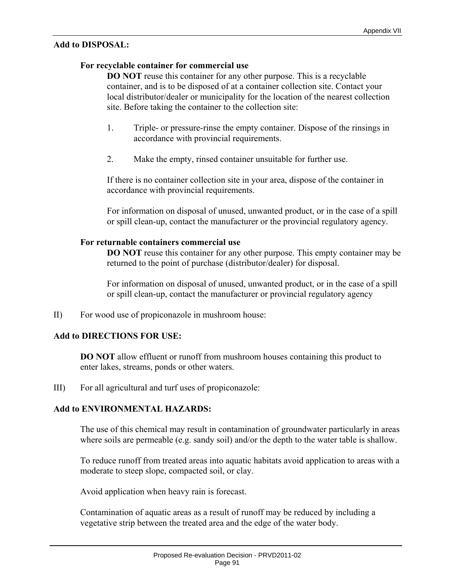#### **Add to DISPOSAL:**

#### **For recyclable container for commercial use**

**DO NOT** reuse this container for any other purpose. This is a recyclable container, and is to be disposed of at a container collection site. Contact your local distributor/dealer or municipality for the location of the nearest collection site. Before taking the container to the collection site:

- 1. Triple- or pressure-rinse the empty container. Dispose of the rinsings in accordance with provincial requirements.
- 2. Make the empty, rinsed container unsuitable for further use.

If there is no container collection site in your area, dispose of the container in accordance with provincial requirements.

For information on disposal of unused, unwanted product, or in the case of a spill or spill clean-up, contact the manufacturer or the provincial regulatory agency.

#### **For returnable containers commercial use**

**DO NOT** reuse this container for any other purpose. This empty container may be returned to the point of purchase (distributor/dealer) for disposal.

For information on disposal of unused, unwanted product, or in the case of a spill or spill clean-up, contact the manufacturer or provincial regulatory agency

II) For wood use of propiconazole in mushroom house:

#### **Add to DIRECTIONS FOR USE:**

**DO NOT** allow effluent or runoff from mushroom houses containing this product to enter lakes, streams, ponds or other waters.

III) For all agricultural and turf uses of propiconazole:

#### **Add to ENVIRONMENTAL HAZARDS:**

The use of this chemical may result in contamination of groundwater particularly in areas where soils are permeable (e.g. sandy soil) and/or the depth to the water table is shallow.

To reduce runoff from treated areas into aquatic habitats avoid application to areas with a moderate to steep slope, compacted soil, or clay.

Avoid application when heavy rain is forecast.

Contamination of aquatic areas as a result of runoff may be reduced by including a vegetative strip between the treated area and the edge of the water body.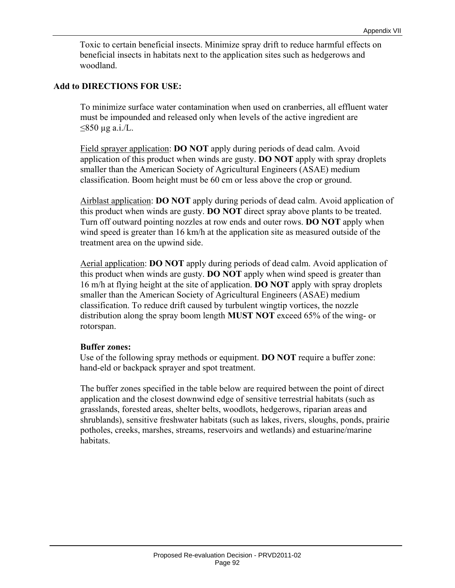Toxic to certain beneficial insects. Minimize spray drift to reduce harmful effects on beneficial insects in habitats next to the application sites such as hedgerows and woodland.

#### **Add to DIRECTIONS FOR USE:**

To minimize surface water contamination when used on cranberries, all effluent water must be impounded and released only when levels of the active ingredient are  $≤850 \mu$ g a.i./L.

Field sprayer application: **DO NOT** apply during periods of dead calm. Avoid application of this product when winds are gusty. **DO NOT** apply with spray droplets smaller than the American Society of Agricultural Engineers (ASAE) medium classification. Boom height must be 60 cm or less above the crop or ground.

Airblast application: **DO NOT** apply during periods of dead calm. Avoid application of this product when winds are gusty. **DO NOT** direct spray above plants to be treated. Turn off outward pointing nozzles at row ends and outer rows. **DO NOT** apply when wind speed is greater than 16 km/h at the application site as measured outside of the treatment area on the upwind side.

 Aerial application: **DO NOT** apply during periods of dead calm. Avoid application of this product when winds are gusty. **DO NOT** apply when wind speed is greater than 16 m/h at flying height at the site of application. **DO NOT** apply with spray droplets smaller than the American Society of Agricultural Engineers (ASAE) medium classification. To reduce drift caused by turbulent wingtip vortices, the nozzle distribution along the spray boom length **MUST NOT** exceed 65% of the wing- or rotorspan.

#### **Buffer zones:**

Use of the following spray methods or equipment. **DO NOT** require a buffer zone: hand-eld or backpack sprayer and spot treatment.

The buffer zones specified in the table below are required between the point of direct application and the closest downwind edge of sensitive terrestrial habitats (such as grasslands, forested areas, shelter belts, woodlots, hedgerows, riparian areas and shrublands), sensitive freshwater habitats (such as lakes, rivers, sloughs, ponds, prairie potholes, creeks, marshes, streams, reservoirs and wetlands) and estuarine/marine habitats.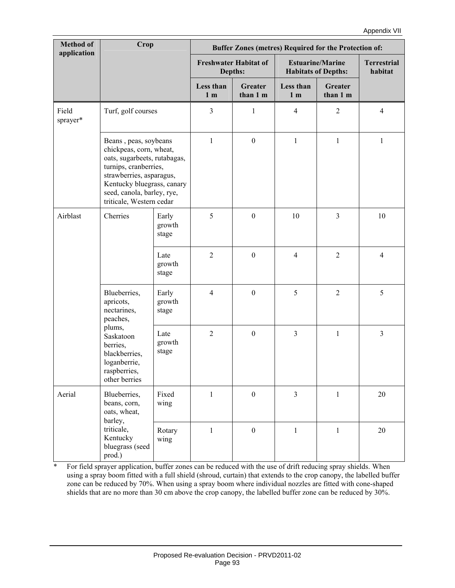| <b>Method of</b><br>application | Crop                                                                                                                                                                                                                          |                          | Buffer Zones (metres) Required for the Protection of: |                                         |                             |                                                       |                               |
|---------------------------------|-------------------------------------------------------------------------------------------------------------------------------------------------------------------------------------------------------------------------------|--------------------------|-------------------------------------------------------|-----------------------------------------|-----------------------------|-------------------------------------------------------|-------------------------------|
|                                 |                                                                                                                                                                                                                               |                          |                                                       | <b>Freshwater Habitat of</b><br>Depths: |                             | <b>Estuarine/Marine</b><br><b>Habitats of Depths:</b> | <b>Terrestrial</b><br>habitat |
|                                 |                                                                                                                                                                                                                               |                          | Less than<br>1 <sub>m</sub>                           | <b>Greater</b><br>than 1 m              | Less than<br>1 <sub>m</sub> | <b>Greater</b><br>than 1 m                            |                               |
| Field<br>sprayer*               | Turf, golf courses                                                                                                                                                                                                            |                          | 3                                                     | $\mathbf{1}$                            | 4                           | $\overline{2}$                                        | $\overline{4}$                |
|                                 | Beans, peas, soybeans<br>chickpeas, corn, wheat,<br>oats, sugarbeets, rutabagas,<br>turnips, cranberries,<br>strawberries, asparagus,<br>Kentucky bluegrass, canary<br>seed, canola, barley, rye,<br>triticale, Western cedar |                          | $\mathbf{1}$                                          | $\boldsymbol{0}$                        | $\mathbf{1}$                | $\mathbf{1}$                                          | $\mathbf{1}$                  |
| Airblast                        | Cherries                                                                                                                                                                                                                      | Early<br>growth<br>stage | 5                                                     | $\boldsymbol{0}$                        | 10                          | $\overline{3}$                                        | 10                            |
|                                 |                                                                                                                                                                                                                               | Late<br>growth<br>stage  | $\overline{2}$                                        | $\mathbf{0}$                            | $\overline{4}$              | 2                                                     | $\overline{4}$                |
|                                 | Blueberries,<br>apricots,<br>nectarines,<br>peaches,<br>plums,<br>Saskatoon<br>berries,<br>blackberries,<br>loganberrie,<br>raspberries,<br>other berries                                                                     | Early<br>growth<br>stage | $\overline{4}$                                        | $\boldsymbol{0}$                        | 5                           | $\overline{2}$                                        | 5                             |
|                                 |                                                                                                                                                                                                                               | Late<br>growth<br>stage  | $\overline{2}$                                        | $\boldsymbol{0}$                        | $\overline{3}$              | $\mathbf{1}$                                          | $\mathfrak{Z}$                |
| Aerial                          | Blueberries,<br>beans, corn,<br>oats, wheat,<br>barley,                                                                                                                                                                       | Fixed<br>wing            | $\mathbf{1}$                                          | $\boldsymbol{0}$                        | $\overline{3}$              | $\mathbf{1}$                                          | $20\,$                        |
|                                 | triticale,<br>Kentucky<br>bluegrass (seed<br>prod.)                                                                                                                                                                           | Rotary<br>wing           | $\mathbf{1}$                                          | $\mathbf{0}$                            | $\mathbf{1}$                | $\mathbf{1}$                                          | $20\,$                        |

\* For field sprayer application, buffer zones can be reduced with the use of drift reducing spray shields. When using a spray boom fitted with a full shield (shroud, curtain) that extends to the crop canopy, the labelled buffer zone can be reduced by 70%. When using a spray boom where individual nozzles are fitted with cone-shaped shields that are no more than 30 cm above the crop canopy, the labelled buffer zone can be reduced by 30%.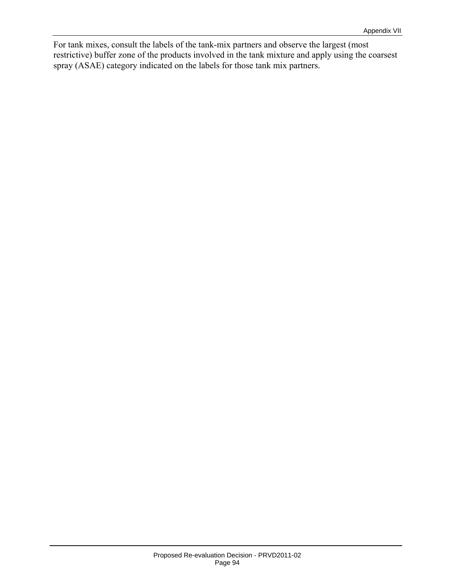For tank mixes, consult the labels of the tank-mix partners and observe the largest (most restrictive) buffer zone of the products involved in the tank mixture and apply using the coarsest spray (ASAE) category indicated on the labels for those tank mix partners.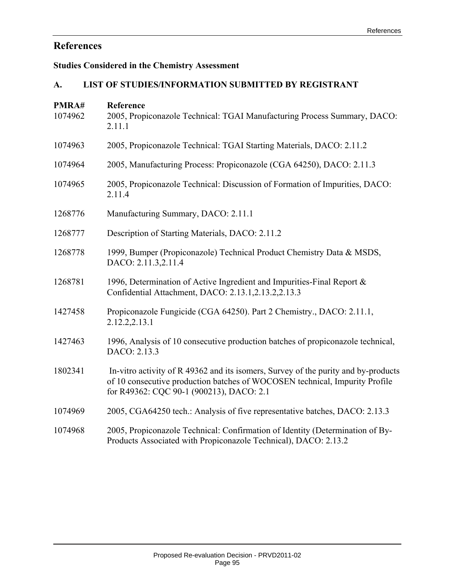# **References**

# **Studies Considered in the Chemistry Assessment**

# **A. LIST OF STUDIES/INFORMATION SUBMITTED BY REGISTRANT**

| PMRA#<br>1074962 | Reference<br>2005, Propiconazole Technical: TGAI Manufacturing Process Summary, DACO:<br>2.11.1                                                                                                               |
|------------------|---------------------------------------------------------------------------------------------------------------------------------------------------------------------------------------------------------------|
| 1074963          | 2005, Propiconazole Technical: TGAI Starting Materials, DACO: 2.11.2                                                                                                                                          |
| 1074964          | 2005, Manufacturing Process: Propiconazole (CGA 64250), DACO: 2.11.3                                                                                                                                          |
| 1074965          | 2005, Propiconazole Technical: Discussion of Formation of Impurities, DACO:<br>2.11.4                                                                                                                         |
| 1268776          | Manufacturing Summary, DACO: 2.11.1                                                                                                                                                                           |
| 1268777          | Description of Starting Materials, DACO: 2.11.2                                                                                                                                                               |
| 1268778          | 1999, Bumper (Propiconazole) Technical Product Chemistry Data & MSDS,<br>DACO: 2.11.3,2.11.4                                                                                                                  |
| 1268781          | 1996, Determination of Active Ingredient and Impurities-Final Report &<br>Confidential Attachment, DACO: 2.13.1,2.13.2,2.13.3                                                                                 |
| 1427458          | Propiconazole Fungicide (CGA 64250). Part 2 Chemistry., DACO: 2.11.1,<br>2.12.2,2.13.1                                                                                                                        |
| 1427463          | 1996, Analysis of 10 consecutive production batches of propiconazole technical,<br>DACO: 2.13.3                                                                                                               |
| 1802341          | In-vitro activity of R 49362 and its isomers, Survey of the purity and by-products<br>of 10 consecutive production batches of WOCOSEN technical, Impurity Profile<br>for R49362: CQC 90-1 (900213), DACO: 2.1 |
| 1074969          | 2005, CGA64250 tech.: Analysis of five representative batches, DACO: 2.13.3                                                                                                                                   |
| 1074968          | 2005, Propiconazole Technical: Confirmation of Identity (Determination of By-<br>Products Associated with Propiconazole Technical), DACO: 2.13.2                                                              |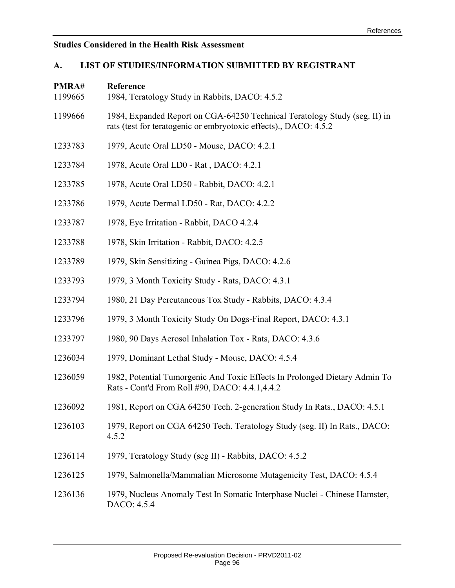# **Studies Considered in the Health Risk Assessment**

# **A. LIST OF STUDIES/INFORMATION SUBMITTED BY REGISTRANT**

| PMRA#<br>1199665 | Reference<br>1984, Teratology Study in Rabbits, DACO: 4.5.2                                                                                    |
|------------------|------------------------------------------------------------------------------------------------------------------------------------------------|
| 1199666          | 1984, Expanded Report on CGA-64250 Technical Teratology Study (seg. II) in<br>rats (test for teratogenic or embryotoxic effects)., DACO: 4.5.2 |
| 1233783          | 1979, Acute Oral LD50 - Mouse, DACO: 4.2.1                                                                                                     |
| 1233784          | 1978, Acute Oral LD0 - Rat, DACO: 4.2.1                                                                                                        |
| 1233785          | 1978, Acute Oral LD50 - Rabbit, DACO: 4.2.1                                                                                                    |
| 1233786          | 1979, Acute Dermal LD50 - Rat, DACO: 4.2.2                                                                                                     |
| 1233787          | 1978, Eye Irritation - Rabbit, DACO 4.2.4                                                                                                      |
| 1233788          | 1978, Skin Irritation - Rabbit, DACO: 4.2.5                                                                                                    |
| 1233789          | 1979, Skin Sensitizing - Guinea Pigs, DACO: 4.2.6                                                                                              |
| 1233793          | 1979, 3 Month Toxicity Study - Rats, DACO: 4.3.1                                                                                               |
| 1233794          | 1980, 21 Day Percutaneous Tox Study - Rabbits, DACO: 4.3.4                                                                                     |
| 1233796          | 1979, 3 Month Toxicity Study On Dogs-Final Report, DACO: 4.3.1                                                                                 |
| 1233797          | 1980, 90 Days Aerosol Inhalation Tox - Rats, DACO: 4.3.6                                                                                       |
| 1236034          | 1979, Dominant Lethal Study - Mouse, DACO: 4.5.4                                                                                               |
| 1236059          | 1982, Potential Tumorgenic And Toxic Effects In Prolonged Dietary Admin To<br>Rats - Cont'd From Roll #90, DACO: 4.4.1,4.4.2                   |
| 1236092          | 1981, Report on CGA 64250 Tech. 2-generation Study In Rats., DACO: 4.5.1                                                                       |
| 1236103          | 1979, Report on CGA 64250 Tech. Teratology Study (seg. II) In Rats., DACO:<br>4.5.2                                                            |
| 1236114          | 1979, Teratology Study (seg II) - Rabbits, DACO: 4.5.2                                                                                         |
| 1236125          | 1979, Salmonella/Mammalian Microsome Mutagenicity Test, DACO: 4.5.4                                                                            |
| 1236136          | 1979, Nucleus Anomaly Test In Somatic Interphase Nuclei - Chinese Hamster,<br>DACO: 4.5.4                                                      |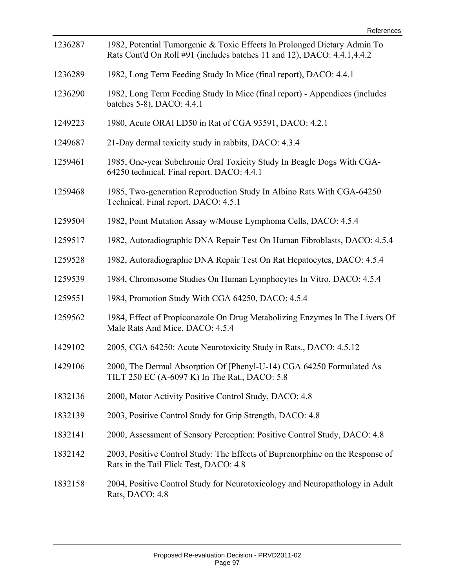| 1236287 | 1982, Potential Tumorgenic & Toxic Effects In Prolonged Dietary Admin To<br>Rats Cont'd On Roll #91 (includes batches 11 and 12), DACO: 4.4.1,4.4.2 |
|---------|-----------------------------------------------------------------------------------------------------------------------------------------------------|
| 1236289 | 1982, Long Term Feeding Study In Mice (final report), DACO: 4.4.1                                                                                   |
| 1236290 | 1982, Long Term Feeding Study In Mice (final report) - Appendices (includes<br>batches 5-8), DACO: 4.4.1                                            |
| 1249223 | 1980, Acute ORAI LD50 in Rat of CGA 93591, DACO: 4.2.1                                                                                              |
| 1249687 | 21-Day dermal toxicity study in rabbits, DACO: 4.3.4                                                                                                |
| 1259461 | 1985, One-year Subchronic Oral Toxicity Study In Beagle Dogs With CGA-<br>64250 technical. Final report. DACO: 4.4.1                                |
| 1259468 | 1985, Two-generation Reproduction Study In Albino Rats With CGA-64250<br>Technical. Final report. DACO: 4.5.1                                       |
| 1259504 | 1982, Point Mutation Assay w/Mouse Lymphoma Cells, DACO: 4.5.4                                                                                      |
| 1259517 | 1982, Autoradiographic DNA Repair Test On Human Fibroblasts, DACO: 4.5.4                                                                            |
| 1259528 | 1982, Autoradiographic DNA Repair Test On Rat Hepatocytes, DACO: 4.5.4                                                                              |
| 1259539 | 1984, Chromosome Studies On Human Lymphocytes In Vitro, DACO: 4.5.4                                                                                 |
| 1259551 | 1984, Promotion Study With CGA 64250, DACO: 4.5.4                                                                                                   |
| 1259562 | 1984, Effect of Propiconazole On Drug Metabolizing Enzymes In The Livers Of<br>Male Rats And Mice, DACO: 4.5.4                                      |
| 1429102 | 2005, CGA 64250: Acute Neurotoxicity Study in Rats., DACO: 4.5.12                                                                                   |
| 1429106 | 2000, The Dermal Absorption Of [Phenyl-U-14) CGA 64250 Formulated As<br>TILT 250 EC (A-6097 K) In The Rat., DACO: 5.8                               |
| 1832136 | 2000, Motor Activity Positive Control Study, DACO: 4.8                                                                                              |
| 1832139 | 2003, Positive Control Study for Grip Strength, DACO: 4.8                                                                                           |
| 1832141 | 2000, Assessment of Sensory Perception: Positive Control Study, DACO: 4.8                                                                           |
| 1832142 | 2003, Positive Control Study: The Effects of Buprenorphine on the Response of<br>Rats in the Tail Flick Test, DACO: 4.8                             |
| 1832158 | 2004, Positive Control Study for Neurotoxicology and Neuropathology in Adult<br>Rats, DACO: 4.8                                                     |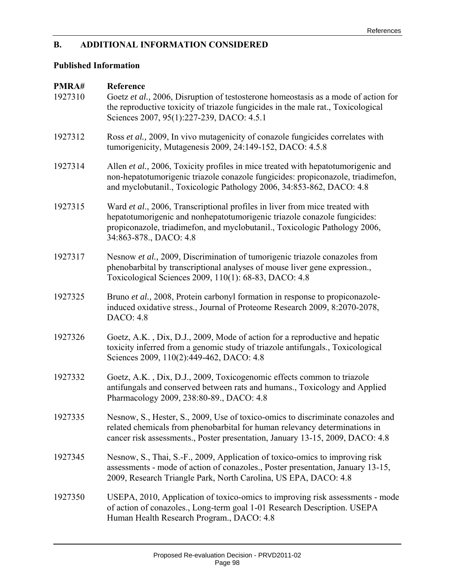## **B. ADDITIONAL INFORMATION CONSIDERED**

# **Published Information**

| PMRA#<br>1927310 | Reference<br>Goetz et al., 2006, Disruption of testosterone homeostasis as a mode of action for<br>the reproductive toxicity of triazole fungicides in the male rat., Toxicological<br>Sciences 2007, 95(1):227-239, DACO: 4.5.1                                |
|------------------|-----------------------------------------------------------------------------------------------------------------------------------------------------------------------------------------------------------------------------------------------------------------|
| 1927312          | Ross et al., 2009, In vivo mutagenicity of conazole fungicides correlates with<br>tumorigenicity, Mutagenesis 2009, 24:149-152, DACO: 4.5.8                                                                                                                     |
| 1927314          | Allen et al., 2006, Toxicity profiles in mice treated with hepatotumorigenic and<br>non-hepatotumorigenic triazole conazole fungicides: propiconazole, triadimefon,<br>and myclobutanil., Toxicologic Pathology 2006, 34:853-862, DACO: 4.8                     |
| 1927315          | Ward et al., 2006, Transcriptional profiles in liver from mice treated with<br>hepatotumorigenic and nonhepatotumorigenic triazole conazole fungicides:<br>propiconazole, triadimefon, and myclobutanil., Toxicologic Pathology 2006,<br>34:863-878., DACO: 4.8 |
| 1927317          | Nesnow et al., 2009, Discrimination of tumorigenic triazole conazoles from<br>phenobarbital by transcriptional analyses of mouse liver gene expression.,<br>Toxicological Sciences 2009, 110(1): 68-83, DACO: 4.8                                               |
| 1927325          | Bruno et al., 2008, Protein carbonyl formation in response to propiconazole-<br>induced oxidative stress., Journal of Proteome Research 2009, 8:2070-2078,<br>DACO: 4.8                                                                                         |
| 1927326          | Goetz, A.K., Dix, D.J., 2009, Mode of action for a reproductive and hepatic<br>toxicity inferred from a genomic study of triazole antifungals., Toxicological<br>Sciences 2009, 110(2):449-462, DACO: 4.8                                                       |
| 1927332          | Goetz, A.K., Dix, D.J., 2009, Toxicogenomic effects common to triazole<br>antifungals and conserved between rats and humans., Toxicology and Applied<br>Pharmacology 2009, 238:80-89., DACO: 4.8                                                                |
| 1927335          | Nesnow, S., Hester, S., 2009, Use of toxico-omics to discriminate conazoles and<br>related chemicals from phenobarbital for human relevancy determinations in<br>cancer risk assessments., Poster presentation, January 13-15, 2009, DACO: 4.8                  |
| 1927345          | Nesnow, S., Thai, S.-F., 2009, Application of toxico-omics to improving risk<br>assessments - mode of action of conazoles., Poster presentation, January 13-15,<br>2009, Research Triangle Park, North Carolina, US EPA, DACO: 4.8                              |
| 1927350          | USEPA, 2010, Application of toxico-omics to improving risk assessments - mode<br>of action of conazoles., Long-term goal 1-01 Research Description. USEPA<br>Human Health Research Program., DACO: 4.8                                                          |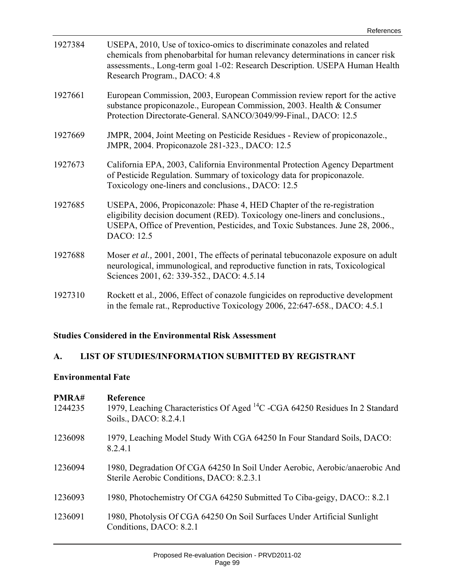| 1927384 | USEPA, 2010, Use of toxico-omics to discriminate conazoles and related<br>chemicals from phenobarbital for human relevancy determinations in cancer risk<br>assessments., Long-term goal 1-02: Research Description. USEPA Human Health<br>Research Program., DACO: 4.8 |
|---------|-------------------------------------------------------------------------------------------------------------------------------------------------------------------------------------------------------------------------------------------------------------------------|
| 1927661 | European Commission, 2003, European Commission review report for the active<br>substance propiconazole., European Commission, 2003. Health & Consumer<br>Protection Directorate-General. SANCO/3049/99-Final., DACO: 12.5                                               |
| 1927669 | JMPR, 2004, Joint Meeting on Pesticide Residues - Review of propiconazole.,<br>JMPR, 2004. Propiconazole 281-323., DACO: 12.5                                                                                                                                           |
| 1927673 | California EPA, 2003, California Environmental Protection Agency Department<br>of Pesticide Regulation. Summary of toxicology data for propiconazole.<br>Toxicology one-liners and conclusions., DACO: 12.5                                                             |
| 1927685 | USEPA, 2006, Propiconazole: Phase 4, HED Chapter of the re-registration<br>eligibility decision document (RED). Toxicology one-liners and conclusions.,<br>USEPA, Office of Prevention, Pesticides, and Toxic Substances. June 28, 2006.,<br>DACO: 12.5                 |
| 1927688 | Moser et al., 2001, 2001, The effects of perinatal tebuconazole exposure on adult<br>neurological, immunological, and reproductive function in rats, Toxicological<br>Sciences 2001, 62: 339-352., DACO: 4.5.14                                                         |
| 1927310 | Rockett et al., 2006, Effect of conazole fungicides on reproductive development<br>in the female rat., Reproductive Toxicology 2006, 22:647-658., DACO: 4.5.1                                                                                                           |

# **Studies Considered in the Environmental Risk Assessment**

# **A. LIST OF STUDIES/INFORMATION SUBMITTED BY REGISTRANT**

# **Environmental Fate**

| PMRA#<br>1244235 | <b>Reference</b><br>1979, Leaching Characteristics Of Aged <sup>14</sup> C -CGA 64250 Residues In 2 Standard<br>Soils., DACO: 8.2.4.1 |
|------------------|---------------------------------------------------------------------------------------------------------------------------------------|
| 1236098          | 1979, Leaching Model Study With CGA 64250 In Four Standard Soils, DACO:<br>8.2.4.1                                                    |
| 1236094          | 1980, Degradation Of CGA 64250 In Soil Under Aerobic, Aerobic/anaerobic And<br>Sterile Aerobic Conditions, DACO: 8.2.3.1              |
| 1236093          | 1980, Photochemistry Of CGA 64250 Submitted To Ciba-geigy, DACO:: 8.2.1                                                               |
| 1236091          | 1980, Photolysis Of CGA 64250 On Soil Surfaces Under Artificial Sunlight<br>Conditions, DACO: 8.2.1                                   |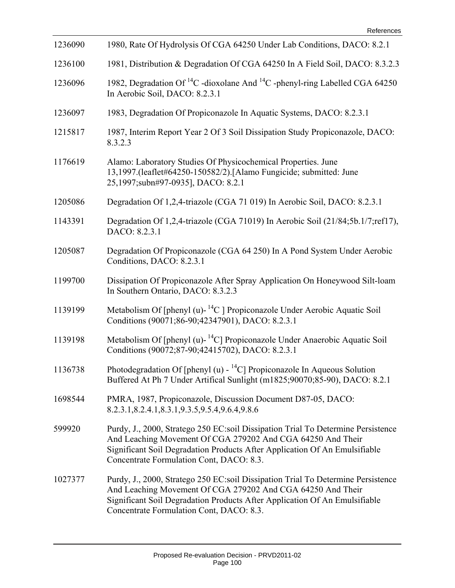| 1236090 | 1980, Rate Of Hydrolysis Of CGA 64250 Under Lab Conditions, DACO: 8.2.1                                                                                                                                                                                                   |
|---------|---------------------------------------------------------------------------------------------------------------------------------------------------------------------------------------------------------------------------------------------------------------------------|
| 1236100 | 1981, Distribution & Degradation Of CGA 64250 In A Field Soil, DACO: 8.3.2.3                                                                                                                                                                                              |
| 1236096 | 1982, Degradation Of <sup>14</sup> C -dioxolane And <sup>14</sup> C -phenyl-ring Labelled CGA 64250<br>In Aerobic Soil, DACO: 8.2.3.1                                                                                                                                     |
| 1236097 | 1983, Degradation Of Propiconazole In Aquatic Systems, DACO: 8.2.3.1                                                                                                                                                                                                      |
| 1215817 | 1987, Interim Report Year 2 Of 3 Soil Dissipation Study Propiconazole, DACO:<br>8.3.2.3                                                                                                                                                                                   |
| 1176619 | Alamo: Laboratory Studies Of Physicochemical Properties. June<br>13,1997.(leaflet#64250-150582/2).[Alamo Fungicide; submitted: June<br>25,1997;subn#97-0935], DACO: 8.2.1                                                                                                 |
| 1205086 | Degradation Of 1,2,4-triazole (CGA 71 019) In Aerobic Soil, DACO: 8.2.3.1                                                                                                                                                                                                 |
| 1143391 | Degradation Of 1,2,4-triazole (CGA 71019) In Aerobic Soil (21/84;5b.1/7;ref17),<br>DACO: 8.2.3.1                                                                                                                                                                          |
| 1205087 | Degradation Of Propiconazole (CGA 64 250) In A Pond System Under Aerobic<br>Conditions, DACO: 8.2.3.1                                                                                                                                                                     |
| 1199700 | Dissipation Of Propiconazole After Spray Application On Honeywood Silt-loam<br>In Southern Ontario, DACO: 8.3.2.3                                                                                                                                                         |
| 1139199 | Metabolism Of [phenyl (u)- $^{14}C$ ] Propiconazole Under Aerobic Aquatic Soil<br>Conditions (90071;86-90;42347901), DACO: 8.2.3.1                                                                                                                                        |
| 1139198 | Metabolism Of [phenyl (u)- $^{14}$ C] Propiconazole Under Anaerobic Aquatic Soil<br>Conditions (90072;87-90;42415702), DACO: 8.2.3.1                                                                                                                                      |
| 1136738 | Photodegradation Of [phenyl (u) - $^{14}$ C] Propiconazole In Aqueous Solution<br>Buffered At Ph 7 Under Artifical Sunlight (m1825;90070;85-90), DACO: 8.2.1                                                                                                              |
| 1698544 | PMRA, 1987, Propiconazole, Discussion Document D87-05, DACO:<br>8.2.3.1, 8.2.4.1, 8.3.1, 9.3.5, 9.5.4, 9.6.4, 9.8.6                                                                                                                                                       |
| 599920  | Purdy, J., 2000, Stratego 250 EC:soil Dissipation Trial To Determine Persistence<br>And Leaching Movement Of CGA 279202 And CGA 64250 And Their<br>Significant Soil Degradation Products After Application Of An Emulsifiable<br>Concentrate Formulation Cont, DACO: 8.3. |
| 1027377 | Purdy, J., 2000, Stratego 250 EC:soil Dissipation Trial To Determine Persistence<br>And Leaching Movement Of CGA 279202 And CGA 64250 And Their<br>Significant Soil Degradation Products After Application Of An Emulsifiable<br>Concentrate Formulation Cont, DACO: 8.3. |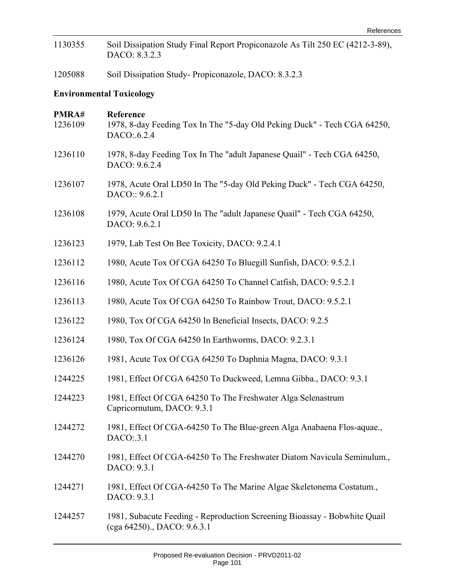| 1130355          | Soil Dissipation Study Final Report Propiconazole As Tilt 250 EC (4212-3-89),<br>DACO: 8.3.2.3           |
|------------------|----------------------------------------------------------------------------------------------------------|
| 1205088          | Soil Dissipation Study-Propiconazole, DACO: 8.3.2.3                                                      |
|                  | <b>Environmental Toxicology</b>                                                                          |
| PMRA#<br>1236109 | Reference<br>1978, 8-day Feeding Tox In The "5-day Old Peking Duck" - Tech CGA 64250,<br>DACO:.6.2.4     |
| 1236110          | 1978, 8-day Feeding Tox In The "adult Japanese Quail" - Tech CGA 64250,<br>DACO: 9.6.2.4                 |
| 1236107          | 1978, Acute Oral LD50 In The "5-day Old Peking Duck" - Tech CGA 64250,<br>DACO:: 9.6.2.1                 |
| 1236108          | 1979, Acute Oral LD50 In The "adult Japanese Quail" - Tech CGA 64250,<br>DACO: 9.6.2.1                   |
| 1236123          | 1979, Lab Test On Bee Toxicity, DACO: 9.2.4.1                                                            |
| 1236112          | 1980, Acute Tox Of CGA 64250 To Bluegill Sunfish, DACO: 9.5.2.1                                          |
| 1236116          | 1980, Acute Tox Of CGA 64250 To Channel Catfish, DACO: 9.5.2.1                                           |
| 1236113          | 1980, Acute Tox Of CGA 64250 To Rainbow Trout, DACO: 9.5.2.1                                             |
| 1236122          | 1980, Tox Of CGA 64250 In Beneficial Insects, DACO: 9.2.5                                                |
| 1236124          | 1980, Tox Of CGA 64250 In Earthworms, DACO: 9.2.3.1                                                      |
| 1236126          | 1981, Acute Tox Of CGA 64250 To Daphnia Magna, DACO: 9.3.1                                               |
| 1244225          | 1981, Effect Of CGA 64250 To Duckweed, Lemna Gibba., DACO: 9.3.1                                         |
| 1244223          | 1981, Effect Of CGA 64250 To The Freshwater Alga Selenastrum<br>Capricornutum, DACO: 9.3.1               |
| 1244272          | 1981, Effect Of CGA-64250 To The Blue-green Alga Anabaena Flos-aquae.,<br>$DACO$ :.3.1                   |
| 1244270          | 1981, Effect Of CGA-64250 To The Freshwater Diatom Navicula Seminulum.,<br>DACO: 9.3.1                   |
| 1244271          | 1981, Effect Of CGA-64250 To The Marine Algae Skeletonema Costatum.,<br>DACO: 9.3.1                      |
| 1244257          | 1981, Subacute Feeding - Reproduction Screening Bioassay - Bobwhite Quail<br>(cga 64250)., DACO: 9.6.3.1 |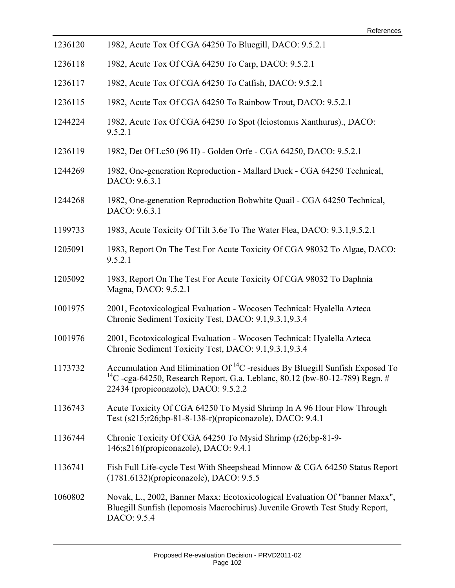| 1236120 | 1982, Acute Tox Of CGA 64250 To Bluegill, DACO: 9.5.2.1                                                                                                                                                                |
|---------|------------------------------------------------------------------------------------------------------------------------------------------------------------------------------------------------------------------------|
| 1236118 | 1982, Acute Tox Of CGA 64250 To Carp, DACO: 9.5.2.1                                                                                                                                                                    |
| 1236117 | 1982, Acute Tox Of CGA 64250 To Catfish, DACO: 9.5.2.1                                                                                                                                                                 |
| 1236115 | 1982, Acute Tox Of CGA 64250 To Rainbow Trout, DACO: 9.5.2.1                                                                                                                                                           |
| 1244224 | 1982, Acute Tox Of CGA 64250 To Spot (leiostomus Xanthurus)., DACO:<br>9.5.2.1                                                                                                                                         |
| 1236119 | 1982, Det Of Lc50 (96 H) - Golden Orfe - CGA 64250, DACO: 9.5.2.1                                                                                                                                                      |
| 1244269 | 1982, One-generation Reproduction - Mallard Duck - CGA 64250 Technical,<br>DACO: 9.6.3.1                                                                                                                               |
| 1244268 | 1982, One-generation Reproduction Bobwhite Quail - CGA 64250 Technical,<br>DACO: 9.6.3.1                                                                                                                               |
| 1199733 | 1983, Acute Toxicity Of Tilt 3.6e To The Water Flea, DACO: 9.3.1, 9.5.2.1                                                                                                                                              |
| 1205091 | 1983, Report On The Test For Acute Toxicity Of CGA 98032 To Algae, DACO:<br>9.5.2.1                                                                                                                                    |
| 1205092 | 1983, Report On The Test For Acute Toxicity Of CGA 98032 To Daphnia<br>Magna, DACO: 9.5.2.1                                                                                                                            |
| 1001975 | 2001, Ecotoxicological Evaluation - Wocosen Technical: Hyalella Azteca<br>Chronic Sediment Toxicity Test, DACO: 9.1, 9.3.1, 9.3.4                                                                                      |
| 1001976 | 2001, Ecotoxicological Evaluation - Wocosen Technical: Hyalella Azteca<br>Chronic Sediment Toxicity Test, DACO: 9.1,9.3.1,9.3.4                                                                                        |
| 1173732 | Accumulation And Elimination Of ${}^{14}C$ -residues By Bluegill Sunfish Exposed To<br><sup>14</sup> C -cga-64250, Research Report, G.a. Leblanc, 80.12 (bw-80-12-789) Regn. #<br>22434 (propiconazole), DACO: 9.5.2.2 |
| 1136743 | Acute Toxicity Of CGA 64250 To Mysid Shrimp In A 96 Hour Flow Through<br>Test (s215;r26;bp-81-8-138-r)(propiconazole), DACO: 9.4.1                                                                                     |
| 1136744 | Chronic Toxicity Of CGA 64250 To Mysid Shrimp (r26;bp-81-9-<br>146;s216)(propiconazole), DACO: 9.4.1                                                                                                                   |
| 1136741 | Fish Full Life-cycle Test With Sheepshead Minnow & CGA 64250 Status Report<br>(1781.6132)(propiconazole), DACO: 9.5.5                                                                                                  |
| 1060802 | Novak, L., 2002, Banner Maxx: Ecotoxicological Evaluation Of "banner Maxx",<br>Bluegill Sunfish (lepomosis Macrochirus) Juvenile Growth Test Study Report,<br>DACO: 9.5.4                                              |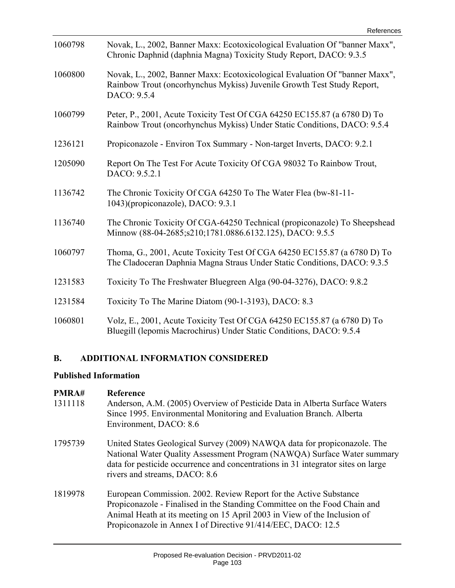| 1060798 | Novak, L., 2002, Banner Maxx: Ecotoxicological Evaluation Of "banner Maxx",<br>Chronic Daphnid (daphnia Magna) Toxicity Study Report, DACO: 9.3.5                    |
|---------|----------------------------------------------------------------------------------------------------------------------------------------------------------------------|
| 1060800 | Novak, L., 2002, Banner Maxx: Ecotoxicological Evaluation Of "banner Maxx",<br>Rainbow Trout (oncorhynchus Mykiss) Juvenile Growth Test Study Report,<br>DACO: 9.5.4 |
| 1060799 | Peter, P., 2001, Acute Toxicity Test Of CGA 64250 EC155.87 (a 6780 D) To<br>Rainbow Trout (oncorhynchus Mykiss) Under Static Conditions, DACO: 9.5.4                 |
| 1236121 | Propiconazole - Environ Tox Summary - Non-target Inverts, DACO: 9.2.1                                                                                                |
| 1205090 | Report On The Test For Acute Toxicity Of CGA 98032 To Rainbow Trout,<br>DACO: 9.5.2.1                                                                                |
| 1136742 | The Chronic Toxicity Of CGA 64250 To The Water Flea (bw-81-11-<br>1043)(propiconazole), DACO: 9.3.1                                                                  |
| 1136740 | The Chronic Toxicity Of CGA-64250 Technical (propiconazole) To Sheepshead<br>Minnow (88-04-2685; s210; 1781.0886.6132.125), DACO: 9.5.5                              |
| 1060797 | Thoma, G., 2001, Acute Toxicity Test Of CGA 64250 EC155.87 (a 6780 D) To<br>The Cladoceran Daphnia Magna Straus Under Static Conditions, DACO: 9.3.5                 |
| 1231583 | Toxicity To The Freshwater Bluegreen Alga (90-04-3276), DACO: 9.8.2                                                                                                  |
| 1231584 | Toxicity To The Marine Diatom (90-1-3193), DACO: 8.3                                                                                                                 |
| 1060801 | Volz, E., 2001, Acute Toxicity Test Of CGA 64250 EC155.87 (a 6780 D) To<br>Bluegill (lepomis Macrochirus) Under Static Conditions, DACO: 9.5.4                       |

# **B. ADDITIONAL INFORMATION CONSIDERED**

#### **Published Information**

# **PMRA# Reference**

- 1311118 Anderson, A.M. (2005) Overview of Pesticide Data in Alberta Surface Waters Since 1995. Environmental Monitoring and Evaluation Branch. Alberta Environment, DACO: 8.6
- 1795739 United States Geological Survey (2009) NAWQA data for propiconazole. The National Water Quality Assessment Program (NAWQA) Surface Water summary data for pesticide occurrence and concentrations in 31 integrator sites on large rivers and streams, DACO: 8.6
- 1819978 European Commission. 2002. Review Report for the Active Substance Propiconazole - Finalised in the Standing Committee on the Food Chain and Animal Heath at its meeting on 15 April 2003 in View of the Inclusion of Propiconazole in Annex I of Directive 91/414/EEC, DACO: 12.5